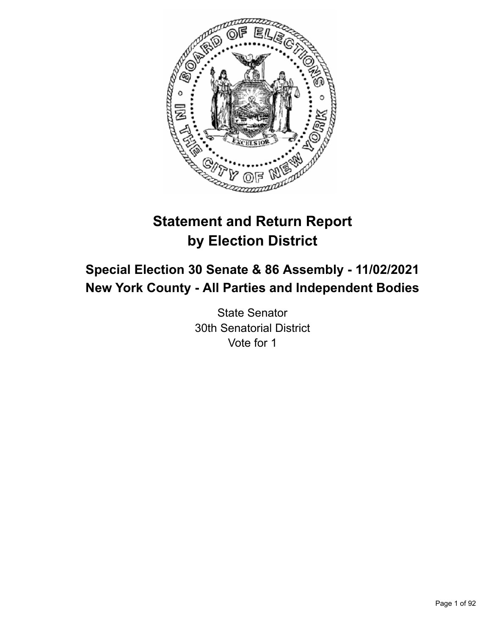

# **Statement and Return Report by Election District**

## **Special Election 30 Senate & 86 Assembly - 11/02/2021 New York County - All Parties and Independent Bodies**

State Senator 30th Senatorial District Vote for 1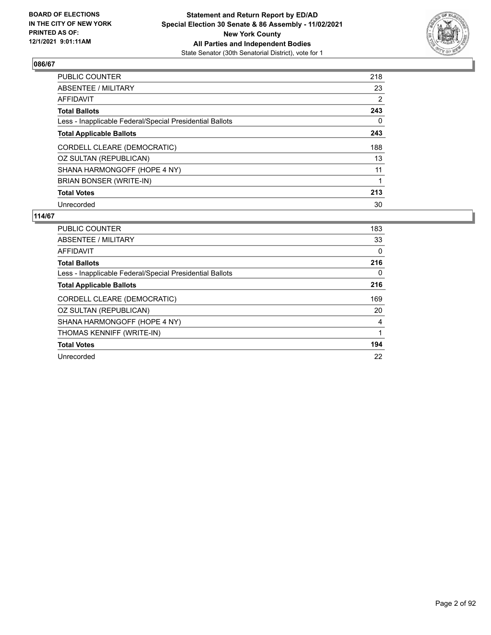

| PUBLIC COUNTER                                           | 218 |
|----------------------------------------------------------|-----|
| <b>ABSENTEE / MILITARY</b>                               | 23  |
| AFFIDAVIT                                                | 2   |
| <b>Total Ballots</b>                                     | 243 |
| Less - Inapplicable Federal/Special Presidential Ballots | 0   |
| <b>Total Applicable Ballots</b>                          | 243 |
| CORDELL CLEARE (DEMOCRATIC)                              | 188 |
| OZ SULTAN (REPUBLICAN)                                   | 13  |
| SHANA HARMONGOFF (HOPE 4 NY)                             | 11  |
| <b>BRIAN BONSER (WRITE-IN)</b>                           |     |
| <b>Total Votes</b>                                       | 213 |
| Unrecorded                                               | 30  |

| <b>PUBLIC COUNTER</b>                                    | 183 |
|----------------------------------------------------------|-----|
| ABSENTEE / MILITARY                                      | 33  |
| AFFIDAVIT                                                | 0   |
| <b>Total Ballots</b>                                     | 216 |
| Less - Inapplicable Federal/Special Presidential Ballots | 0   |
| <b>Total Applicable Ballots</b>                          | 216 |
| CORDELL CLEARE (DEMOCRATIC)                              | 169 |
| OZ SULTAN (REPUBLICAN)                                   | 20  |
| SHANA HARMONGOFF (HOPE 4 NY)                             | 4   |
| THOMAS KENNIFF (WRITE-IN)                                | 1   |
| <b>Total Votes</b>                                       | 194 |
| Unrecorded                                               | 22  |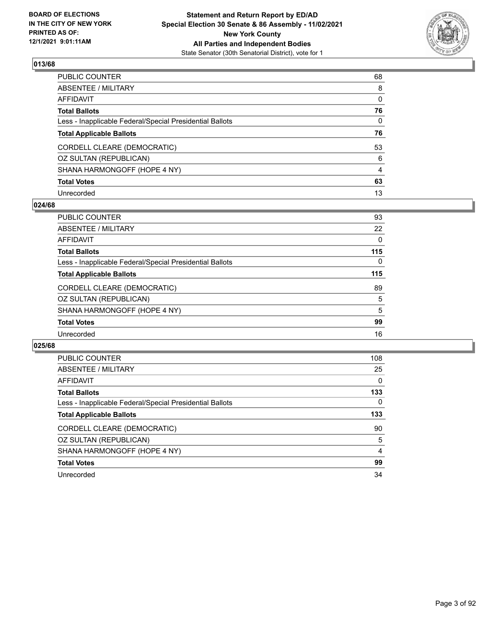

| PUBLIC COUNTER                                           | 68 |
|----------------------------------------------------------|----|
| ABSENTEE / MILITARY                                      | 8  |
| AFFIDAVIT                                                | 0  |
| <b>Total Ballots</b>                                     | 76 |
| Less - Inapplicable Federal/Special Presidential Ballots | 0  |
| <b>Total Applicable Ballots</b>                          | 76 |
| CORDELL CLEARE (DEMOCRATIC)                              | 53 |
| OZ SULTAN (REPUBLICAN)                                   | 6  |
| SHANA HARMONGOFF (HOPE 4 NY)                             | 4  |
| <b>Total Votes</b>                                       | 63 |
| Unrecorded                                               | 13 |

### **024/68**

| <b>PUBLIC COUNTER</b>                                    | 93       |
|----------------------------------------------------------|----------|
| ABSENTEE / MILITARY                                      | 22       |
| AFFIDAVIT                                                | $\Omega$ |
| <b>Total Ballots</b>                                     | 115      |
| Less - Inapplicable Federal/Special Presidential Ballots | $\Omega$ |
| <b>Total Applicable Ballots</b>                          | 115      |
| CORDELL CLEARE (DEMOCRATIC)                              | 89       |
| OZ SULTAN (REPUBLICAN)                                   | 5        |
| SHANA HARMONGOFF (HOPE 4 NY)                             | 5        |
| <b>Total Votes</b>                                       | 99       |
| Unrecorded                                               | 16       |
|                                                          |          |

| <b>PUBLIC COUNTER</b>                                    | 108 |
|----------------------------------------------------------|-----|
| ABSENTEE / MILITARY                                      | 25  |
| AFFIDAVIT                                                | 0   |
| <b>Total Ballots</b>                                     | 133 |
| Less - Inapplicable Federal/Special Presidential Ballots | 0   |
| <b>Total Applicable Ballots</b>                          | 133 |
| CORDELL CLEARE (DEMOCRATIC)                              | 90  |
| OZ SULTAN (REPUBLICAN)                                   | 5   |
| SHANA HARMONGOFF (HOPE 4 NY)                             | 4   |
| <b>Total Votes</b>                                       | 99  |
| Unrecorded                                               | 34  |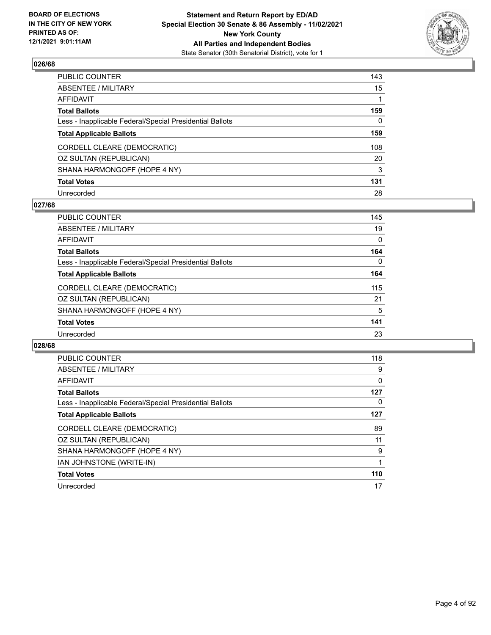

| PUBLIC COUNTER                                           | 143         |
|----------------------------------------------------------|-------------|
| ABSENTEE / MILITARY                                      | 15          |
| AFFIDAVIT                                                | $\mathbf 1$ |
| Total Ballots                                            | 159         |
| Less - Inapplicable Federal/Special Presidential Ballots | 0           |
| <b>Total Applicable Ballots</b>                          | 159         |
| CORDELL CLEARE (DEMOCRATIC)                              | 108         |
| OZ SULTAN (REPUBLICAN)                                   | 20          |
| SHANA HARMONGOFF (HOPE 4 NY)                             | 3           |
| <b>Total Votes</b>                                       | 131         |
| Unrecorded                                               | 28          |

### **027/68**

| <b>PUBLIC COUNTER</b>                                    | 145 |
|----------------------------------------------------------|-----|
| ABSENTEE / MILITARY                                      | 19  |
| AFFIDAVIT                                                | 0   |
| <b>Total Ballots</b>                                     | 164 |
| Less - Inapplicable Federal/Special Presidential Ballots | 0   |
| <b>Total Applicable Ballots</b>                          | 164 |
| CORDELL CLEARE (DEMOCRATIC)                              | 115 |
| OZ SULTAN (REPUBLICAN)                                   | 21  |
| SHANA HARMONGOFF (HOPE 4 NY)                             | 5   |
| <b>Total Votes</b>                                       | 141 |
| Unrecorded                                               | 23  |
|                                                          |     |

| PUBLIC COUNTER                                           | 118 |
|----------------------------------------------------------|-----|
| ABSENTEE / MILITARY                                      | 9   |
| <b>AFFIDAVIT</b>                                         | 0   |
| <b>Total Ballots</b>                                     | 127 |
| Less - Inapplicable Federal/Special Presidential Ballots | 0   |
| <b>Total Applicable Ballots</b>                          | 127 |
| CORDELL CLEARE (DEMOCRATIC)                              | 89  |
| OZ SULTAN (REPUBLICAN)                                   | 11  |
| SHANA HARMONGOFF (HOPE 4 NY)                             | 9   |
| IAN JOHNSTONE (WRITE-IN)                                 |     |
| <b>Total Votes</b>                                       | 110 |
|                                                          |     |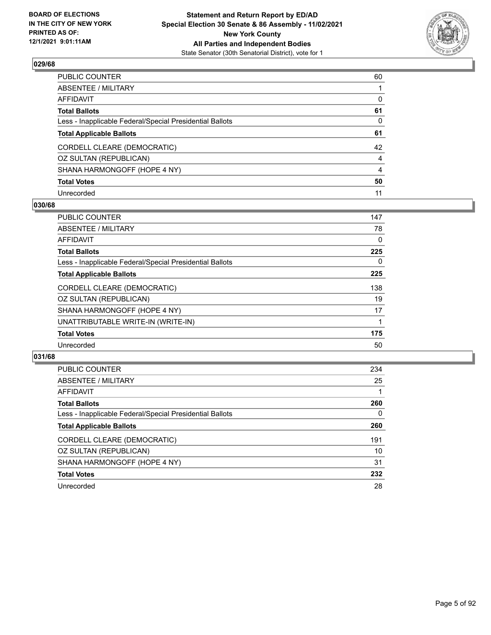

| PUBLIC COUNTER                                           | 60             |
|----------------------------------------------------------|----------------|
| ABSENTEE / MILITARY                                      |                |
| AFFIDAVIT                                                | $\Omega$       |
| Total Ballots                                            | 61             |
| Less - Inapplicable Federal/Special Presidential Ballots | $\mathbf{0}$   |
| <b>Total Applicable Ballots</b>                          | 61             |
| CORDELL CLEARE (DEMOCRATIC)                              | 42             |
| OZ SULTAN (REPUBLICAN)                                   | $\overline{4}$ |
| SHANA HARMONGOFF (HOPE 4 NY)                             | 4              |
| <b>Total Votes</b>                                       | 50             |
| Unrecorded                                               | 11             |

### **030/68**

| <b>PUBLIC COUNTER</b>                                    | 147 |
|----------------------------------------------------------|-----|
| ABSENTEE / MILITARY                                      | 78  |
| AFFIDAVIT                                                | 0   |
| <b>Total Ballots</b>                                     | 225 |
| Less - Inapplicable Federal/Special Presidential Ballots | 0   |
| <b>Total Applicable Ballots</b>                          | 225 |
| CORDELL CLEARE (DEMOCRATIC)                              | 138 |
| OZ SULTAN (REPUBLICAN)                                   | 19  |
| SHANA HARMONGOFF (HOPE 4 NY)                             | 17  |
| UNATTRIBUTABLE WRITE-IN (WRITE-IN)                       |     |
| <b>Total Votes</b>                                       | 175 |
| Unrecorded                                               | 50  |
|                                                          |     |

| <b>PUBLIC COUNTER</b>                                    | 234 |
|----------------------------------------------------------|-----|
| ABSENTEE / MILITARY                                      | 25  |
| AFFIDAVIT                                                |     |
| <b>Total Ballots</b>                                     | 260 |
| Less - Inapplicable Federal/Special Presidential Ballots | 0   |
| <b>Total Applicable Ballots</b>                          | 260 |
| CORDELL CLEARE (DEMOCRATIC)                              | 191 |
| OZ SULTAN (REPUBLICAN)                                   | 10  |
| SHANA HARMONGOFF (HOPE 4 NY)                             | 31  |
| <b>Total Votes</b>                                       | 232 |
| Unrecorded                                               | 28  |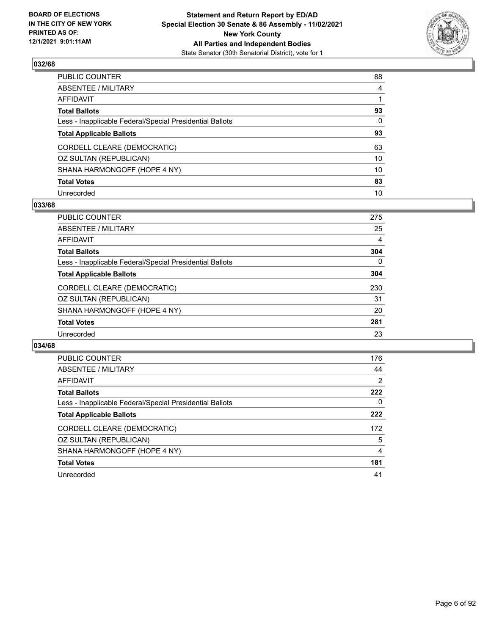

| PUBLIC COUNTER                                           | 88           |
|----------------------------------------------------------|--------------|
| ABSENTEE / MILITARY                                      | 4            |
| AFFIDAVIT                                                |              |
| Total Ballots                                            | 93           |
| Less - Inapplicable Federal/Special Presidential Ballots | $\mathbf{0}$ |
| <b>Total Applicable Ballots</b>                          | 93           |
| CORDELL CLEARE (DEMOCRATIC)                              | 63           |
| OZ SULTAN (REPUBLICAN)                                   | 10           |
| SHANA HARMONGOFF (HOPE 4 NY)                             | 10           |
| <b>Total Votes</b>                                       | 83           |
| Unrecorded                                               | 10           |

### **033/68**

| <b>PUBLIC COUNTER</b>                                    | 275 |
|----------------------------------------------------------|-----|
| ABSENTEE / MILITARY                                      | 25  |
| <b>AFFIDAVIT</b>                                         | 4   |
| <b>Total Ballots</b>                                     | 304 |
| Less - Inapplicable Federal/Special Presidential Ballots | 0   |
| <b>Total Applicable Ballots</b>                          | 304 |
| CORDELL CLEARE (DEMOCRATIC)                              | 230 |
| OZ SULTAN (REPUBLICAN)                                   | 31  |
| SHANA HARMONGOFF (HOPE 4 NY)                             | 20  |
| <b>Total Votes</b>                                       | 281 |
| Unrecorded                                               | 23  |

| <b>PUBLIC COUNTER</b>                                    | 176            |
|----------------------------------------------------------|----------------|
| ABSENTEE / MILITARY                                      | 44             |
| AFFIDAVIT                                                | $\overline{2}$ |
| <b>Total Ballots</b>                                     | 222            |
| Less - Inapplicable Federal/Special Presidential Ballots | 0              |
| <b>Total Applicable Ballots</b>                          | 222            |
| CORDELL CLEARE (DEMOCRATIC)                              | 172            |
| OZ SULTAN (REPUBLICAN)                                   | 5              |
| SHANA HARMONGOFF (HOPE 4 NY)                             | 4              |
| <b>Total Votes</b>                                       | 181            |
| Unrecorded                                               | 41             |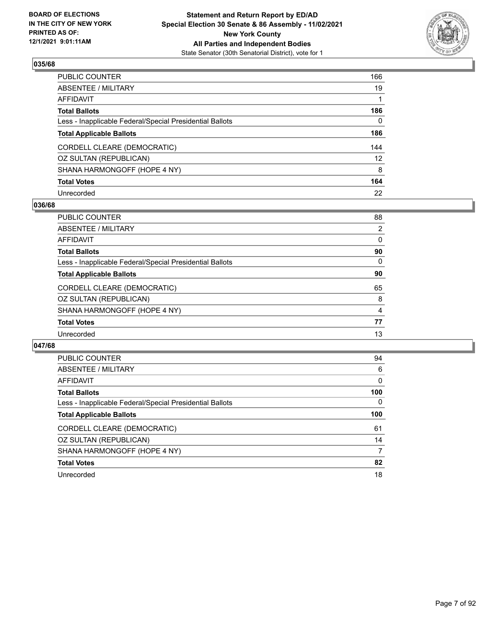

| PUBLIC COUNTER                                           | 166               |
|----------------------------------------------------------|-------------------|
| ABSENTEE / MILITARY                                      | 19                |
| AFFIDAVIT                                                | $\mathbf 1$       |
| Total Ballots                                            | 186               |
| Less - Inapplicable Federal/Special Presidential Ballots | 0                 |
| <b>Total Applicable Ballots</b>                          | 186               |
| CORDELL CLEARE (DEMOCRATIC)                              | 144               |
| OZ SULTAN (REPUBLICAN)                                   | $12 \overline{ }$ |
| SHANA HARMONGOFF (HOPE 4 NY)                             | 8                 |
| <b>Total Votes</b>                                       | 164               |
| Unrecorded                                               | 22                |

### **036/68**

| <b>PUBLIC COUNTER</b>                                    | 88       |
|----------------------------------------------------------|----------|
| ABSENTEE / MILITARY                                      | 2        |
| AFFIDAVIT                                                | 0        |
| <b>Total Ballots</b>                                     | 90       |
| Less - Inapplicable Federal/Special Presidential Ballots | $\Omega$ |
| <b>Total Applicable Ballots</b>                          | 90       |
| CORDELL CLEARE (DEMOCRATIC)                              | 65       |
| OZ SULTAN (REPUBLICAN)                                   | 8        |
| SHANA HARMONGOFF (HOPE 4 NY)                             | 4        |
| <b>Total Votes</b>                                       | 77       |
| Unrecorded                                               | 13       |
|                                                          |          |

| PUBLIC COUNTER                                           | 94       |
|----------------------------------------------------------|----------|
| ABSENTEE / MILITARY                                      | 6        |
| AFFIDAVIT                                                | $\Omega$ |
| <b>Total Ballots</b>                                     | 100      |
| Less - Inapplicable Federal/Special Presidential Ballots | $\Omega$ |
| <b>Total Applicable Ballots</b>                          | 100      |
| CORDELL CLEARE (DEMOCRATIC)                              | 61       |
| OZ SULTAN (REPUBLICAN)                                   | 14       |
| SHANA HARMONGOFF (HOPE 4 NY)                             | 7        |
| <b>Total Votes</b>                                       | 82       |
| Unrecorded                                               | 18       |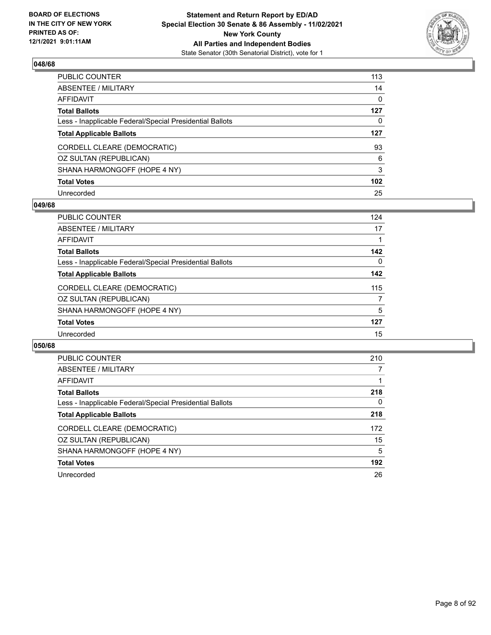

| PUBLIC COUNTER                                           | 113              |
|----------------------------------------------------------|------------------|
| ABSENTEE / MILITARY                                      | 14               |
| AFFIDAVIT                                                | 0                |
| Total Ballots                                            | 127              |
| Less - Inapplicable Federal/Special Presidential Ballots | 0                |
| <b>Total Applicable Ballots</b>                          | 127              |
| CORDELL CLEARE (DEMOCRATIC)                              | 93               |
| OZ SULTAN (REPUBLICAN)                                   | 6                |
| SHANA HARMONGOFF (HOPE 4 NY)                             | 3                |
| <b>Total Votes</b>                                       | 102 <sub>1</sub> |
| Unrecorded                                               | 25               |

### **049/68**

| <b>PUBLIC COUNTER</b>                                    | 124      |
|----------------------------------------------------------|----------|
| ABSENTEE / MILITARY                                      | 17       |
| AFFIDAVIT                                                |          |
| <b>Total Ballots</b>                                     | 142      |
| Less - Inapplicable Federal/Special Presidential Ballots | $\Omega$ |
| <b>Total Applicable Ballots</b>                          | 142      |
| CORDELL CLEARE (DEMOCRATIC)                              | 115      |
| OZ SULTAN (REPUBLICAN)                                   | 7        |
| SHANA HARMONGOFF (HOPE 4 NY)                             | 5        |
| <b>Total Votes</b>                                       | 127      |
| Unrecorded                                               | 15       |
|                                                          |          |

| PUBLIC COUNTER                                           | 210 |
|----------------------------------------------------------|-----|
| ABSENTEE / MILITARY                                      |     |
| AFFIDAVIT                                                |     |
| <b>Total Ballots</b>                                     | 218 |
| Less - Inapplicable Federal/Special Presidential Ballots | 0   |
| <b>Total Applicable Ballots</b>                          | 218 |
| CORDELL CLEARE (DEMOCRATIC)                              | 172 |
| OZ SULTAN (REPUBLICAN)                                   | 15  |
| SHANA HARMONGOFF (HOPE 4 NY)                             | 5   |
| <b>Total Votes</b>                                       | 192 |
| Unrecorded                                               | 26  |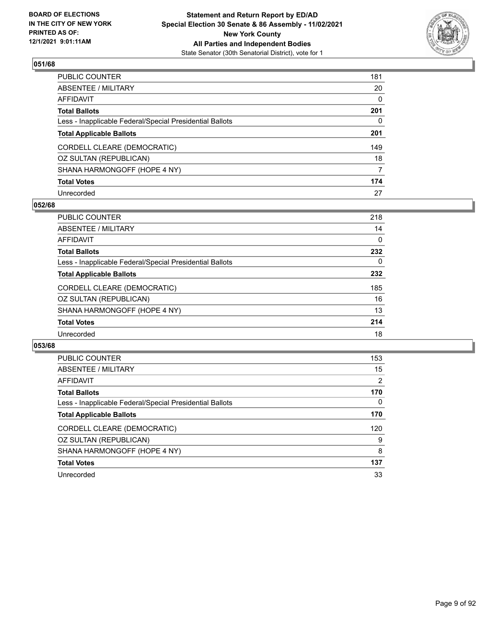

| PUBLIC COUNTER                                           | 181 |
|----------------------------------------------------------|-----|
| ABSENTEE / MILITARY                                      | 20  |
| AFFIDAVIT                                                | 0   |
| Total Ballots                                            | 201 |
| Less - Inapplicable Federal/Special Presidential Ballots | 0   |
| <b>Total Applicable Ballots</b>                          | 201 |
| CORDELL CLEARE (DEMOCRATIC)                              | 149 |
| OZ SULTAN (REPUBLICAN)                                   | 18  |
| SHANA HARMONGOFF (HOPE 4 NY)                             | 7   |
| <b>Total Votes</b>                                       | 174 |
| Unrecorded                                               | 27  |

## **052/68**

| 218      |
|----------|
| 14       |
| $\Omega$ |
| 232      |
| 0        |
| 232      |
| 185      |
| 16       |
| 13       |
| 214      |
| 18       |
|          |

| PUBLIC COUNTER                                           | 153 |
|----------------------------------------------------------|-----|
| ABSENTEE / MILITARY                                      | 15  |
| AFFIDAVIT                                                | 2   |
| <b>Total Ballots</b>                                     | 170 |
| Less - Inapplicable Federal/Special Presidential Ballots | 0   |
| <b>Total Applicable Ballots</b>                          | 170 |
| CORDELL CLEARE (DEMOCRATIC)                              | 120 |
| OZ SULTAN (REPUBLICAN)                                   | 9   |
| SHANA HARMONGOFF (HOPE 4 NY)                             | 8   |
| <b>Total Votes</b>                                       | 137 |
| Unrecorded                                               | 33  |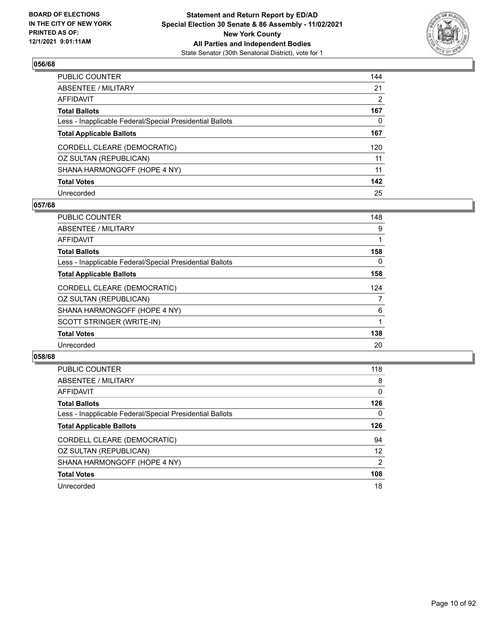

| PUBLIC COUNTER                                           | 144 |
|----------------------------------------------------------|-----|
| ABSENTEE / MILITARY                                      | 21  |
| AFFIDAVIT                                                | 2   |
| Total Ballots                                            | 167 |
| Less - Inapplicable Federal/Special Presidential Ballots | 0   |
| <b>Total Applicable Ballots</b>                          | 167 |
| CORDELL CLEARE (DEMOCRATIC)                              | 120 |
| OZ SULTAN (REPUBLICAN)                                   | 11  |
| SHANA HARMONGOFF (HOPE 4 NY)                             | 11  |
| <b>Total Votes</b>                                       | 142 |
| Unrecorded                                               | 25  |

## **057/68**

| <b>PUBLIC COUNTER</b>                                    | 148 |
|----------------------------------------------------------|-----|
| ABSENTEE / MILITARY                                      | 9   |
| AFFIDAVIT                                                |     |
| <b>Total Ballots</b>                                     | 158 |
| Less - Inapplicable Federal/Special Presidential Ballots | 0   |
| <b>Total Applicable Ballots</b>                          | 158 |
| CORDELL CLEARE (DEMOCRATIC)                              | 124 |
| OZ SULTAN (REPUBLICAN)                                   | 7   |
| SHANA HARMONGOFF (HOPE 4 NY)                             | 6   |
| SCOTT STRINGER (WRITE-IN)                                | 1   |
| <b>Total Votes</b>                                       | 138 |
| Unrecorded                                               | 20  |
|                                                          |     |

| <b>PUBLIC COUNTER</b>                                    | 118      |
|----------------------------------------------------------|----------|
| ABSENTEE / MILITARY                                      | 8        |
| AFFIDAVIT                                                | $\Omega$ |
| <b>Total Ballots</b>                                     | 126      |
| Less - Inapplicable Federal/Special Presidential Ballots | 0        |
| <b>Total Applicable Ballots</b>                          | 126      |
| CORDELL CLEARE (DEMOCRATIC)                              | 94       |
| OZ SULTAN (REPUBLICAN)                                   | 12       |
| SHANA HARMONGOFF (HOPE 4 NY)                             | 2        |
| <b>Total Votes</b>                                       | 108      |
| Unrecorded                                               | 18       |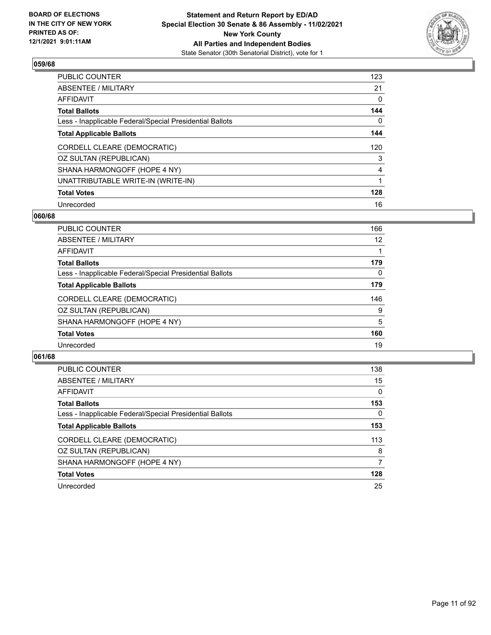

| PUBLIC COUNTER                                           | 123 |
|----------------------------------------------------------|-----|
| ABSENTEE / MILITARY                                      | 21  |
| AFFIDAVIT                                                | 0   |
| Total Ballots                                            | 144 |
| Less - Inapplicable Federal/Special Presidential Ballots | 0   |
| <b>Total Applicable Ballots</b>                          | 144 |
| CORDELL CLEARE (DEMOCRATIC)                              | 120 |
| OZ SULTAN (REPUBLICAN)                                   | 3   |
| SHANA HARMONGOFF (HOPE 4 NY)                             | 4   |
| UNATTRIBUTABLE WRITE-IN (WRITE-IN)                       | 1   |
| <b>Total Votes</b>                                       | 128 |
| Unrecorded                                               | 16  |

### **060/68**

| <b>PUBLIC COUNTER</b>                                    | 166 |
|----------------------------------------------------------|-----|
| ABSENTEE / MILITARY                                      | 12  |
| <b>AFFIDAVIT</b>                                         |     |
| <b>Total Ballots</b>                                     | 179 |
| Less - Inapplicable Federal/Special Presidential Ballots | 0   |
| <b>Total Applicable Ballots</b>                          | 179 |
| CORDELL CLEARE (DEMOCRATIC)                              | 146 |
| OZ SULTAN (REPUBLICAN)                                   | 9   |
| SHANA HARMONGOFF (HOPE 4 NY)                             | 5   |
| <b>Total Votes</b>                                       | 160 |
| Unrecorded                                               | 19  |

| <b>PUBLIC COUNTER</b>                                    | 138      |
|----------------------------------------------------------|----------|
| ABSENTEE / MILITARY                                      | 15       |
| AFFIDAVIT                                                | $\Omega$ |
| <b>Total Ballots</b>                                     | 153      |
| Less - Inapplicable Federal/Special Presidential Ballots | 0        |
| <b>Total Applicable Ballots</b>                          | 153      |
| CORDELL CLEARE (DEMOCRATIC)                              | 113      |
| OZ SULTAN (REPUBLICAN)                                   | 8        |
| SHANA HARMONGOFF (HOPE 4 NY)                             | 7        |
| <b>Total Votes</b>                                       | 128      |
| Unrecorded                                               | 25       |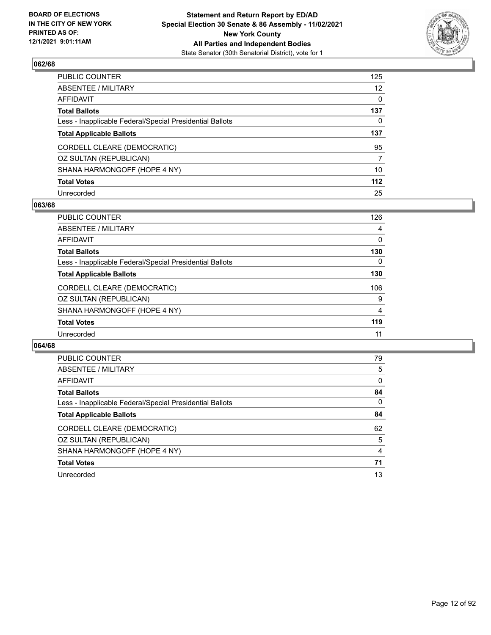

| PUBLIC COUNTER                                           | 125 |
|----------------------------------------------------------|-----|
| ABSENTEE / MILITARY                                      | 12  |
| AFFIDAVIT                                                | 0   |
| <b>Total Ballots</b>                                     | 137 |
| Less - Inapplicable Federal/Special Presidential Ballots | 0   |
| <b>Total Applicable Ballots</b>                          | 137 |
| CORDELL CLEARE (DEMOCRATIC)                              | 95  |
| OZ SULTAN (REPUBLICAN)                                   | 7   |
| SHANA HARMONGOFF (HOPE 4 NY)                             | 10  |
| <b>Total Votes</b>                                       | 112 |
| Unrecorded                                               | 25  |

### **063/68**

| <b>PUBLIC COUNTER</b>                                    | 126      |
|----------------------------------------------------------|----------|
| ABSENTEE / MILITARY                                      | 4        |
| AFFIDAVIT                                                | 0        |
| <b>Total Ballots</b>                                     | 130      |
| Less - Inapplicable Federal/Special Presidential Ballots | $\Omega$ |
| <b>Total Applicable Ballots</b>                          | 130      |
| CORDELL CLEARE (DEMOCRATIC)                              | 106      |
| OZ SULTAN (REPUBLICAN)                                   | 9        |
| SHANA HARMONGOFF (HOPE 4 NY)                             | 4        |
| <b>Total Votes</b>                                       | 119      |
| Unrecorded                                               | 11       |
|                                                          |          |

| <b>PUBLIC COUNTER</b>                                    | 79       |
|----------------------------------------------------------|----------|
| ABSENTEE / MILITARY                                      | 5        |
| AFFIDAVIT                                                | $\Omega$ |
| <b>Total Ballots</b>                                     | 84       |
| Less - Inapplicable Federal/Special Presidential Ballots | 0        |
| <b>Total Applicable Ballots</b>                          | 84       |
| CORDELL CLEARE (DEMOCRATIC)                              | 62       |
| OZ SULTAN (REPUBLICAN)                                   | 5        |
| SHANA HARMONGOFF (HOPE 4 NY)                             | 4        |
| <b>Total Votes</b>                                       | 71       |
| Unrecorded                                               | 13       |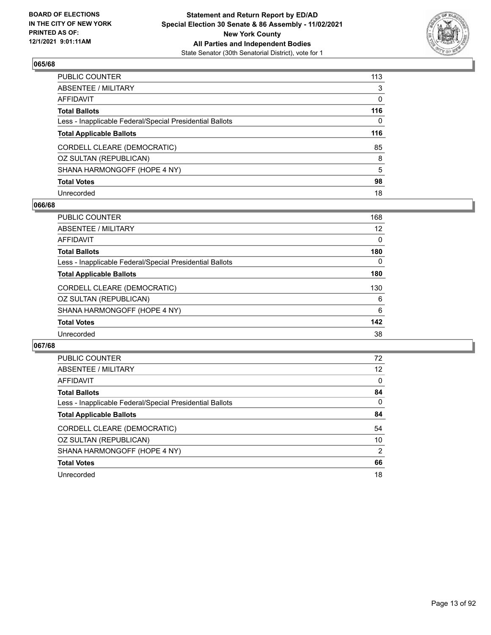

| PUBLIC COUNTER                                           | 113 |
|----------------------------------------------------------|-----|
| ABSENTEE / MILITARY                                      | 3   |
| AFFIDAVIT                                                | 0   |
| Total Ballots                                            | 116 |
| Less - Inapplicable Federal/Special Presidential Ballots | 0   |
| <b>Total Applicable Ballots</b>                          | 116 |
| CORDELL CLEARE (DEMOCRATIC)                              | 85  |
| OZ SULTAN (REPUBLICAN)                                   | 8   |
| SHANA HARMONGOFF (HOPE 4 NY)                             | 5   |
| <b>Total Votes</b>                                       | 98  |
| Unrecorded                                               | 18  |

### **066/68**

| <b>PUBLIC COUNTER</b>                                    | 168      |
|----------------------------------------------------------|----------|
| ABSENTEE / MILITARY                                      | 12       |
| AFFIDAVIT                                                | $\Omega$ |
| <b>Total Ballots</b>                                     | 180      |
| Less - Inapplicable Federal/Special Presidential Ballots | $\Omega$ |
| <b>Total Applicable Ballots</b>                          | 180      |
| CORDELL CLEARE (DEMOCRATIC)                              | 130      |
| OZ SULTAN (REPUBLICAN)                                   | 6        |
| SHANA HARMONGOFF (HOPE 4 NY)                             | 6        |
| <b>Total Votes</b>                                       | 142      |
| Unrecorded                                               | 38       |
|                                                          |          |

| <b>PUBLIC COUNTER</b>                                    | 72            |
|----------------------------------------------------------|---------------|
| ABSENTEE / MILITARY                                      | 12            |
| AFFIDAVIT                                                | $\Omega$      |
| <b>Total Ballots</b>                                     | 84            |
| Less - Inapplicable Federal/Special Presidential Ballots | $\Omega$      |
| <b>Total Applicable Ballots</b>                          | 84            |
| CORDELL CLEARE (DEMOCRATIC)                              | 54            |
| OZ SULTAN (REPUBLICAN)                                   | 10            |
| SHANA HARMONGOFF (HOPE 4 NY)                             | $\mathcal{P}$ |
| <b>Total Votes</b>                                       | 66            |
| Unrecorded                                               | 18            |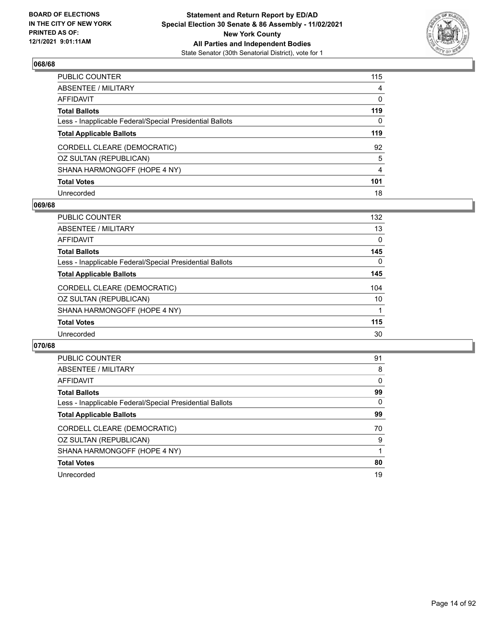

| PUBLIC COUNTER                                           | 115            |
|----------------------------------------------------------|----------------|
| ABSENTEE / MILITARY                                      | 4              |
| AFFIDAVIT                                                | 0              |
| Total Ballots                                            | 119            |
| Less - Inapplicable Federal/Special Presidential Ballots | 0              |
| <b>Total Applicable Ballots</b>                          | 119            |
| CORDELL CLEARE (DEMOCRATIC)                              | 92             |
| OZ SULTAN (REPUBLICAN)                                   | 5              |
| SHANA HARMONGOFF (HOPE 4 NY)                             | $\overline{4}$ |
| <b>Total Votes</b>                                       | 101            |
| Unrecorded                                               | 18             |

## **069/68**

| <b>PUBLIC COUNTER</b>                                    | 132      |
|----------------------------------------------------------|----------|
| ABSENTEE / MILITARY                                      | 13       |
| AFFIDAVIT                                                | $\Omega$ |
| <b>Total Ballots</b>                                     | 145      |
| Less - Inapplicable Federal/Special Presidential Ballots | $\Omega$ |
| <b>Total Applicable Ballots</b>                          | 145      |
| CORDELL CLEARE (DEMOCRATIC)                              | 104      |
| OZ SULTAN (REPUBLICAN)                                   | 10       |
| SHANA HARMONGOFF (HOPE 4 NY)                             |          |
| <b>Total Votes</b>                                       | 115      |
| Unrecorded                                               | 30       |
|                                                          |          |

| <b>PUBLIC COUNTER</b>                                    | 91       |
|----------------------------------------------------------|----------|
| ABSENTEE / MILITARY                                      | 8        |
| AFFIDAVIT                                                | $\Omega$ |
| <b>Total Ballots</b>                                     | 99       |
| Less - Inapplicable Federal/Special Presidential Ballots | 0        |
| <b>Total Applicable Ballots</b>                          | 99       |
| CORDELL CLEARE (DEMOCRATIC)                              | 70       |
| OZ SULTAN (REPUBLICAN)                                   | 9        |
| SHANA HARMONGOFF (HOPE 4 NY)                             |          |
| <b>Total Votes</b>                                       | 80       |
| Unrecorded                                               | 19       |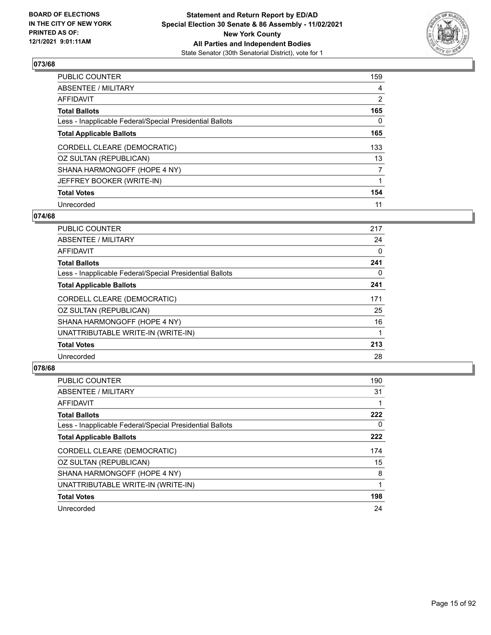

| PUBLIC COUNTER                                           | 159            |
|----------------------------------------------------------|----------------|
| ABSENTEE / MILITARY                                      | $\overline{4}$ |
| AFFIDAVIT                                                | $\overline{2}$ |
| Total Ballots                                            | 165            |
| Less - Inapplicable Federal/Special Presidential Ballots | 0              |
| <b>Total Applicable Ballots</b>                          | 165            |
| CORDELL CLEARE (DEMOCRATIC)                              | 133            |
| OZ SULTAN (REPUBLICAN)                                   | 13             |
| SHANA HARMONGOFF (HOPE 4 NY)                             | $\overline{7}$ |
| JEFFREY BOOKER (WRITE-IN)                                |                |
| <b>Total Votes</b>                                       | 154            |
| Unrecorded                                               | 11             |

### **074/68**

| <b>PUBLIC COUNTER</b>                                    | 217 |
|----------------------------------------------------------|-----|
| ABSENTEE / MILITARY                                      | 24  |
| AFFIDAVIT                                                | 0   |
| <b>Total Ballots</b>                                     | 241 |
| Less - Inapplicable Federal/Special Presidential Ballots | 0   |
| <b>Total Applicable Ballots</b>                          | 241 |
| CORDELL CLEARE (DEMOCRATIC)                              | 171 |
| OZ SULTAN (REPUBLICAN)                                   | 25  |
| SHANA HARMONGOFF (HOPE 4 NY)                             | 16  |
| UNATTRIBUTABLE WRITE-IN (WRITE-IN)                       |     |
| <b>Total Votes</b>                                       | 213 |
| Unrecorded                                               | 28  |

| <b>PUBLIC COUNTER</b>                                    | 190      |
|----------------------------------------------------------|----------|
| ABSENTEE / MILITARY                                      | 31       |
| <b>AFFIDAVIT</b>                                         |          |
| <b>Total Ballots</b>                                     | 222      |
| Less - Inapplicable Federal/Special Presidential Ballots | $\Omega$ |
| <b>Total Applicable Ballots</b>                          | 222      |
| CORDELL CLEARE (DEMOCRATIC)                              | 174      |
| OZ SULTAN (REPUBLICAN)                                   | 15       |
| SHANA HARMONGOFF (HOPE 4 NY)                             | 8        |
| UNATTRIBUTABLE WRITE-IN (WRITE-IN)                       |          |
| <b>Total Votes</b>                                       | 198      |
| Unrecorded                                               | 24       |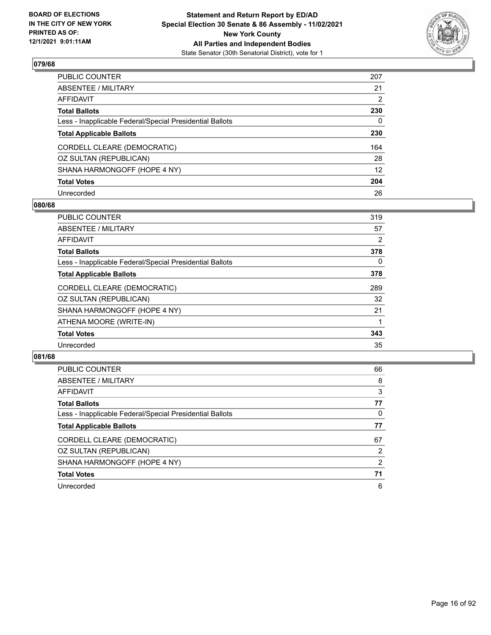

| PUBLIC COUNTER                                           | 207             |
|----------------------------------------------------------|-----------------|
| ABSENTEE / MILITARY                                      | 21              |
| AFFIDAVIT                                                | 2               |
| Total Ballots                                            | 230             |
| Less - Inapplicable Federal/Special Presidential Ballots | 0               |
| <b>Total Applicable Ballots</b>                          | 230             |
| CORDELL CLEARE (DEMOCRATIC)                              | 164             |
| OZ SULTAN (REPUBLICAN)                                   | 28              |
| SHANA HARMONGOFF (HOPE 4 NY)                             | 12 <sup>°</sup> |
| <b>Total Votes</b>                                       | 204             |
| Unrecorded                                               | 26              |

### **080/68**

| <b>PUBLIC COUNTER</b>                                    | 319 |
|----------------------------------------------------------|-----|
| ABSENTEE / MILITARY                                      | 57  |
| AFFIDAVIT                                                | 2   |
| <b>Total Ballots</b>                                     | 378 |
| Less - Inapplicable Federal/Special Presidential Ballots | 0   |
| <b>Total Applicable Ballots</b>                          | 378 |
| CORDELL CLEARE (DEMOCRATIC)                              | 289 |
| OZ SULTAN (REPUBLICAN)                                   | 32  |
| SHANA HARMONGOFF (HOPE 4 NY)                             | 21  |
| ATHENA MOORE (WRITE-IN)                                  |     |
| <b>Total Votes</b>                                       | 343 |
| Unrecorded                                               | 35  |
|                                                          |     |

| <b>PUBLIC COUNTER</b>                                    | 66 |
|----------------------------------------------------------|----|
| ABSENTEE / MILITARY                                      | 8  |
| AFFIDAVIT                                                | 3  |
| <b>Total Ballots</b>                                     | 77 |
| Less - Inapplicable Federal/Special Presidential Ballots | 0  |
| <b>Total Applicable Ballots</b>                          | 77 |
| CORDELL CLEARE (DEMOCRATIC)                              | 67 |
| OZ SULTAN (REPUBLICAN)                                   | 2  |
| SHANA HARMONGOFF (HOPE 4 NY)                             | 2  |
| <b>Total Votes</b>                                       | 71 |
| Unrecorded                                               | 6  |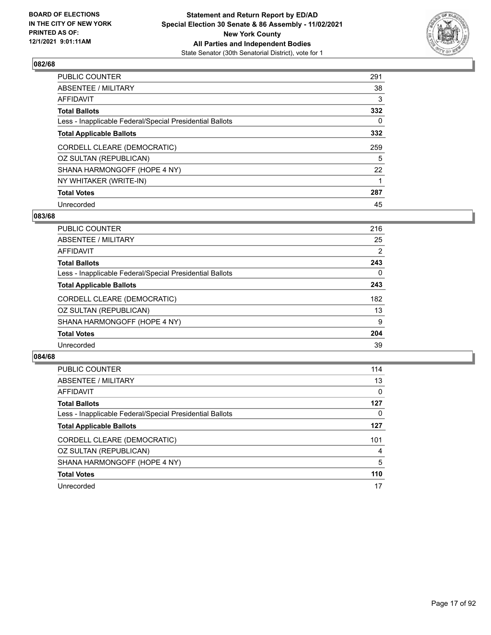

| PUBLIC COUNTER                                           | 291 |
|----------------------------------------------------------|-----|
| ABSENTEE / MILITARY                                      | 38  |
| AFFIDAVIT                                                | 3   |
| Total Ballots                                            | 332 |
| Less - Inapplicable Federal/Special Presidential Ballots | 0   |
| <b>Total Applicable Ballots</b>                          | 332 |
| CORDELL CLEARE (DEMOCRATIC)                              | 259 |
| OZ SULTAN (REPUBLICAN)                                   | 5   |
| SHANA HARMONGOFF (HOPE 4 NY)                             | 22  |
| NY WHITAKER (WRITE-IN)                                   |     |
| <b>Total Votes</b>                                       | 287 |
| Unrecorded                                               | 45  |

### **083/68**

| PUBLIC COUNTER                                           | 216            |
|----------------------------------------------------------|----------------|
| ABSENTEE / MILITARY                                      | 25             |
| <b>AFFIDAVIT</b>                                         | $\overline{2}$ |
| <b>Total Ballots</b>                                     | 243            |
| Less - Inapplicable Federal/Special Presidential Ballots | $\Omega$       |
| <b>Total Applicable Ballots</b>                          | 243            |
| CORDELL CLEARE (DEMOCRATIC)                              | 182            |
| OZ SULTAN (REPUBLICAN)                                   | 13             |
| SHANA HARMONGOFF (HOPE 4 NY)                             | 9              |
| <b>Total Votes</b>                                       | 204            |
| Unrecorded                                               | 39             |

| <b>PUBLIC COUNTER</b>                                    | 114      |
|----------------------------------------------------------|----------|
| ABSENTEE / MILITARY                                      | 13       |
| AFFIDAVIT                                                | $\Omega$ |
| <b>Total Ballots</b>                                     | 127      |
| Less - Inapplicable Federal/Special Presidential Ballots | 0        |
| <b>Total Applicable Ballots</b>                          | 127      |
| CORDELL CLEARE (DEMOCRATIC)                              | 101      |
| OZ SULTAN (REPUBLICAN)                                   | 4        |
| SHANA HARMONGOFF (HOPE 4 NY)                             | 5        |
| <b>Total Votes</b>                                       | 110      |
| Unrecorded                                               | 17       |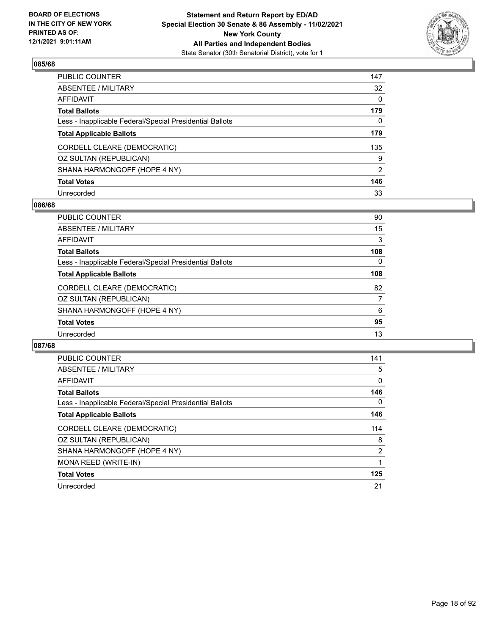

| PUBLIC COUNTER                                           | 147      |
|----------------------------------------------------------|----------|
| ABSENTEE / MILITARY                                      | 32       |
| AFFIDAVIT                                                | $\Omega$ |
| Total Ballots                                            | 179      |
| Less - Inapplicable Federal/Special Presidential Ballots | 0        |
| <b>Total Applicable Ballots</b>                          | 179      |
| CORDELL CLEARE (DEMOCRATIC)                              | 135      |
| OZ SULTAN (REPUBLICAN)                                   | 9        |
| SHANA HARMONGOFF (HOPE 4 NY)                             | 2        |
| <b>Total Votes</b>                                       | 146      |
| Unrecorded                                               | 33       |

### **086/68**

| <b>PUBLIC COUNTER</b>                                    | 90  |
|----------------------------------------------------------|-----|
| ABSENTEE / MILITARY                                      | 15  |
| AFFIDAVIT                                                | 3   |
| <b>Total Ballots</b>                                     | 108 |
| Less - Inapplicable Federal/Special Presidential Ballots | 0   |
| <b>Total Applicable Ballots</b>                          | 108 |
| CORDELL CLEARE (DEMOCRATIC)                              | 82  |
| OZ SULTAN (REPUBLICAN)                                   | 7   |
| SHANA HARMONGOFF (HOPE 4 NY)                             | 6   |
| <b>Total Votes</b>                                       | 95  |
| Unrecorded                                               | 13  |
|                                                          |     |

| <b>PUBLIC COUNTER</b>                                    | 141            |
|----------------------------------------------------------|----------------|
| ABSENTEE / MILITARY                                      | 5              |
| AFFIDAVIT                                                | $\Omega$       |
| <b>Total Ballots</b>                                     | 146            |
| Less - Inapplicable Federal/Special Presidential Ballots | 0              |
| <b>Total Applicable Ballots</b>                          | 146            |
| CORDELL CLEARE (DEMOCRATIC)                              | 114            |
| OZ SULTAN (REPUBLICAN)                                   | 8              |
| SHANA HARMONGOFF (HOPE 4 NY)                             | $\overline{2}$ |
| MONA REED (WRITE-IN)                                     |                |
| <b>Total Votes</b>                                       | 125            |
| Unrecorded                                               | 21             |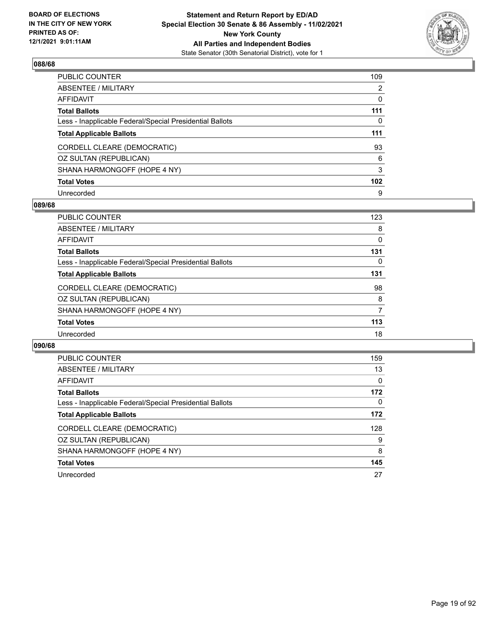

| PUBLIC COUNTER                                           | 109              |
|----------------------------------------------------------|------------------|
| ABSENTEE / MILITARY                                      | 2                |
| AFFIDAVIT                                                | 0                |
| Total Ballots                                            | 111              |
| Less - Inapplicable Federal/Special Presidential Ballots | 0                |
| <b>Total Applicable Ballots</b>                          | 111              |
| CORDELL CLEARE (DEMOCRATIC)                              | 93               |
| OZ SULTAN (REPUBLICAN)                                   | 6                |
| SHANA HARMONGOFF (HOPE 4 NY)                             | 3                |
| <b>Total Votes</b>                                       | 102 <sub>1</sub> |
| Unrecorded                                               | 9                |

### **089/68**

| <b>PUBLIC COUNTER</b>                                    | 123 |
|----------------------------------------------------------|-----|
| ABSENTEE / MILITARY                                      | 8   |
| AFFIDAVIT                                                | 0   |
| <b>Total Ballots</b>                                     | 131 |
| Less - Inapplicable Federal/Special Presidential Ballots | 0   |
| <b>Total Applicable Ballots</b>                          | 131 |
| CORDELL CLEARE (DEMOCRATIC)                              | 98  |
| OZ SULTAN (REPUBLICAN)                                   | 8   |
| SHANA HARMONGOFF (HOPE 4 NY)                             | 7   |
| <b>Total Votes</b>                                       | 113 |
| Unrecorded                                               | 18  |
|                                                          |     |

| <b>PUBLIC COUNTER</b>                                    | 159 |
|----------------------------------------------------------|-----|
| ABSENTEE / MILITARY                                      | 13  |
| AFFIDAVIT                                                | 0   |
| <b>Total Ballots</b>                                     | 172 |
| Less - Inapplicable Federal/Special Presidential Ballots | 0   |
| <b>Total Applicable Ballots</b>                          | 172 |
| CORDELL CLEARE (DEMOCRATIC)                              | 128 |
| OZ SULTAN (REPUBLICAN)                                   | 9   |
| SHANA HARMONGOFF (HOPE 4 NY)                             | 8   |
| <b>Total Votes</b>                                       | 145 |
| Unrecorded                                               | 27  |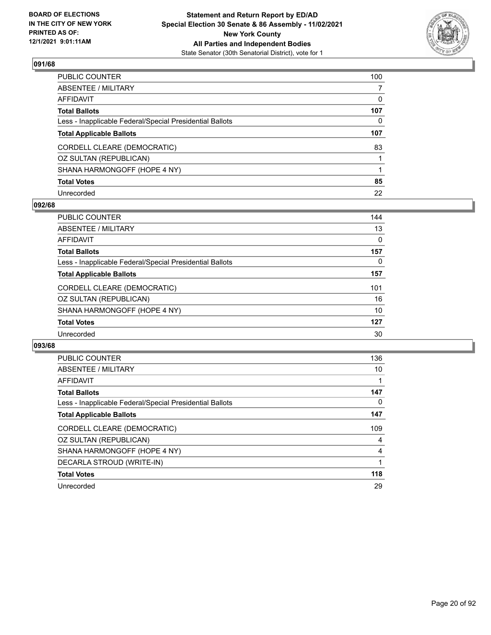

| PUBLIC COUNTER                                           | 100 |
|----------------------------------------------------------|-----|
| ABSENTEE / MILITARY                                      |     |
| AFFIDAVIT                                                | 0   |
| Total Ballots                                            | 107 |
| Less - Inapplicable Federal/Special Presidential Ballots | 0   |
| <b>Total Applicable Ballots</b>                          | 107 |
| CORDELL CLEARE (DEMOCRATIC)                              | 83  |
| OZ SULTAN (REPUBLICAN)                                   |     |
| SHANA HARMONGOFF (HOPE 4 NY)                             |     |
| <b>Total Votes</b>                                       | 85  |
| Unrecorded                                               | 22  |

### **092/68**

| <b>PUBLIC COUNTER</b>                                    | 144 |
|----------------------------------------------------------|-----|
| ABSENTEE / MILITARY                                      | 13  |
| AFFIDAVIT                                                | 0   |
| <b>Total Ballots</b>                                     | 157 |
| Less - Inapplicable Federal/Special Presidential Ballots | 0   |
| <b>Total Applicable Ballots</b>                          | 157 |
| CORDELL CLEARE (DEMOCRATIC)                              | 101 |
| OZ SULTAN (REPUBLICAN)                                   | 16  |
| SHANA HARMONGOFF (HOPE 4 NY)                             | 10  |
| <b>Total Votes</b>                                       | 127 |
| Unrecorded                                               | 30  |
|                                                          |     |

| <b>PUBLIC COUNTER</b>                                    | 136 |
|----------------------------------------------------------|-----|
| <b>ABSENTEE / MILITARY</b>                               | 10  |
| <b>AFFIDAVIT</b>                                         |     |
| <b>Total Ballots</b>                                     | 147 |
| Less - Inapplicable Federal/Special Presidential Ballots | 0   |
| <b>Total Applicable Ballots</b>                          | 147 |
| CORDELL CLEARE (DEMOCRATIC)                              | 109 |
| OZ SULTAN (REPUBLICAN)                                   | 4   |
| SHANA HARMONGOFF (HOPE 4 NY)                             | 4   |
| DECARLA STROUD (WRITE-IN)                                |     |
| <b>Total Votes</b>                                       | 118 |
| Unrecorded                                               | 29  |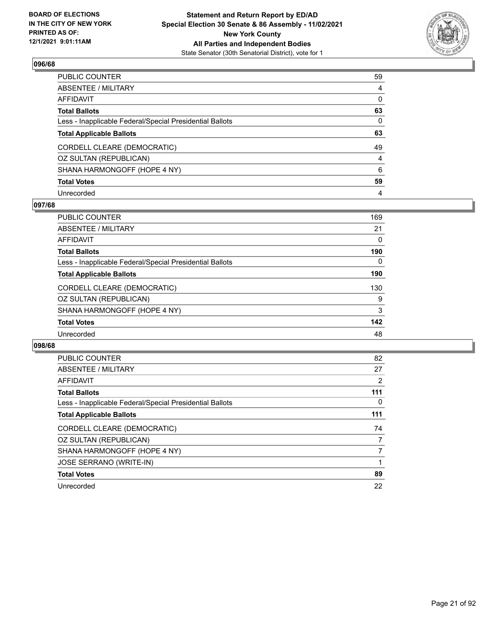

| PUBLIC COUNTER                                           | 59             |
|----------------------------------------------------------|----------------|
| ABSENTEE / MILITARY                                      | 4              |
| AFFIDAVIT                                                | $\mathbf 0$    |
| Total Ballots                                            | 63             |
| Less - Inapplicable Federal/Special Presidential Ballots | $\mathbf{0}$   |
| <b>Total Applicable Ballots</b>                          | 63             |
| CORDELL CLEARE (DEMOCRATIC)                              | 49             |
| OZ SULTAN (REPUBLICAN)                                   | $\overline{4}$ |
| SHANA HARMONGOFF (HOPE 4 NY)                             | 6              |
| <b>Total Votes</b>                                       | 59             |
| Unrecorded                                               | 4              |

### **097/68**

| PUBLIC COUNTER                                           | 169 |
|----------------------------------------------------------|-----|
| ABSENTEE / MILITARY                                      | 21  |
| <b>AFFIDAVIT</b>                                         | 0   |
| <b>Total Ballots</b>                                     | 190 |
| Less - Inapplicable Federal/Special Presidential Ballots | 0   |
| <b>Total Applicable Ballots</b>                          | 190 |
| CORDELL CLEARE (DEMOCRATIC)                              | 130 |
| OZ SULTAN (REPUBLICAN)                                   | 9   |
| SHANA HARMONGOFF (HOPE 4 NY)                             | 3   |
| <b>Total Votes</b>                                       | 142 |
| Unrecorded                                               | 48  |
|                                                          |     |

| <b>PUBLIC COUNTER</b>                                    | 82  |
|----------------------------------------------------------|-----|
| ABSENTEE / MILITARY                                      | 27  |
| <b>AFFIDAVIT</b>                                         | 2   |
| <b>Total Ballots</b>                                     | 111 |
| Less - Inapplicable Federal/Special Presidential Ballots | 0   |
| <b>Total Applicable Ballots</b>                          | 111 |
| CORDELL CLEARE (DEMOCRATIC)                              | 74  |
| OZ SULTAN (REPUBLICAN)                                   | 7   |
| SHANA HARMONGOFF (HOPE 4 NY)                             | 7   |
| <b>JOSE SERRANO (WRITE-IN)</b>                           |     |
| <b>Total Votes</b>                                       | 89  |
| Unrecorded                                               | 22  |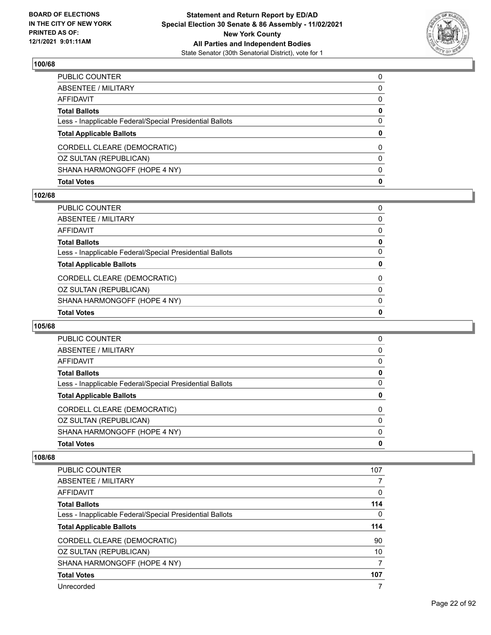

| <b>Total Votes</b>                                       | $\mathbf{0}$ |
|----------------------------------------------------------|--------------|
| SHANA HARMONGOFF (HOPE 4 NY)                             | $\mathbf{0}$ |
| OZ SULTAN (REPUBLICAN)                                   | $\mathbf{0}$ |
| CORDELL CLEARE (DEMOCRATIC)                              | 0            |
| <b>Total Applicable Ballots</b>                          | $\bf{0}$     |
| Less - Inapplicable Federal/Special Presidential Ballots | $\Omega$     |
| <b>Total Ballots</b>                                     | $\mathbf 0$  |
| AFFIDAVIT                                                | $\mathbf{0}$ |
| ABSENTEE / MILITARY                                      | 0            |
| PUBLIC COUNTER                                           | $\Omega$     |

## **102/68**

| PUBLIC COUNTER                                           | $\mathbf{0}$ |
|----------------------------------------------------------|--------------|
| ABSENTEE / MILITARY                                      | 0            |
| AFFIDAVIT                                                | 0            |
| Total Ballots                                            | 0            |
| Less - Inapplicable Federal/Special Presidential Ballots | $\mathbf{0}$ |
| <b>Total Applicable Ballots</b>                          | $\mathbf{0}$ |
| CORDELL CLEARE (DEMOCRATIC)                              | $\Omega$     |
| OZ SULTAN (REPUBLICAN)                                   |              |
|                                                          | $\mathbf{0}$ |
| SHANA HARMONGOFF (HOPE 4 NY)                             | $\mathbf{0}$ |
| <b>Total Votes</b>                                       | 0            |

## **105/68**

| PUBLIC COUNTER                                           | 0 |
|----------------------------------------------------------|---|
| ABSENTEE / MILITARY                                      | 0 |
| AFFIDAVIT                                                | 0 |
| <b>Total Ballots</b>                                     | 0 |
| Less - Inapplicable Federal/Special Presidential Ballots | 0 |
| <b>Total Applicable Ballots</b>                          | 0 |
| CORDELL CLEARE (DEMOCRATIC)                              | 0 |
| OZ SULTAN (REPUBLICAN)                                   | 0 |
| SHANA HARMONGOFF (HOPE 4 NY)                             | 0 |
| <b>Total Votes</b>                                       | 0 |
|                                                          |   |

| <b>PUBLIC COUNTER</b>                                    | 107 |
|----------------------------------------------------------|-----|
| ABSENTEE / MILITARY                                      |     |
| AFFIDAVIT                                                | 0   |
| <b>Total Ballots</b>                                     | 114 |
| Less - Inapplicable Federal/Special Presidential Ballots | 0   |
| <b>Total Applicable Ballots</b>                          | 114 |
| CORDELL CLEARE (DEMOCRATIC)                              | 90  |
| OZ SULTAN (REPUBLICAN)                                   | 10  |
| SHANA HARMONGOFF (HOPE 4 NY)                             | 7   |
| <b>Total Votes</b>                                       | 107 |
| Unrecorded                                               | 7   |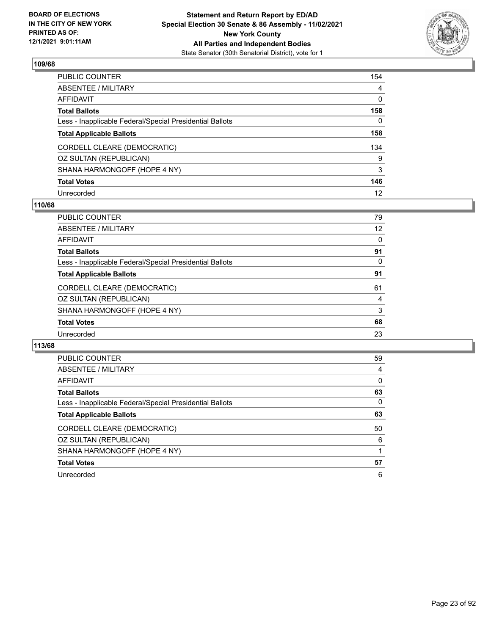

| PUBLIC COUNTER                                           | 154 |
|----------------------------------------------------------|-----|
| ABSENTEE / MILITARY                                      | 4   |
| AFFIDAVIT                                                | 0   |
| Total Ballots                                            | 158 |
| Less - Inapplicable Federal/Special Presidential Ballots | 0   |
| <b>Total Applicable Ballots</b>                          | 158 |
| CORDELL CLEARE (DEMOCRATIC)                              | 134 |
| OZ SULTAN (REPUBLICAN)                                   | 9   |
| SHANA HARMONGOFF (HOPE 4 NY)                             | 3   |
| <b>Total Votes</b>                                       | 146 |
| Unrecorded                                               | 12  |

### **110/68**

| <b>PUBLIC COUNTER</b>                                    | 79       |
|----------------------------------------------------------|----------|
| <b>ABSENTEE / MILITARY</b>                               | 12       |
| <b>AFFIDAVIT</b>                                         | $\Omega$ |
| <b>Total Ballots</b>                                     | 91       |
| Less - Inapplicable Federal/Special Presidential Ballots | $\Omega$ |
| <b>Total Applicable Ballots</b>                          | 91       |
| CORDELL CLEARE (DEMOCRATIC)                              | 61       |
| OZ SULTAN (REPUBLICAN)                                   | 4        |
| SHANA HARMONGOFF (HOPE 4 NY)                             | 3        |
| <b>Total Votes</b>                                       | 68       |
| Unrecorded                                               | 23       |
|                                                          |          |

| <b>PUBLIC COUNTER</b>                                    | 59       |
|----------------------------------------------------------|----------|
| ABSENTEE / MILITARY                                      | 4        |
| AFFIDAVIT                                                | $\Omega$ |
| <b>Total Ballots</b>                                     | 63       |
| Less - Inapplicable Federal/Special Presidential Ballots | 0        |
| <b>Total Applicable Ballots</b>                          | 63       |
| CORDELL CLEARE (DEMOCRATIC)                              | 50       |
| OZ SULTAN (REPUBLICAN)                                   | 6        |
| SHANA HARMONGOFF (HOPE 4 NY)                             |          |
| <b>Total Votes</b>                                       | 57       |
| Unrecorded                                               | 6        |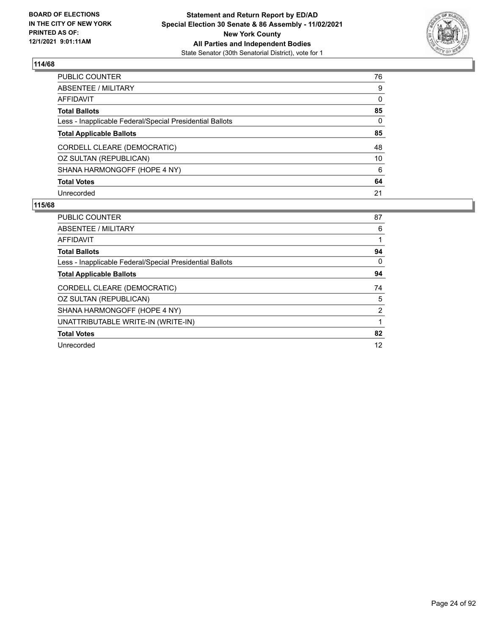

| PUBLIC COUNTER                                           | 76           |
|----------------------------------------------------------|--------------|
| ABSENTEE / MILITARY                                      | 9            |
| AFFIDAVIT                                                | 0            |
| <b>Total Ballots</b>                                     | 85           |
| Less - Inapplicable Federal/Special Presidential Ballots | $\mathbf{0}$ |
| <b>Total Applicable Ballots</b>                          | 85           |
| CORDELL CLEARE (DEMOCRATIC)                              | 48           |
| OZ SULTAN (REPUBLICAN)                                   | 10           |
| SHANA HARMONGOFF (HOPE 4 NY)                             | 6            |
| <b>Total Votes</b>                                       | 64           |
| Unrecorded                                               | 21           |

| <b>PUBLIC COUNTER</b>                                    | 87 |
|----------------------------------------------------------|----|
| ABSENTEE / MILITARY                                      | 6  |
| AFFIDAVIT                                                |    |
| <b>Total Ballots</b>                                     | 94 |
| Less - Inapplicable Federal/Special Presidential Ballots | 0  |
| <b>Total Applicable Ballots</b>                          | 94 |
| CORDELL CLEARE (DEMOCRATIC)                              | 74 |
| OZ SULTAN (REPUBLICAN)                                   | 5  |
| SHANA HARMONGOFF (HOPE 4 NY)                             | 2  |
| UNATTRIBUTABLE WRITE-IN (WRITE-IN)                       |    |
| <b>Total Votes</b>                                       | 82 |
| Unrecorded                                               | 12 |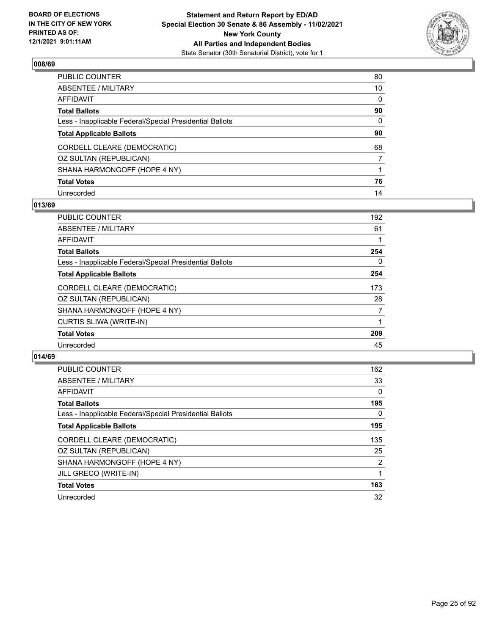

| PUBLIC COUNTER                                           | 80 |
|----------------------------------------------------------|----|
| ABSENTEE / MILITARY                                      | 10 |
| AFFIDAVIT                                                | 0  |
| Total Ballots                                            | 90 |
| Less - Inapplicable Federal/Special Presidential Ballots | 0  |
| <b>Total Applicable Ballots</b>                          | 90 |
| CORDELL CLEARE (DEMOCRATIC)                              | 68 |
| OZ SULTAN (REPUBLICAN)                                   |    |
| SHANA HARMONGOFF (HOPE 4 NY)                             |    |
| <b>Total Votes</b>                                       | 76 |
| Unrecorded                                               | 14 |

## **013/69**

| <b>PUBLIC COUNTER</b>                                    | 192      |
|----------------------------------------------------------|----------|
|                                                          |          |
| ABSENTEE / MILITARY                                      | 61       |
| AFFIDAVIT                                                |          |
| <b>Total Ballots</b>                                     | 254      |
| Less - Inapplicable Federal/Special Presidential Ballots | $\Omega$ |
| <b>Total Applicable Ballots</b>                          | 254      |
| CORDELL CLEARE (DEMOCRATIC)                              | 173      |
| OZ SULTAN (REPUBLICAN)                                   | 28       |
| SHANA HARMONGOFF (HOPE 4 NY)                             | 7        |
| <b>CURTIS SLIWA (WRITE-IN)</b>                           | 1        |
| <b>Total Votes</b>                                       | 209      |
| Unrecorded                                               | 45       |
|                                                          |          |

| PUBLIC COUNTER                                           | 162            |
|----------------------------------------------------------|----------------|
| <b>ABSENTEE / MILITARY</b>                               | 33             |
| <b>AFFIDAVIT</b>                                         | $\Omega$       |
| <b>Total Ballots</b>                                     | 195            |
| Less - Inapplicable Federal/Special Presidential Ballots | $\Omega$       |
| <b>Total Applicable Ballots</b>                          | 195            |
| CORDELL CLEARE (DEMOCRATIC)                              | 135            |
|                                                          |                |
| OZ SULTAN (REPUBLICAN)                                   | 25             |
| SHANA HARMONGOFF (HOPE 4 NY)                             | $\overline{2}$ |
| JILL GRECO (WRITE-IN)                                    |                |
| <b>Total Votes</b>                                       | 163            |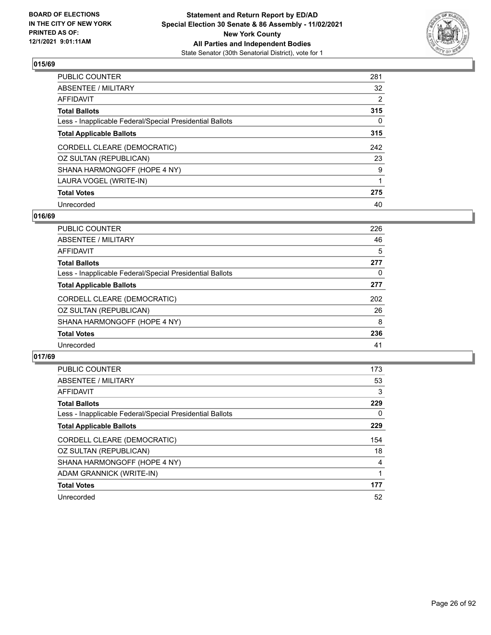

| PUBLIC COUNTER                                           | 281 |
|----------------------------------------------------------|-----|
| ABSENTEE / MILITARY                                      | 32  |
| AFFIDAVIT                                                | 2   |
| Total Ballots                                            | 315 |
| Less - Inapplicable Federal/Special Presidential Ballots | 0   |
| <b>Total Applicable Ballots</b>                          | 315 |
| CORDELL CLEARE (DEMOCRATIC)                              | 242 |
| OZ SULTAN (REPUBLICAN)                                   | 23  |
| SHANA HARMONGOFF (HOPE 4 NY)                             | 9   |
| LAURA VOGEL (WRITE-IN)                                   | 1   |
| <b>Total Votes</b>                                       | 275 |
| Unrecorded                                               | 40  |

### **016/69**

| <b>PUBLIC COUNTER</b>                                    | 226 |
|----------------------------------------------------------|-----|
| ABSENTEE / MILITARY                                      | 46  |
| <b>AFFIDAVIT</b>                                         | 5   |
| <b>Total Ballots</b>                                     | 277 |
| Less - Inapplicable Federal/Special Presidential Ballots | 0   |
| <b>Total Applicable Ballots</b>                          | 277 |
| CORDELL CLEARE (DEMOCRATIC)                              | 202 |
| OZ SULTAN (REPUBLICAN)                                   | 26  |
| SHANA HARMONGOFF (HOPE 4 NY)                             | 8   |
| <b>Total Votes</b>                                       | 236 |
| Unrecorded                                               | 41  |

| PUBLIC COUNTER                                           | 173      |
|----------------------------------------------------------|----------|
| <b>ABSENTEE / MILITARY</b>                               | 53       |
| <b>AFFIDAVIT</b>                                         | 3        |
| <b>Total Ballots</b>                                     | 229      |
| Less - Inapplicable Federal/Special Presidential Ballots | $\Omega$ |
| <b>Total Applicable Ballots</b>                          | 229      |
| CORDELL CLEARE (DEMOCRATIC)                              | 154      |
|                                                          |          |
| OZ SULTAN (REPUBLICAN)                                   | 18       |
| SHANA HARMONGOFF (HOPE 4 NY)                             | 4        |
| ADAM GRANNICK (WRITE-IN)                                 |          |
| <b>Total Votes</b>                                       | 177      |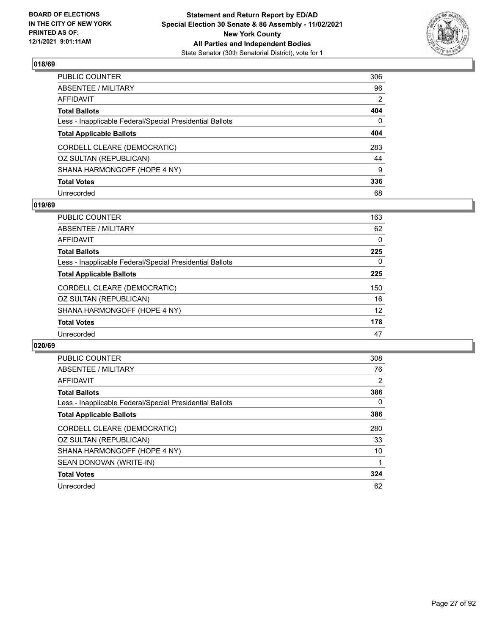

| PUBLIC COUNTER                                           | 306      |
|----------------------------------------------------------|----------|
| ABSENTEE / MILITARY                                      | 96       |
| AFFIDAVIT                                                | 2        |
| <b>Total Ballots</b>                                     | 404      |
| Less - Inapplicable Federal/Special Presidential Ballots | $\Omega$ |
| <b>Total Applicable Ballots</b>                          | 404      |
| CORDELL CLEARE (DEMOCRATIC)                              | 283      |
| OZ SULTAN (REPUBLICAN)                                   | 44       |
| SHANA HARMONGOFF (HOPE 4 NY)                             | 9        |
| <b>Total Votes</b>                                       | 336      |
| Unrecorded                                               | 68       |

### **019/69**

| <b>PUBLIC COUNTER</b>                                    | 163 |
|----------------------------------------------------------|-----|
| ABSENTEE / MILITARY                                      | 62  |
| <b>AFFIDAVIT</b>                                         | 0   |
| <b>Total Ballots</b>                                     | 225 |
| Less - Inapplicable Federal/Special Presidential Ballots | 0   |
| <b>Total Applicable Ballots</b>                          | 225 |
| CORDELL CLEARE (DEMOCRATIC)                              | 150 |
| OZ SULTAN (REPUBLICAN)                                   | 16  |
| SHANA HARMONGOFF (HOPE 4 NY)                             | 12  |
| <b>Total Votes</b>                                       | 178 |
| Unrecorded                                               | 47  |
|                                                          |     |

| <b>PUBLIC COUNTER</b>                                    | 308            |
|----------------------------------------------------------|----------------|
| ABSENTEE / MILITARY                                      | 76             |
| <b>AFFIDAVIT</b>                                         | $\overline{2}$ |
| <b>Total Ballots</b>                                     | 386            |
| Less - Inapplicable Federal/Special Presidential Ballots | 0              |
| <b>Total Applicable Ballots</b>                          | 386            |
| CORDELL CLEARE (DEMOCRATIC)                              | 280            |
| OZ SULTAN (REPUBLICAN)                                   | 33             |
| SHANA HARMONGOFF (HOPE 4 NY)                             | 10             |
| SEAN DONOVAN (WRITE-IN)                                  |                |
| <b>Total Votes</b>                                       | 324            |
| Unrecorded                                               | 62             |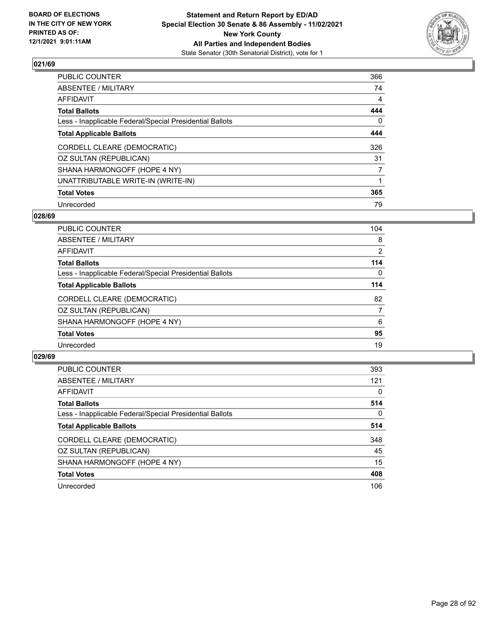

| PUBLIC COUNTER                                           | 366 |
|----------------------------------------------------------|-----|
| ABSENTEE / MILITARY                                      | 74  |
| AFFIDAVIT                                                | 4   |
| Total Ballots                                            | 444 |
| Less - Inapplicable Federal/Special Presidential Ballots | 0   |
| <b>Total Applicable Ballots</b>                          | 444 |
| CORDELL CLEARE (DEMOCRATIC)                              | 326 |
| OZ SULTAN (REPUBLICAN)                                   | 31  |
| SHANA HARMONGOFF (HOPE 4 NY)                             | 7   |
| UNATTRIBUTABLE WRITE-IN (WRITE-IN)                       |     |
| <b>Total Votes</b>                                       | 365 |
| Unrecorded                                               | 79  |

### **028/69**

| PUBLIC COUNTER                                           | 104            |
|----------------------------------------------------------|----------------|
| ABSENTEE / MILITARY                                      | 8              |
| AFFIDAVIT                                                | $\overline{2}$ |
| <b>Total Ballots</b>                                     | 114            |
| Less - Inapplicable Federal/Special Presidential Ballots | $\Omega$       |
| <b>Total Applicable Ballots</b>                          | 114            |
| CORDELL CLEARE (DEMOCRATIC)                              | 82             |
| OZ SULTAN (REPUBLICAN)                                   | 7              |
| SHANA HARMONGOFF (HOPE 4 NY)                             | 6              |
| <b>Total Votes</b>                                       | 95             |
| Unrecorded                                               | 19             |

| <b>PUBLIC COUNTER</b>                                    | 393      |
|----------------------------------------------------------|----------|
| ABSENTEE / MILITARY                                      | 121      |
| AFFIDAVIT                                                | 0        |
| <b>Total Ballots</b>                                     | 514      |
| Less - Inapplicable Federal/Special Presidential Ballots | $\Omega$ |
| <b>Total Applicable Ballots</b>                          | 514      |
| CORDELL CLEARE (DEMOCRATIC)                              | 348      |
| OZ SULTAN (REPUBLICAN)                                   | 45       |
| SHANA HARMONGOFF (HOPE 4 NY)                             | 15       |
| <b>Total Votes</b>                                       | 408      |
| Unrecorded                                               | 106      |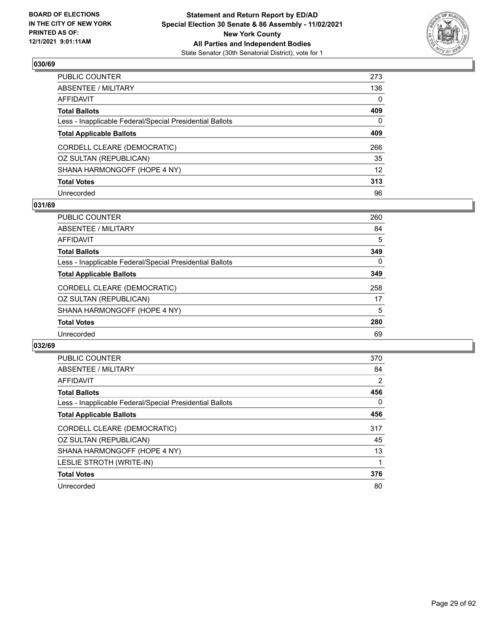

| PUBLIC COUNTER                                           | 273               |
|----------------------------------------------------------|-------------------|
| ABSENTEE / MILITARY                                      | 136               |
| AFFIDAVIT                                                | $\mathbf 0$       |
| Total Ballots                                            | 409               |
| Less - Inapplicable Federal/Special Presidential Ballots | $\mathbf{0}$      |
| <b>Total Applicable Ballots</b>                          | 409               |
| CORDELL CLEARE (DEMOCRATIC)                              | 266               |
| OZ SULTAN (REPUBLICAN)                                   | 35                |
| SHANA HARMONGOFF (HOPE 4 NY)                             | $12 \overline{ }$ |
| <b>Total Votes</b>                                       | 313               |
| Unrecorded                                               | 96                |

### **031/69**

| <b>PUBLIC COUNTER</b>                                    | 260 |
|----------------------------------------------------------|-----|
| ABSENTEE / MILITARY                                      | 84  |
| AFFIDAVIT                                                | 5   |
| <b>Total Ballots</b>                                     | 349 |
| Less - Inapplicable Federal/Special Presidential Ballots | 0   |
| <b>Total Applicable Ballots</b>                          | 349 |
| CORDELL CLEARE (DEMOCRATIC)                              | 258 |
| OZ SULTAN (REPUBLICAN)                                   | 17  |
| SHANA HARMONGOFF (HOPE 4 NY)                             | 5   |
| <b>Total Votes</b>                                       | 280 |
| Unrecorded                                               | 69  |
|                                                          |     |

| <b>PUBLIC COUNTER</b>                                    | 370      |
|----------------------------------------------------------|----------|
| ABSENTEE / MILITARY                                      | 84       |
| <b>AFFIDAVIT</b>                                         | 2        |
| <b>Total Ballots</b>                                     | 456      |
| Less - Inapplicable Federal/Special Presidential Ballots | $\Omega$ |
| <b>Total Applicable Ballots</b>                          | 456      |
| CORDELL CLEARE (DEMOCRATIC)                              | 317      |
| OZ SULTAN (REPUBLICAN)                                   | 45       |
| SHANA HARMONGOFF (HOPE 4 NY)                             | 13       |
| LESLIE STROTH (WRITE-IN)                                 |          |
| <b>Total Votes</b>                                       | 376      |
| Unrecorded                                               | 80       |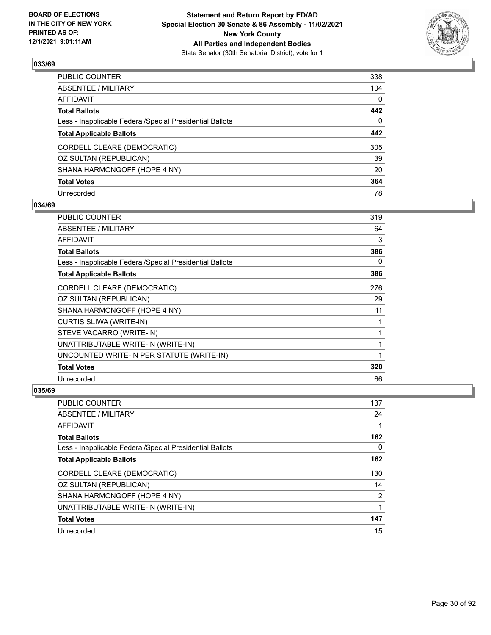

| PUBLIC COUNTER                                           | 338          |
|----------------------------------------------------------|--------------|
| ABSENTEE / MILITARY                                      | 104          |
| AFFIDAVIT                                                | $\mathbf{0}$ |
| Total Ballots                                            | 442          |
| Less - Inapplicable Federal/Special Presidential Ballots | $\mathbf{0}$ |
| <b>Total Applicable Ballots</b>                          | 442          |
| CORDELL CLEARE (DEMOCRATIC)                              | 305          |
| OZ SULTAN (REPUBLICAN)                                   | 39           |
| SHANA HARMONGOFF (HOPE 4 NY)                             | 20           |
| <b>Total Votes</b>                                       | 364          |
| Unrecorded                                               | 78           |

### **034/69**

| <b>PUBLIC COUNTER</b>                                    | 319 |
|----------------------------------------------------------|-----|
| ABSENTEE / MILITARY                                      | 64  |
| AFFIDAVIT                                                | 3   |
| <b>Total Ballots</b>                                     | 386 |
| Less - Inapplicable Federal/Special Presidential Ballots | 0   |
| <b>Total Applicable Ballots</b>                          | 386 |
| CORDELL CLEARE (DEMOCRATIC)                              | 276 |
| OZ SULTAN (REPUBLICAN)                                   | 29  |
| SHANA HARMONGOFF (HOPE 4 NY)                             | 11  |
| <b>CURTIS SLIWA (WRITE-IN)</b>                           | 1   |
| STEVE VACARRO (WRITE-IN)                                 | 1   |
| UNATTRIBUTABLE WRITE-IN (WRITE-IN)                       | 1   |
| UNCOUNTED WRITE-IN PER STATUTE (WRITE-IN)                | 1   |
| <b>Total Votes</b>                                       | 320 |
| Unrecorded                                               | 66  |

| PUBLIC COUNTER                                           | 137 |
|----------------------------------------------------------|-----|
| ABSENTEE / MILITARY                                      | 24  |
| AFFIDAVIT                                                |     |
| <b>Total Ballots</b>                                     | 162 |
| Less - Inapplicable Federal/Special Presidential Ballots | 0   |
| <b>Total Applicable Ballots</b>                          | 162 |
| CORDELL CLEARE (DEMOCRATIC)                              | 130 |
| OZ SULTAN (REPUBLICAN)                                   | 14  |
| SHANA HARMONGOFF (HOPE 4 NY)                             | 2   |
| UNATTRIBUTABLE WRITE-IN (WRITE-IN)                       | 1   |
| <b>Total Votes</b>                                       | 147 |
| Unrecorded                                               | 15  |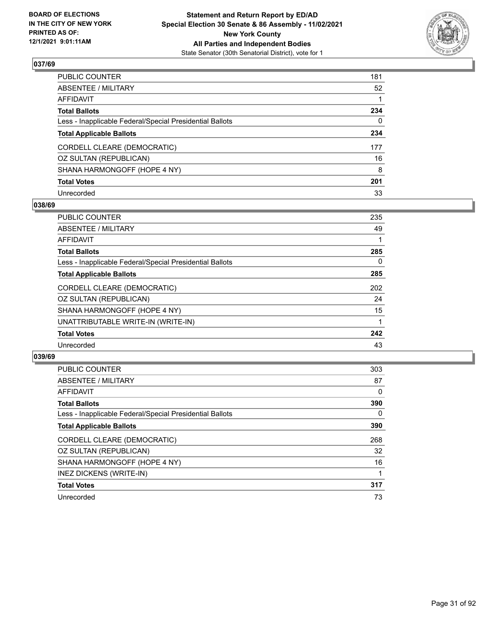

| PUBLIC COUNTER                                           | 181         |
|----------------------------------------------------------|-------------|
| ABSENTEE / MILITARY                                      | 52          |
| AFFIDAVIT                                                | $\mathbf 1$ |
| Total Ballots                                            | 234         |
| Less - Inapplicable Federal/Special Presidential Ballots | 0           |
| <b>Total Applicable Ballots</b>                          | 234         |
| CORDELL CLEARE (DEMOCRATIC)                              | 177         |
| OZ SULTAN (REPUBLICAN)                                   | 16          |
| SHANA HARMONGOFF (HOPE 4 NY)                             | 8           |
| <b>Total Votes</b>                                       | 201         |
| Unrecorded                                               | 33          |

### **038/69**

| <b>PUBLIC COUNTER</b>                                    | 235 |
|----------------------------------------------------------|-----|
| ABSENTEE / MILITARY                                      | 49  |
| <b>AFFIDAVIT</b>                                         |     |
| <b>Total Ballots</b>                                     | 285 |
| Less - Inapplicable Federal/Special Presidential Ballots | 0   |
| <b>Total Applicable Ballots</b>                          | 285 |
| CORDELL CLEARE (DEMOCRATIC)                              | 202 |
| OZ SULTAN (REPUBLICAN)                                   | 24  |
| SHANA HARMONGOFF (HOPE 4 NY)                             | 15  |
| UNATTRIBUTABLE WRITE-IN (WRITE-IN)                       | 1   |
| <b>Total Votes</b>                                       | 242 |
| Unrecorded                                               | 43  |

| <b>PUBLIC COUNTER</b>                                    | 303      |
|----------------------------------------------------------|----------|
| <b>ABSENTEE / MILITARY</b>                               | 87       |
| <b>AFFIDAVIT</b>                                         | $\Omega$ |
| <b>Total Ballots</b>                                     | 390      |
| Less - Inapplicable Federal/Special Presidential Ballots | $\Omega$ |
| <b>Total Applicable Ballots</b>                          | 390      |
| CORDELL CLEARE (DEMOCRATIC)                              | 268      |
| OZ SULTAN (REPUBLICAN)                                   | 32       |
|                                                          |          |
| SHANA HARMONGOFF (HOPE 4 NY)                             | 16       |
| INEZ DICKENS (WRITE-IN)                                  |          |
| <b>Total Votes</b>                                       | 317      |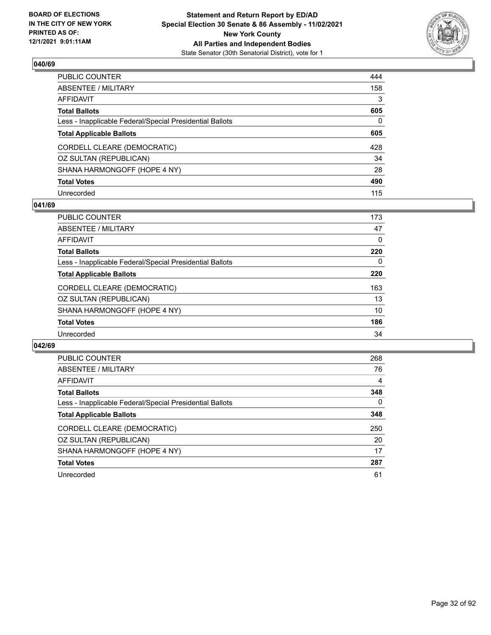

| PUBLIC COUNTER                                           | 444 |
|----------------------------------------------------------|-----|
| ABSENTEE / MILITARY                                      | 158 |
| AFFIDAVIT                                                | 3   |
| Total Ballots                                            | 605 |
| Less - Inapplicable Federal/Special Presidential Ballots | 0   |
| <b>Total Applicable Ballots</b>                          | 605 |
| CORDELL CLEARE (DEMOCRATIC)                              | 428 |
| OZ SULTAN (REPUBLICAN)                                   | 34  |
| SHANA HARMONGOFF (HOPE 4 NY)                             | 28  |
| <b>Total Votes</b>                                       | 490 |
| Unrecorded                                               | 115 |

### **041/69**

| 173      |
|----------|
| 47       |
| $\Omega$ |
| 220      |
| 0        |
| 220      |
| 163      |
| 13       |
| 10       |
| 186      |
| 34       |
|          |

| PUBLIC COUNTER                                           | 268      |
|----------------------------------------------------------|----------|
| ABSENTEE / MILITARY                                      | 76       |
| AFFIDAVIT                                                | 4        |
| <b>Total Ballots</b>                                     | 348      |
| Less - Inapplicable Federal/Special Presidential Ballots | $\Omega$ |
| <b>Total Applicable Ballots</b>                          | 348      |
| CORDELL CLEARE (DEMOCRATIC)                              | 250      |
| OZ SULTAN (REPUBLICAN)                                   | 20       |
| SHANA HARMONGOFF (HOPE 4 NY)                             | 17       |
| <b>Total Votes</b>                                       | 287      |
| Unrecorded                                               | 61       |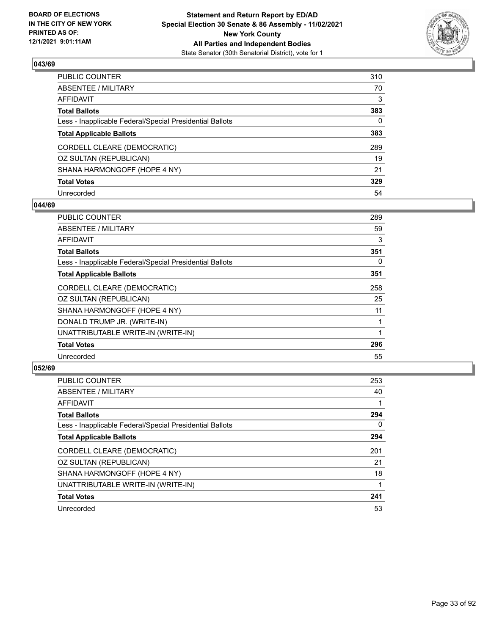

| PUBLIC COUNTER                                           | 310          |
|----------------------------------------------------------|--------------|
| ABSENTEE / MILITARY                                      | 70           |
| AFFIDAVIT                                                | 3            |
| Total Ballots                                            | 383          |
| Less - Inapplicable Federal/Special Presidential Ballots | $\mathbf{0}$ |
| <b>Total Applicable Ballots</b>                          | 383          |
| CORDELL CLEARE (DEMOCRATIC)                              | 289          |
| OZ SULTAN (REPUBLICAN)                                   | 19           |
| SHANA HARMONGOFF (HOPE 4 NY)                             | 21           |
| <b>Total Votes</b>                                       | 329          |
| Unrecorded                                               | 54           |

### **044/69**

| PUBLIC COUNTER                                           | 289 |
|----------------------------------------------------------|-----|
| <b>ABSENTEE / MILITARY</b>                               | 59  |
| <b>AFFIDAVIT</b>                                         | 3   |
| <b>Total Ballots</b>                                     | 351 |
| Less - Inapplicable Federal/Special Presidential Ballots | 0   |
| <b>Total Applicable Ballots</b>                          | 351 |
| CORDELL CLEARE (DEMOCRATIC)                              | 258 |
| OZ SULTAN (REPUBLICAN)                                   | 25  |
| SHANA HARMONGOFF (HOPE 4 NY)                             | 11  |
| DONALD TRUMP JR. (WRITE-IN)                              | 1   |
| UNATTRIBUTABLE WRITE-IN (WRITE-IN)                       |     |
| <b>Total Votes</b>                                       | 296 |
| Unrecorded                                               | 55  |
|                                                          |     |

| <b>PUBLIC COUNTER</b>                                    | 253      |
|----------------------------------------------------------|----------|
| ABSENTEE / MILITARY                                      | 40       |
| AFFIDAVIT                                                |          |
| <b>Total Ballots</b>                                     | 294      |
| Less - Inapplicable Federal/Special Presidential Ballots | $\Omega$ |
| <b>Total Applicable Ballots</b>                          | 294      |
| CORDELL CLEARE (DEMOCRATIC)                              | 201      |
| OZ SULTAN (REPUBLICAN)                                   | 21       |
| SHANA HARMONGOFF (HOPE 4 NY)                             | 18       |
| UNATTRIBUTABLE WRITE-IN (WRITE-IN)                       |          |
| <b>Total Votes</b>                                       | 241      |
| Unrecorded                                               | 53       |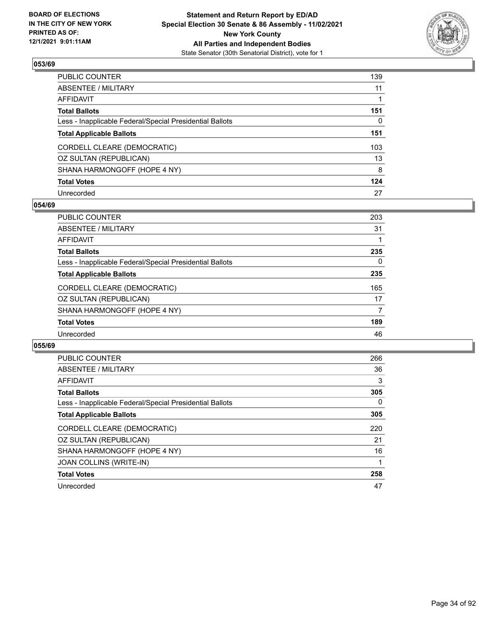

| PUBLIC COUNTER                                           | 139 |
|----------------------------------------------------------|-----|
| ABSENTEE / MILITARY                                      | 11  |
| AFFIDAVIT                                                | 1   |
| Total Ballots                                            | 151 |
| Less - Inapplicable Federal/Special Presidential Ballots | 0   |
| <b>Total Applicable Ballots</b>                          | 151 |
| CORDELL CLEARE (DEMOCRATIC)                              | 103 |
| OZ SULTAN (REPUBLICAN)                                   | 13  |
| SHANA HARMONGOFF (HOPE 4 NY)                             | 8   |
| <b>Total Votes</b>                                       | 124 |
| Unrecorded                                               | 27  |

### **054/69**

| <b>PUBLIC COUNTER</b>                                    | 203 |
|----------------------------------------------------------|-----|
| ABSENTEE / MILITARY                                      | 31  |
| AFFIDAVIT                                                |     |
| <b>Total Ballots</b>                                     | 235 |
| Less - Inapplicable Federal/Special Presidential Ballots | 0   |
| <b>Total Applicable Ballots</b>                          | 235 |
| CORDELL CLEARE (DEMOCRATIC)                              | 165 |
| OZ SULTAN (REPUBLICAN)                                   | 17  |
| SHANA HARMONGOFF (HOPE 4 NY)                             | 7   |
| <b>Total Votes</b>                                       | 189 |
| Unrecorded                                               | 46  |
|                                                          |     |

| PUBLIC COUNTER                                           | 266 |
|----------------------------------------------------------|-----|
| ABSENTEE / MILITARY                                      | 36  |
| <b>AFFIDAVIT</b>                                         | 3   |
| <b>Total Ballots</b>                                     | 305 |
| Less - Inapplicable Federal/Special Presidential Ballots | 0   |
| <b>Total Applicable Ballots</b>                          | 305 |
| CORDELL CLEARE (DEMOCRATIC)                              | 220 |
| OZ SULTAN (REPUBLICAN)                                   | 21  |
| SHANA HARMONGOFF (HOPE 4 NY)                             | 16  |
| JOAN COLLINS (WRITE-IN)                                  |     |
| <b>Total Votes</b>                                       | 258 |
| Unrecorded                                               | 47  |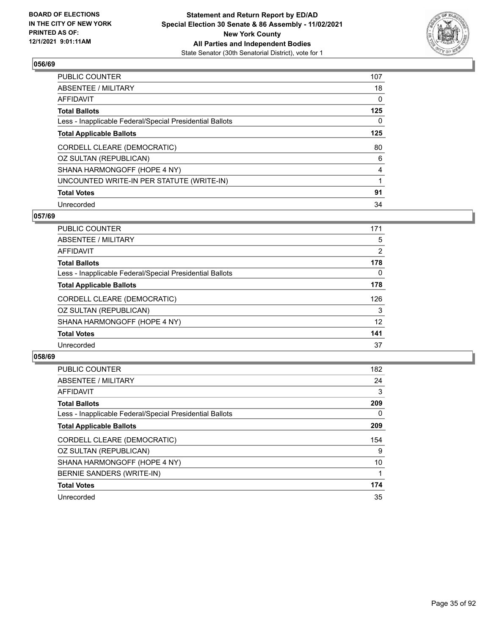

| PUBLIC COUNTER                                           | 107            |
|----------------------------------------------------------|----------------|
| ABSENTEE / MILITARY                                      | 18             |
| AFFIDAVIT                                                | 0              |
| Total Ballots                                            | 125            |
| Less - Inapplicable Federal/Special Presidential Ballots | 0              |
| <b>Total Applicable Ballots</b>                          | 125            |
| CORDELL CLEARE (DEMOCRATIC)                              | 80             |
| OZ SULTAN (REPUBLICAN)                                   | 6              |
| SHANA HARMONGOFF (HOPE 4 NY)                             | $\overline{4}$ |
| UNCOUNTED WRITE-IN PER STATUTE (WRITE-IN)                |                |
| <b>Total Votes</b>                                       | 91             |
| Unrecorded                                               | 34             |

### **057/69**

| PUBLIC COUNTER                                           | 171 |
|----------------------------------------------------------|-----|
| ABSENTEE / MILITARY                                      | 5   |
| AFFIDAVIT                                                | 2   |
| <b>Total Ballots</b>                                     | 178 |
| Less - Inapplicable Federal/Special Presidential Ballots | 0   |
| <b>Total Applicable Ballots</b>                          | 178 |
| CORDELL CLEARE (DEMOCRATIC)                              | 126 |
| OZ SULTAN (REPUBLICAN)                                   | 3   |
| SHANA HARMONGOFF (HOPE 4 NY)                             | 12  |
| <b>Total Votes</b>                                       | 141 |
| Unrecorded                                               | 37  |
|                                                          |     |

| <b>PUBLIC COUNTER</b>                                    | 182      |
|----------------------------------------------------------|----------|
| ABSENTEE / MILITARY                                      | 24       |
| <b>AFFIDAVIT</b>                                         | 3        |
| <b>Total Ballots</b>                                     | 209      |
| Less - Inapplicable Federal/Special Presidential Ballots | $\Omega$ |
| <b>Total Applicable Ballots</b>                          | 209      |
| CORDELL CLEARE (DEMOCRATIC)                              | 154      |
| OZ SULTAN (REPUBLICAN)                                   | 9        |
| SHANA HARMONGOFF (HOPE 4 NY)                             | 10       |
| BERNIE SANDERS (WRITE-IN)                                |          |
| <b>Total Votes</b>                                       | 174      |
| Unrecorded                                               | 35       |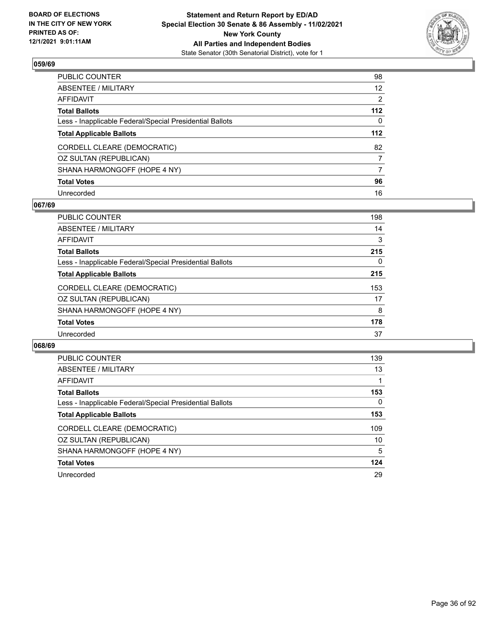

| PUBLIC COUNTER                                           | 98              |
|----------------------------------------------------------|-----------------|
| ABSENTEE / MILITARY                                      | 12 <sup>2</sup> |
| AFFIDAVIT                                                | 2               |
| Total Ballots                                            | 112             |
| Less - Inapplicable Federal/Special Presidential Ballots | 0               |
| <b>Total Applicable Ballots</b>                          | 112             |
| CORDELL CLEARE (DEMOCRATIC)                              | 82              |
| OZ SULTAN (REPUBLICAN)                                   | 7               |
| SHANA HARMONGOFF (HOPE 4 NY)                             | 7               |
| <b>Total Votes</b>                                       | 96              |
| Unrecorded                                               | 16              |

## **067/69**

| <b>PUBLIC COUNTER</b>                                    | 198 |
|----------------------------------------------------------|-----|
| ABSENTEE / MILITARY                                      | 14  |
| <b>AFFIDAVIT</b>                                         | 3   |
| <b>Total Ballots</b>                                     | 215 |
| Less - Inapplicable Federal/Special Presidential Ballots | 0   |
| <b>Total Applicable Ballots</b>                          | 215 |
| CORDELL CLEARE (DEMOCRATIC)                              | 153 |
| OZ SULTAN (REPUBLICAN)                                   | 17  |
| SHANA HARMONGOFF (HOPE 4 NY)                             | 8   |
| <b>Total Votes</b>                                       | 178 |
| Unrecorded                                               | 37  |
|                                                          |     |

| PUBLIC COUNTER                                           | 139 |
|----------------------------------------------------------|-----|
| ABSENTEE / MILITARY                                      | 13  |
| AFFIDAVIT                                                |     |
| <b>Total Ballots</b>                                     | 153 |
| Less - Inapplicable Federal/Special Presidential Ballots | 0   |
| <b>Total Applicable Ballots</b>                          | 153 |
| CORDELL CLEARE (DEMOCRATIC)                              | 109 |
| OZ SULTAN (REPUBLICAN)                                   | 10  |
| SHANA HARMONGOFF (HOPE 4 NY)                             | 5   |
| <b>Total Votes</b>                                       | 124 |
| Unrecorded                                               | 29  |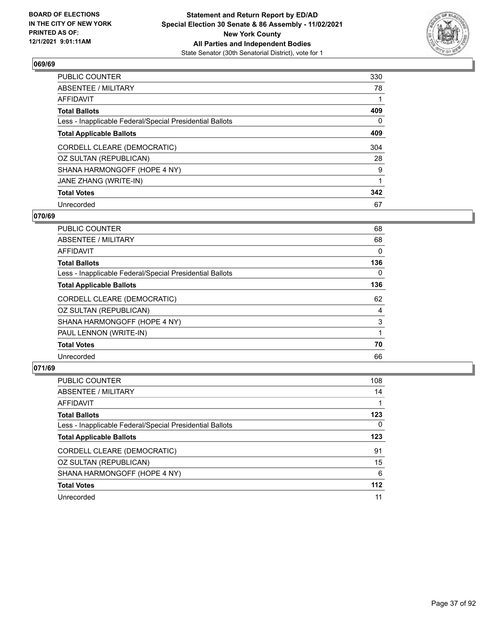

| PUBLIC COUNTER                                           | 330 |
|----------------------------------------------------------|-----|
| ABSENTEE / MILITARY                                      | 78  |
| AFFIDAVIT                                                |     |
| Total Ballots                                            | 409 |
| Less - Inapplicable Federal/Special Presidential Ballots | 0   |
| <b>Total Applicable Ballots</b>                          | 409 |
| CORDELL CLEARE (DEMOCRATIC)                              | 304 |
| OZ SULTAN (REPUBLICAN)                                   | 28  |
| SHANA HARMONGOFF (HOPE 4 NY)                             | 9   |
| JANE ZHANG (WRITE-IN)                                    | 1   |
| <b>Total Votes</b>                                       | 342 |
| Unrecorded                                               | 67  |

#### **070/69**

| <b>PUBLIC COUNTER</b>                                    | 68       |
|----------------------------------------------------------|----------|
| ABSENTEE / MILITARY                                      | 68       |
| <b>AFFIDAVIT</b>                                         | 0        |
| <b>Total Ballots</b>                                     | 136      |
| Less - Inapplicable Federal/Special Presidential Ballots | $\Omega$ |
| <b>Total Applicable Ballots</b>                          | 136      |
| CORDELL CLEARE (DEMOCRATIC)                              | 62       |
| OZ SULTAN (REPUBLICAN)                                   | 4        |
| SHANA HARMONGOFF (HOPE 4 NY)                             | 3        |
| PAUL LENNON (WRITE-IN)                                   |          |
| <b>Total Votes</b>                                       | 70       |
| Unrecorded                                               | 66       |

| PUBLIC COUNTER                                           | 108      |
|----------------------------------------------------------|----------|
| <b>ABSENTEE / MILITARY</b>                               | 14       |
| AFFIDAVIT                                                |          |
| <b>Total Ballots</b>                                     | 123      |
| Less - Inapplicable Federal/Special Presidential Ballots | $\Omega$ |
| <b>Total Applicable Ballots</b>                          | 123      |
| CORDELL CLEARE (DEMOCRATIC)                              | 91       |
| OZ SULTAN (REPUBLICAN)                                   | 15       |
| SHANA HARMONGOFF (HOPE 4 NY)                             | 6        |
| <b>Total Votes</b>                                       | 112      |
| Unrecorded                                               | 11       |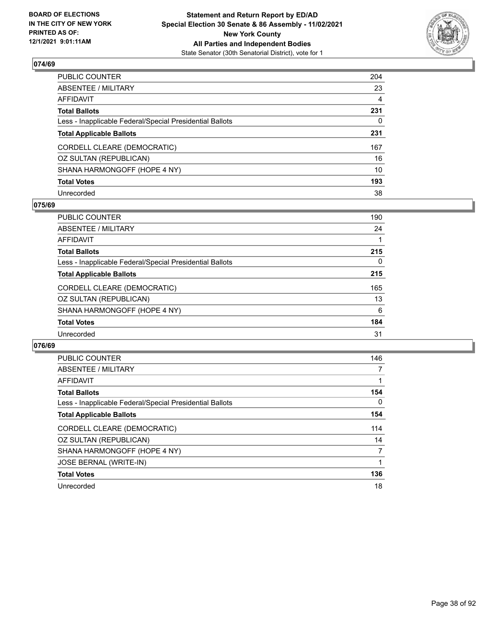

| PUBLIC COUNTER                                           | 204            |
|----------------------------------------------------------|----------------|
| ABSENTEE / MILITARY                                      | 23             |
| AFFIDAVIT                                                | $\overline{4}$ |
| Total Ballots                                            | 231            |
| Less - Inapplicable Federal/Special Presidential Ballots | 0              |
| <b>Total Applicable Ballots</b>                          | 231            |
| CORDELL CLEARE (DEMOCRATIC)                              | 167            |
| OZ SULTAN (REPUBLICAN)                                   | 16             |
| SHANA HARMONGOFF (HOPE 4 NY)                             | 10             |
| <b>Total Votes</b>                                       | 193            |
| Unrecorded                                               | 38             |

### **075/69**

| <b>PUBLIC COUNTER</b>                                    | 190 |
|----------------------------------------------------------|-----|
| ABSENTEE / MILITARY                                      | 24  |
| AFFIDAVIT                                                |     |
| <b>Total Ballots</b>                                     | 215 |
| Less - Inapplicable Federal/Special Presidential Ballots | 0   |
| <b>Total Applicable Ballots</b>                          | 215 |
| CORDELL CLEARE (DEMOCRATIC)                              | 165 |
| OZ SULTAN (REPUBLICAN)                                   | 13  |
| SHANA HARMONGOFF (HOPE 4 NY)                             | 6   |
| <b>Total Votes</b>                                       | 184 |
| Unrecorded                                               | 31  |

| <b>PUBLIC COUNTER</b>                                    | 146      |
|----------------------------------------------------------|----------|
| <b>ABSENTEE / MILITARY</b>                               |          |
| AFFIDAVIT                                                |          |
| <b>Total Ballots</b>                                     | 154      |
| Less - Inapplicable Federal/Special Presidential Ballots | $\Omega$ |
| <b>Total Applicable Ballots</b>                          | 154      |
| CORDELL CLEARE (DEMOCRATIC)                              | 114      |
| OZ SULTAN (REPUBLICAN)                                   | 14       |
| SHANA HARMONGOFF (HOPE 4 NY)                             | 7        |
| <b>JOSE BERNAL (WRITE-IN)</b>                            |          |
| <b>Total Votes</b>                                       | 136      |
| Unrecorded                                               | 18       |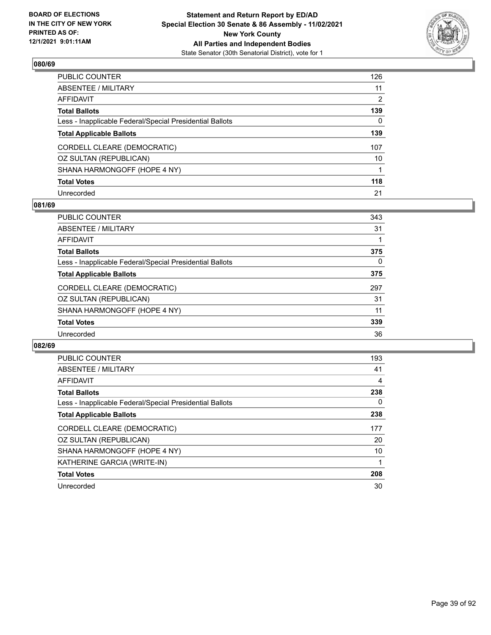

| PUBLIC COUNTER                                           | 126 |
|----------------------------------------------------------|-----|
| ABSENTEE / MILITARY                                      | 11  |
| AFFIDAVIT                                                | 2   |
| Total Ballots                                            | 139 |
| Less - Inapplicable Federal/Special Presidential Ballots | 0   |
| <b>Total Applicable Ballots</b>                          | 139 |
| CORDELL CLEARE (DEMOCRATIC)                              | 107 |
| OZ SULTAN (REPUBLICAN)                                   | 10  |
| SHANA HARMONGOFF (HOPE 4 NY)                             | 1   |
| <b>Total Votes</b>                                       | 118 |
| Unrecorded                                               | 21  |

### **081/69**

| <b>PUBLIC COUNTER</b>                                    | 343 |
|----------------------------------------------------------|-----|
| ABSENTEE / MILITARY                                      | 31  |
| <b>AFFIDAVIT</b>                                         |     |
| <b>Total Ballots</b>                                     | 375 |
| Less - Inapplicable Federal/Special Presidential Ballots | 0   |
| <b>Total Applicable Ballots</b>                          | 375 |
| CORDELL CLEARE (DEMOCRATIC)                              | 297 |
| OZ SULTAN (REPUBLICAN)                                   | 31  |
| SHANA HARMONGOFF (HOPE 4 NY)                             | 11  |
| <b>Total Votes</b>                                       | 339 |
| Unrecorded                                               | 36  |
|                                                          |     |

| <b>PUBLIC COUNTER</b>                                    | 193 |
|----------------------------------------------------------|-----|
| ABSENTEE / MILITARY                                      | 41  |
| <b>AFFIDAVIT</b>                                         | 4   |
| <b>Total Ballots</b>                                     | 238 |
| Less - Inapplicable Federal/Special Presidential Ballots | 0   |
| <b>Total Applicable Ballots</b>                          | 238 |
| CORDELL CLEARE (DEMOCRATIC)                              | 177 |
| OZ SULTAN (REPUBLICAN)                                   | 20  |
| SHANA HARMONGOFF (HOPE 4 NY)                             | 10  |
| KATHERINE GARCIA (WRITE-IN)                              |     |
| <b>Total Votes</b>                                       | 208 |
| Unrecorded                                               | 30  |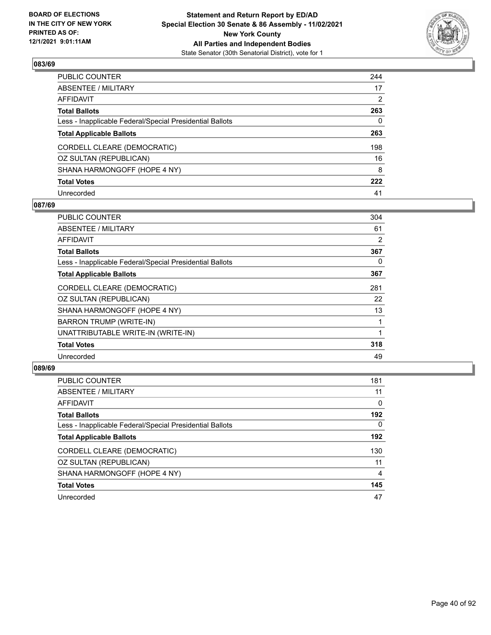

| PUBLIC COUNTER                                           | 244 |
|----------------------------------------------------------|-----|
| ABSENTEE / MILITARY                                      | 17  |
| AFFIDAVIT                                                | 2   |
| Total Ballots                                            | 263 |
| Less - Inapplicable Federal/Special Presidential Ballots | 0   |
| <b>Total Applicable Ballots</b>                          | 263 |
| CORDELL CLEARE (DEMOCRATIC)                              | 198 |
| OZ SULTAN (REPUBLICAN)                                   | 16  |
| SHANA HARMONGOFF (HOPE 4 NY)                             | 8   |
| <b>Total Votes</b>                                       | 222 |
| Unrecorded                                               | 41  |

### **087/69**

| PUBLIC COUNTER                                           | 304 |
|----------------------------------------------------------|-----|
| ABSENTEE / MILITARY                                      | 61  |
| AFFIDAVIT                                                | 2   |
| <b>Total Ballots</b>                                     | 367 |
| Less - Inapplicable Federal/Special Presidential Ballots | 0   |
| <b>Total Applicable Ballots</b>                          | 367 |
| CORDELL CLEARE (DEMOCRATIC)                              | 281 |
| OZ SULTAN (REPUBLICAN)                                   | 22  |
| SHANA HARMONGOFF (HOPE 4 NY)                             | 13  |
| <b>BARRON TRUMP (WRITE-IN)</b>                           | 1   |
| UNATTRIBUTABLE WRITE-IN (WRITE-IN)                       |     |
| <b>Total Votes</b>                                       | 318 |
| Unrecorded                                               | 49  |

| <b>PUBLIC COUNTER</b>                                    | 181      |
|----------------------------------------------------------|----------|
| ABSENTEE / MILITARY                                      | 11       |
| AFFIDAVIT                                                | $\Omega$ |
| <b>Total Ballots</b>                                     | 192      |
| Less - Inapplicable Federal/Special Presidential Ballots | $\Omega$ |
| <b>Total Applicable Ballots</b>                          | 192      |
| CORDELL CLEARE (DEMOCRATIC)                              | 130      |
| OZ SULTAN (REPUBLICAN)                                   | 11       |
| SHANA HARMONGOFF (HOPE 4 NY)                             | 4        |
| <b>Total Votes</b>                                       | 145      |
| Unrecorded                                               | 47       |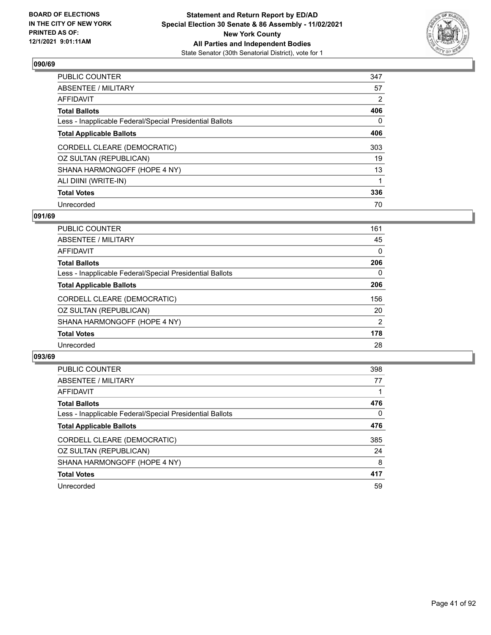

| PUBLIC COUNTER                                           | 347            |
|----------------------------------------------------------|----------------|
| ABSENTEE / MILITARY                                      | 57             |
| AFFIDAVIT                                                | $\overline{2}$ |
| Total Ballots                                            | 406            |
| Less - Inapplicable Federal/Special Presidential Ballots | 0              |
| <b>Total Applicable Ballots</b>                          | 406            |
| CORDELL CLEARE (DEMOCRATIC)                              | 303            |
| OZ SULTAN (REPUBLICAN)                                   | 19             |
| SHANA HARMONGOFF (HOPE 4 NY)                             | 13             |
| ALI DIINI (WRITE-IN)                                     | 1              |
| <b>Total Votes</b>                                       | 336            |
| Unrecorded                                               | 70             |

#### **091/69**

| <b>PUBLIC COUNTER</b>                                    | 161           |
|----------------------------------------------------------|---------------|
| ABSENTEE / MILITARY                                      | 45            |
| <b>AFFIDAVIT</b>                                         | 0             |
| <b>Total Ballots</b>                                     | 206           |
| Less - Inapplicable Federal/Special Presidential Ballots | 0             |
| <b>Total Applicable Ballots</b>                          | 206           |
| CORDELL CLEARE (DEMOCRATIC)                              | 156           |
| OZ SULTAN (REPUBLICAN)                                   | 20            |
| SHANA HARMONGOFF (HOPE 4 NY)                             | $\mathcal{P}$ |
| <b>Total Votes</b>                                       | 178           |
| Unrecorded                                               | 28            |

| <b>PUBLIC COUNTER</b>                                    | 398 |
|----------------------------------------------------------|-----|
| ABSENTEE / MILITARY                                      | 77  |
| <b>AFFIDAVIT</b>                                         |     |
| <b>Total Ballots</b>                                     | 476 |
| Less - Inapplicable Federal/Special Presidential Ballots | 0   |
| <b>Total Applicable Ballots</b>                          | 476 |
| CORDELL CLEARE (DEMOCRATIC)                              | 385 |
| OZ SULTAN (REPUBLICAN)                                   | 24  |
| SHANA HARMONGOFF (HOPE 4 NY)                             | 8   |
| <b>Total Votes</b>                                       | 417 |
| Unrecorded                                               | 59  |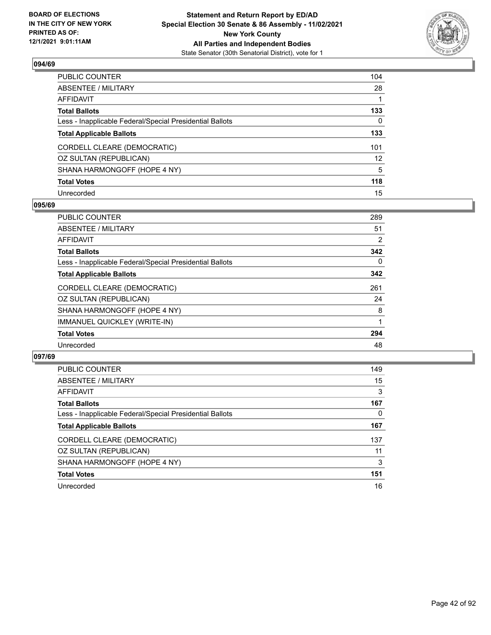

| PUBLIC COUNTER                                           | 104 |
|----------------------------------------------------------|-----|
| ABSENTEE / MILITARY                                      | 28  |
| AFFIDAVIT                                                |     |
| Total Ballots                                            | 133 |
| Less - Inapplicable Federal/Special Presidential Ballots | 0   |
| <b>Total Applicable Ballots</b>                          | 133 |
| CORDELL CLEARE (DEMOCRATIC)                              | 101 |
| OZ SULTAN (REPUBLICAN)                                   | 12  |
| SHANA HARMONGOFF (HOPE 4 NY)                             | 5   |
| <b>Total Votes</b>                                       | 118 |
| Unrecorded                                               | 15  |

#### **095/69**

| PUBLIC COUNTER                                           | 289 |
|----------------------------------------------------------|-----|
| ABSENTEE / MILITARY                                      | 51  |
| AFFIDAVIT                                                | 2   |
| <b>Total Ballots</b>                                     | 342 |
| Less - Inapplicable Federal/Special Presidential Ballots | 0   |
| <b>Total Applicable Ballots</b>                          | 342 |
| CORDELL CLEARE (DEMOCRATIC)                              | 261 |
| OZ SULTAN (REPUBLICAN)                                   | 24  |
| SHANA HARMONGOFF (HOPE 4 NY)                             | 8   |
| IMMANUEL QUICKLEY (WRITE-IN)                             |     |
| <b>Total Votes</b>                                       | 294 |
| Unrecorded                                               | 48  |
|                                                          |     |

| <b>PUBLIC COUNTER</b>                                    | 149 |
|----------------------------------------------------------|-----|
| ABSENTEE / MILITARY                                      | 15  |
| AFFIDAVIT                                                | 3   |
| <b>Total Ballots</b>                                     | 167 |
| Less - Inapplicable Federal/Special Presidential Ballots | 0   |
| <b>Total Applicable Ballots</b>                          | 167 |
| CORDELL CLEARE (DEMOCRATIC)                              | 137 |
| OZ SULTAN (REPUBLICAN)                                   | 11  |
| SHANA HARMONGOFF (HOPE 4 NY)                             | 3   |
| <b>Total Votes</b>                                       | 151 |
| Unrecorded                                               | 16  |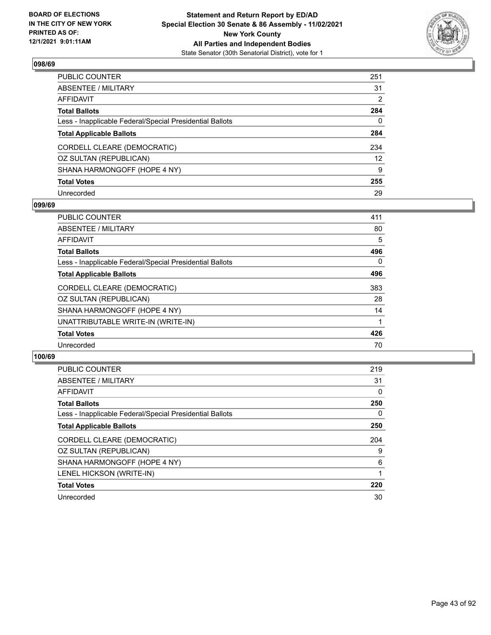

| PUBLIC COUNTER                                           | 251               |
|----------------------------------------------------------|-------------------|
| ABSENTEE / MILITARY                                      | 31                |
| AFFIDAVIT                                                | 2                 |
| Total Ballots                                            | 284               |
| Less - Inapplicable Federal/Special Presidential Ballots | 0                 |
| <b>Total Applicable Ballots</b>                          | 284               |
| CORDELL CLEARE (DEMOCRATIC)                              | 234               |
| OZ SULTAN (REPUBLICAN)                                   | $12 \overline{ }$ |
| SHANA HARMONGOFF (HOPE 4 NY)                             | 9                 |
| <b>Total Votes</b>                                       | 255               |
| Unrecorded                                               | 29                |

#### **099/69**

| <b>PUBLIC COUNTER</b>                                    | 411 |
|----------------------------------------------------------|-----|
| ABSENTEE / MILITARY                                      | 80  |
| AFFIDAVIT                                                | 5   |
| <b>Total Ballots</b>                                     | 496 |
| Less - Inapplicable Federal/Special Presidential Ballots | 0   |
| <b>Total Applicable Ballots</b>                          | 496 |
| CORDELL CLEARE (DEMOCRATIC)                              | 383 |
| OZ SULTAN (REPUBLICAN)                                   | 28  |
| SHANA HARMONGOFF (HOPE 4 NY)                             | 14  |
| UNATTRIBUTABLE WRITE-IN (WRITE-IN)                       |     |
| <b>Total Votes</b>                                       | 426 |
| Unrecorded                                               | 70  |
|                                                          |     |

| <b>PUBLIC COUNTER</b>                                    | 219 |
|----------------------------------------------------------|-----|
| <b>ABSENTEE / MILITARY</b>                               | 31  |
| <b>AFFIDAVIT</b>                                         | 0   |
| <b>Total Ballots</b>                                     | 250 |
| Less - Inapplicable Federal/Special Presidential Ballots | 0   |
| <b>Total Applicable Ballots</b>                          | 250 |
| CORDELL CLEARE (DEMOCRATIC)                              | 204 |
| OZ SULTAN (REPUBLICAN)                                   | 9   |
| SHANA HARMONGOFF (HOPE 4 NY)                             | 6   |
| LENEL HICKSON (WRITE-IN)                                 |     |
| <b>Total Votes</b>                                       | 220 |
| Unrecorded                                               | 30  |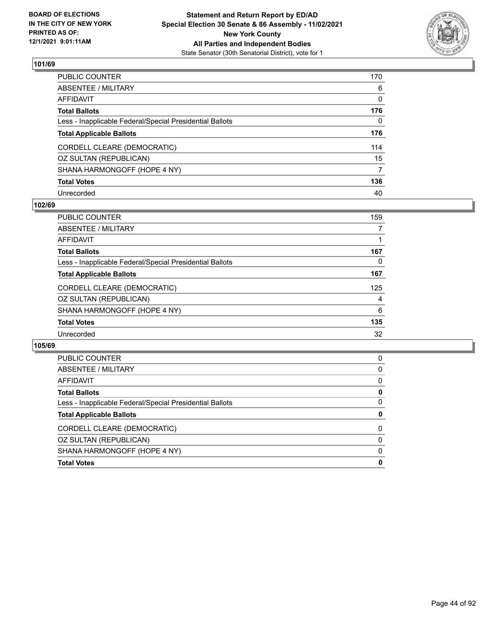

| PUBLIC COUNTER                                           | 170 |
|----------------------------------------------------------|-----|
| ABSENTEE / MILITARY                                      | 6   |
| AFFIDAVIT                                                | 0   |
| Total Ballots                                            | 176 |
| Less - Inapplicable Federal/Special Presidential Ballots | 0   |
| <b>Total Applicable Ballots</b>                          | 176 |
| CORDELL CLEARE (DEMOCRATIC)                              | 114 |
| OZ SULTAN (REPUBLICAN)                                   | 15  |
| SHANA HARMONGOFF (HOPE 4 NY)                             | 7   |
| <b>Total Votes</b>                                       | 136 |
| Unrecorded                                               | 40  |

#### **102/69**

| <b>PUBLIC COUNTER</b>                                    | 159 |
|----------------------------------------------------------|-----|
| ABSENTEE / MILITARY                                      |     |
| AFFIDAVIT                                                |     |
| <b>Total Ballots</b>                                     | 167 |
| Less - Inapplicable Federal/Special Presidential Ballots | 0   |
| <b>Total Applicable Ballots</b>                          | 167 |
| CORDELL CLEARE (DEMOCRATIC)                              | 125 |
| OZ SULTAN (REPUBLICAN)                                   | 4   |
| SHANA HARMONGOFF (HOPE 4 NY)                             | 6   |
| <b>Total Votes</b>                                       | 135 |
| Unrecorded                                               | 32  |

| PUBLIC COUNTER                                           | 0        |
|----------------------------------------------------------|----------|
| ABSENTEE / MILITARY                                      | 0        |
| AFFIDAVIT                                                | $\Omega$ |
| <b>Total Ballots</b>                                     | 0        |
| Less - Inapplicable Federal/Special Presidential Ballots | $\Omega$ |
|                                                          |          |
| <b>Total Applicable Ballots</b>                          | 0        |
| CORDELL CLEARE (DEMOCRATIC)                              | $\Omega$ |
| OZ SULTAN (REPUBLICAN)                                   | $\Omega$ |
| SHANA HARMONGOFF (HOPE 4 NY)                             | $\Omega$ |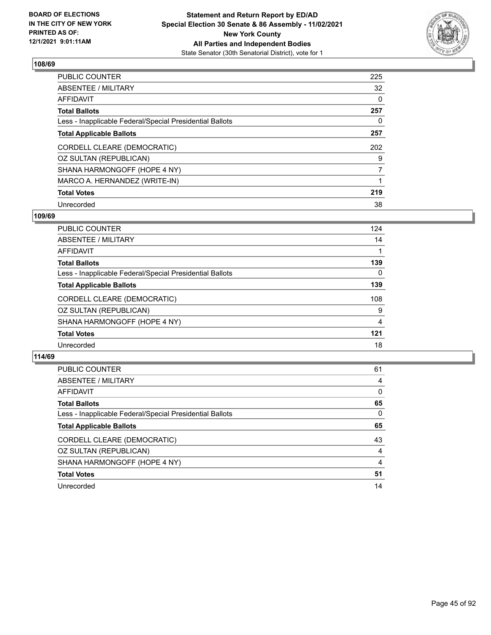

| PUBLIC COUNTER                                           | 225            |
|----------------------------------------------------------|----------------|
| ABSENTEE / MILITARY                                      | 32             |
| AFFIDAVIT                                                | 0              |
| Total Ballots                                            | 257            |
| Less - Inapplicable Federal/Special Presidential Ballots | 0              |
| <b>Total Applicable Ballots</b>                          | 257            |
| CORDELL CLEARE (DEMOCRATIC)                              | 202            |
| OZ SULTAN (REPUBLICAN)                                   | 9              |
| SHANA HARMONGOFF (HOPE 4 NY)                             | $\overline{7}$ |
| MARCO A. HERNANDEZ (WRITE-IN)                            |                |
| <b>Total Votes</b>                                       | 219            |
| Unrecorded                                               | 38             |

#### **109/69**

| <b>PUBLIC COUNTER</b>                                    | 124 |
|----------------------------------------------------------|-----|
| ABSENTEE / MILITARY                                      | 14  |
| AFFIDAVIT                                                |     |
| <b>Total Ballots</b>                                     | 139 |
| Less - Inapplicable Federal/Special Presidential Ballots | 0   |
| <b>Total Applicable Ballots</b>                          | 139 |
| CORDELL CLEARE (DEMOCRATIC)                              | 108 |
| OZ SULTAN (REPUBLICAN)                                   | 9   |
| SHANA HARMONGOFF (HOPE 4 NY)                             | 4   |
| <b>Total Votes</b>                                       | 121 |
| Unrecorded                                               | 18  |
|                                                          |     |

| <b>PUBLIC COUNTER</b>                                    | 61       |
|----------------------------------------------------------|----------|
| ABSENTEE / MILITARY                                      | 4        |
| AFFIDAVIT                                                | $\Omega$ |
| <b>Total Ballots</b>                                     | 65       |
| Less - Inapplicable Federal/Special Presidential Ballots | $\Omega$ |
| <b>Total Applicable Ballots</b>                          | 65       |
| CORDELL CLEARE (DEMOCRATIC)                              | 43       |
| OZ SULTAN (REPUBLICAN)                                   | 4        |
| SHANA HARMONGOFF (HOPE 4 NY)                             | 4        |
| <b>Total Votes</b>                                       | 51       |
| Unrecorded                                               | 14       |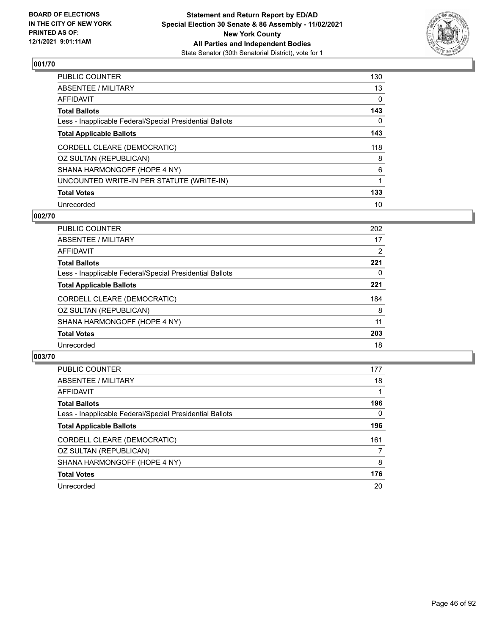

| PUBLIC COUNTER                                           | 130 |
|----------------------------------------------------------|-----|
| ABSENTEE / MILITARY                                      | 13  |
| AFFIDAVIT                                                | 0   |
| Total Ballots                                            | 143 |
| Less - Inapplicable Federal/Special Presidential Ballots | 0   |
| <b>Total Applicable Ballots</b>                          | 143 |
| CORDELL CLEARE (DEMOCRATIC)                              | 118 |
| OZ SULTAN (REPUBLICAN)                                   | 8   |
| SHANA HARMONGOFF (HOPE 4 NY)                             | 6   |
| UNCOUNTED WRITE-IN PER STATUTE (WRITE-IN)                | 1   |
| <b>Total Votes</b>                                       | 133 |
| Unrecorded                                               | 10  |

#### **002/70**

| <b>PUBLIC COUNTER</b>                                    | 202            |
|----------------------------------------------------------|----------------|
| ABSENTEE / MILITARY                                      | 17             |
| <b>AFFIDAVIT</b>                                         | $\overline{2}$ |
| <b>Total Ballots</b>                                     | 221            |
| Less - Inapplicable Federal/Special Presidential Ballots | 0              |
| <b>Total Applicable Ballots</b>                          | 221            |
| CORDELL CLEARE (DEMOCRATIC)                              | 184            |
| OZ SULTAN (REPUBLICAN)                                   | 8              |
| SHANA HARMONGOFF (HOPE 4 NY)                             | 11             |
| <b>Total Votes</b>                                       | 203            |
| Unrecorded                                               | 18             |

| <b>PUBLIC COUNTER</b>                                    | 177      |
|----------------------------------------------------------|----------|
| ABSENTEE / MILITARY                                      | 18       |
| <b>AFFIDAVIT</b>                                         |          |
| <b>Total Ballots</b>                                     | 196      |
| Less - Inapplicable Federal/Special Presidential Ballots | $\Omega$ |
| <b>Total Applicable Ballots</b>                          | 196      |
| CORDELL CLEARE (DEMOCRATIC)                              | 161      |
| OZ SULTAN (REPUBLICAN)                                   |          |
| SHANA HARMONGOFF (HOPE 4 NY)                             | 8        |
| <b>Total Votes</b>                                       | 176      |
| Unrecorded                                               | 20       |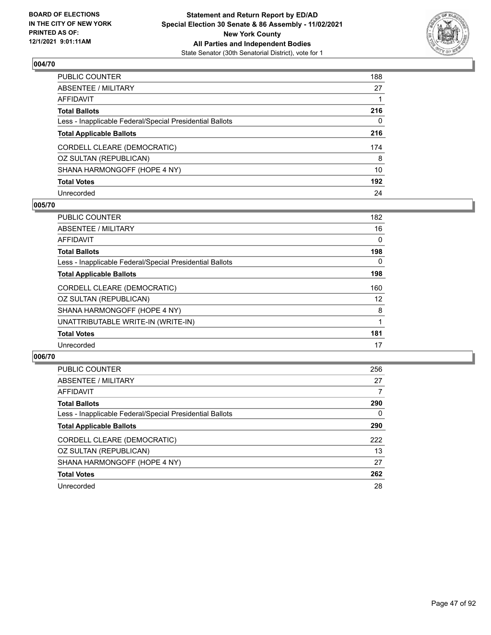

| PUBLIC COUNTER                                           | 188 |
|----------------------------------------------------------|-----|
| ABSENTEE / MILITARY                                      | 27  |
| AFFIDAVIT                                                |     |
| Total Ballots                                            | 216 |
| Less - Inapplicable Federal/Special Presidential Ballots | 0   |
| <b>Total Applicable Ballots</b>                          | 216 |
| CORDELL CLEARE (DEMOCRATIC)                              | 174 |
| OZ SULTAN (REPUBLICAN)                                   | 8   |
| SHANA HARMONGOFF (HOPE 4 NY)                             | 10  |
| <b>Total Votes</b>                                       | 192 |
| Unrecorded                                               | 24  |

#### **005/70**

| <b>PUBLIC COUNTER</b>                                    | 182 |
|----------------------------------------------------------|-----|
| ABSENTEE / MILITARY                                      | 16  |
| AFFIDAVIT                                                | 0   |
| <b>Total Ballots</b>                                     | 198 |
| Less - Inapplicable Federal/Special Presidential Ballots | 0   |
| <b>Total Applicable Ballots</b>                          | 198 |
| CORDELL CLEARE (DEMOCRATIC)                              | 160 |
| OZ SULTAN (REPUBLICAN)                                   | 12  |
| SHANA HARMONGOFF (HOPE 4 NY)                             | 8   |
| UNATTRIBUTABLE WRITE-IN (WRITE-IN)                       |     |
| <b>Total Votes</b>                                       | 181 |
| Unrecorded                                               | 17  |
|                                                          |     |

| <b>PUBLIC COUNTER</b>                                    | 256 |
|----------------------------------------------------------|-----|
| ABSENTEE / MILITARY                                      | 27  |
| AFFIDAVIT                                                | 7   |
| <b>Total Ballots</b>                                     | 290 |
| Less - Inapplicable Federal/Special Presidential Ballots | 0   |
| <b>Total Applicable Ballots</b>                          | 290 |
| CORDELL CLEARE (DEMOCRATIC)                              | 222 |
| OZ SULTAN (REPUBLICAN)                                   | 13  |
| SHANA HARMONGOFF (HOPE 4 NY)                             | 27  |
| <b>Total Votes</b>                                       | 262 |
| Unrecorded                                               | 28  |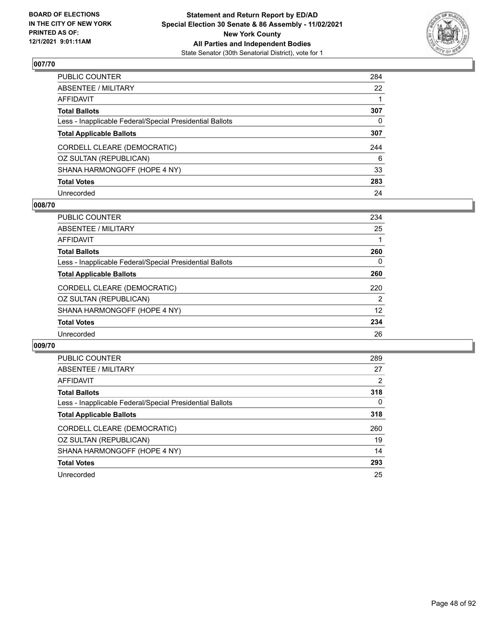

| PUBLIC COUNTER                                           | 284          |
|----------------------------------------------------------|--------------|
| ABSENTEE / MILITARY                                      | 22           |
| AFFIDAVIT                                                |              |
| Total Ballots                                            | 307          |
| Less - Inapplicable Federal/Special Presidential Ballots | $\mathbf{0}$ |
| <b>Total Applicable Ballots</b>                          | 307          |
| CORDELL CLEARE (DEMOCRATIC)                              | 244          |
| OZ SULTAN (REPUBLICAN)                                   | 6            |
| SHANA HARMONGOFF (HOPE 4 NY)                             | 33           |
| <b>Total Votes</b>                                       | 283          |
| Unrecorded                                               | 24           |

#### **008/70**

| <b>PUBLIC COUNTER</b>                                    | 234 |
|----------------------------------------------------------|-----|
| ABSENTEE / MILITARY                                      | 25  |
| AFFIDAVIT                                                |     |
| <b>Total Ballots</b>                                     | 260 |
| Less - Inapplicable Federal/Special Presidential Ballots | 0   |
| <b>Total Applicable Ballots</b>                          | 260 |
| CORDELL CLEARE (DEMOCRATIC)                              | 220 |
| OZ SULTAN (REPUBLICAN)                                   | 2   |
| SHANA HARMONGOFF (HOPE 4 NY)                             | 12  |
| <b>Total Votes</b>                                       | 234 |
| Unrecorded                                               | 26  |
|                                                          |     |

| <b>PUBLIC COUNTER</b>                                    | 289      |
|----------------------------------------------------------|----------|
| ABSENTEE / MILITARY                                      | 27       |
| AFFIDAVIT                                                | 2        |
| <b>Total Ballots</b>                                     | 318      |
| Less - Inapplicable Federal/Special Presidential Ballots | $\Omega$ |
| <b>Total Applicable Ballots</b>                          | 318      |
| CORDELL CLEARE (DEMOCRATIC)                              | 260      |
| OZ SULTAN (REPUBLICAN)                                   | 19       |
| SHANA HARMONGOFF (HOPE 4 NY)                             | 14       |
| <b>Total Votes</b>                                       | 293      |
| Unrecorded                                               | 25       |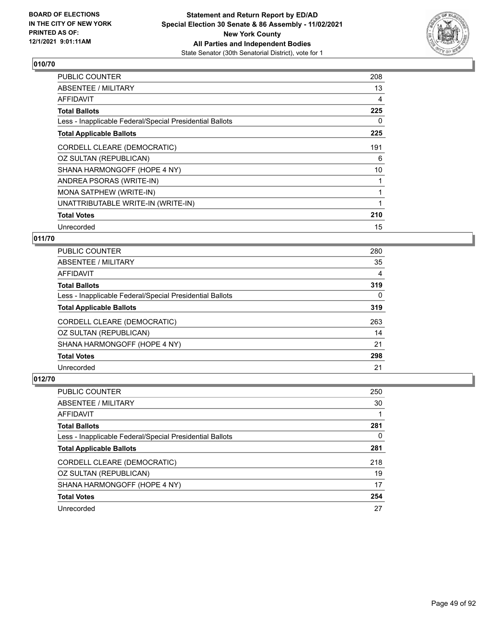

| <b>PUBLIC COUNTER</b>                                    | 208      |
|----------------------------------------------------------|----------|
| ABSENTEE / MILITARY                                      | 13       |
| <b>AFFIDAVIT</b>                                         | 4        |
| <b>Total Ballots</b>                                     | 225      |
| Less - Inapplicable Federal/Special Presidential Ballots | $\Omega$ |
| <b>Total Applicable Ballots</b>                          | 225      |
| CORDELL CLEARE (DEMOCRATIC)                              | 191      |
| OZ SULTAN (REPUBLICAN)                                   | 6        |
| SHANA HARMONGOFF (HOPE 4 NY)                             | 10       |
| ANDREA PSORAS (WRITE-IN)                                 |          |
| MONA SATPHEW (WRITE-IN)                                  |          |
| UNATTRIBUTABLE WRITE-IN (WRITE-IN)                       |          |
| <b>Total Votes</b>                                       | 210      |
| Unrecorded                                               | 15       |

## **011/70**

| <b>PUBLIC COUNTER</b>                                    | 280      |
|----------------------------------------------------------|----------|
| ABSENTEE / MILITARY                                      | 35       |
| AFFIDAVIT                                                | 4        |
| <b>Total Ballots</b>                                     | 319      |
| Less - Inapplicable Federal/Special Presidential Ballots | $\Omega$ |
| <b>Total Applicable Ballots</b>                          | 319      |
| CORDELL CLEARE (DEMOCRATIC)                              | 263      |
| OZ SULTAN (REPUBLICAN)                                   | 14       |
| SHANA HARMONGOFF (HOPE 4 NY)                             | 21       |
| <b>Total Votes</b>                                       | 298      |
| Unrecorded                                               | 21       |

| PUBLIC COUNTER                                           | 250 |
|----------------------------------------------------------|-----|
| ABSENTEE / MILITARY                                      | 30  |
| AFFIDAVIT                                                |     |
| <b>Total Ballots</b>                                     | 281 |
| Less - Inapplicable Federal/Special Presidential Ballots | 0   |
| <b>Total Applicable Ballots</b>                          | 281 |
| CORDELL CLEARE (DEMOCRATIC)                              | 218 |
| OZ SULTAN (REPUBLICAN)                                   | 19  |
| SHANA HARMONGOFF (HOPE 4 NY)                             | 17  |
| <b>Total Votes</b>                                       | 254 |
| Unrecorded                                               | 27  |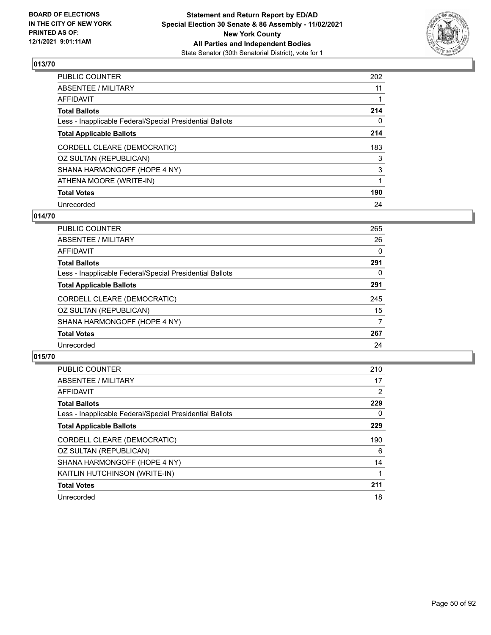

| PUBLIC COUNTER                                           | 202 |
|----------------------------------------------------------|-----|
| ABSENTEE / MILITARY                                      | 11  |
| AFFIDAVIT                                                |     |
| Total Ballots                                            | 214 |
| Less - Inapplicable Federal/Special Presidential Ballots | 0   |
| <b>Total Applicable Ballots</b>                          | 214 |
| CORDELL CLEARE (DEMOCRATIC)                              | 183 |
| OZ SULTAN (REPUBLICAN)                                   | 3   |
| SHANA HARMONGOFF (HOPE 4 NY)                             | 3   |
| ATHENA MOORE (WRITE-IN)                                  |     |
| <b>Total Votes</b>                                       | 190 |
| Unrecorded                                               | 24  |

### **014/70**

| <b>PUBLIC COUNTER</b>                                    | 265 |
|----------------------------------------------------------|-----|
| ABSENTEE / MILITARY                                      | 26  |
| <b>AFFIDAVIT</b>                                         | 0   |
| <b>Total Ballots</b>                                     | 291 |
| Less - Inapplicable Federal/Special Presidential Ballots | 0   |
| <b>Total Applicable Ballots</b>                          | 291 |
| CORDELL CLEARE (DEMOCRATIC)                              | 245 |
| OZ SULTAN (REPUBLICAN)                                   | 15  |
| SHANA HARMONGOFF (HOPE 4 NY)                             | 7   |
| <b>Total Votes</b>                                       | 267 |
| Unrecorded                                               | 24  |

| PUBLIC COUNTER                                           | 210      |
|----------------------------------------------------------|----------|
| <b>ABSENTEE / MILITARY</b>                               | 17       |
| <b>AFFIDAVIT</b>                                         | 2        |
| <b>Total Ballots</b>                                     | 229      |
| Less - Inapplicable Federal/Special Presidential Ballots | $\Omega$ |
| <b>Total Applicable Ballots</b>                          | 229      |
| CORDELL CLEARE (DEMOCRATIC)                              | 190      |
|                                                          |          |
| OZ SULTAN (REPUBLICAN)                                   | 6        |
| SHANA HARMONGOFF (HOPE 4 NY)                             | 14       |
| KAITLIN HUTCHINSON (WRITE-IN)                            |          |
| <b>Total Votes</b>                                       | 211      |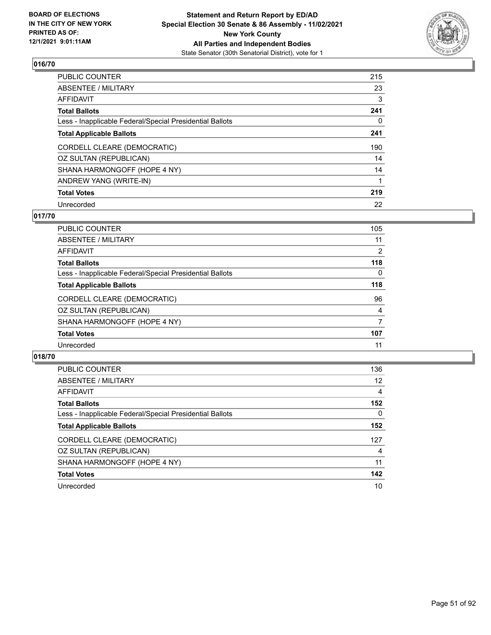

| PUBLIC COUNTER                                           | 215 |
|----------------------------------------------------------|-----|
| ABSENTEE / MILITARY                                      | 23  |
| AFFIDAVIT                                                | 3   |
| Total Ballots                                            | 241 |
| Less - Inapplicable Federal/Special Presidential Ballots | 0   |
| <b>Total Applicable Ballots</b>                          | 241 |
| CORDELL CLEARE (DEMOCRATIC)                              | 190 |
| OZ SULTAN (REPUBLICAN)                                   | 14  |
| SHANA HARMONGOFF (HOPE 4 NY)                             | 14  |
| ANDREW YANG (WRITE-IN)                                   | 1   |
| <b>Total Votes</b>                                       | 219 |
| Unrecorded                                               | 22  |

### **017/70**

| <b>PUBLIC COUNTER</b>                                    | 105 |
|----------------------------------------------------------|-----|
| ABSENTEE / MILITARY                                      | 11  |
| AFFIDAVIT                                                | 2   |
| <b>Total Ballots</b>                                     | 118 |
| Less - Inapplicable Federal/Special Presidential Ballots | 0   |
| <b>Total Applicable Ballots</b>                          | 118 |
| CORDELL CLEARE (DEMOCRATIC)                              | 96  |
| OZ SULTAN (REPUBLICAN)                                   | 4   |
| SHANA HARMONGOFF (HOPE 4 NY)                             | 7   |
| <b>Total Votes</b>                                       | 107 |
| Unrecorded                                               | 11  |
|                                                          |     |

| <b>PUBLIC COUNTER</b>                                    | 136      |
|----------------------------------------------------------|----------|
| ABSENTEE / MILITARY                                      | 12       |
| AFFIDAVIT                                                | 4        |
| <b>Total Ballots</b>                                     | 152      |
| Less - Inapplicable Federal/Special Presidential Ballots | $\Omega$ |
| <b>Total Applicable Ballots</b>                          | 152      |
| CORDELL CLEARE (DEMOCRATIC)                              | 127      |
| OZ SULTAN (REPUBLICAN)                                   | 4        |
| SHANA HARMONGOFF (HOPE 4 NY)                             | 11       |
| <b>Total Votes</b>                                       | 142      |
| Unrecorded                                               | 10       |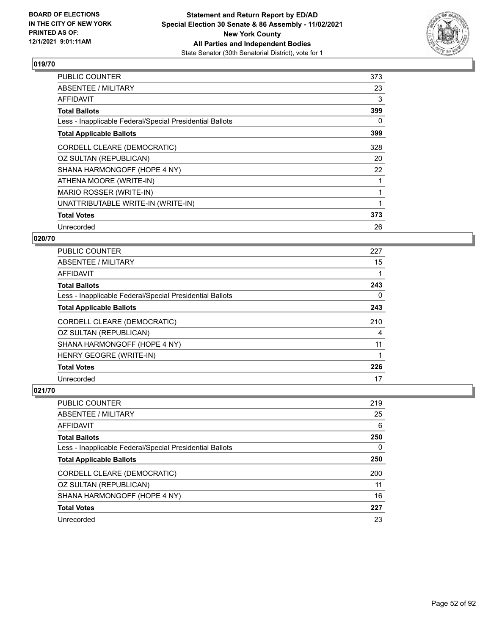

| <b>PUBLIC COUNTER</b>                                    | 373 |
|----------------------------------------------------------|-----|
| <b>ABSENTEE / MILITARY</b>                               | 23  |
| AFFIDAVIT                                                | 3   |
| <b>Total Ballots</b>                                     | 399 |
| Less - Inapplicable Federal/Special Presidential Ballots | 0   |
| <b>Total Applicable Ballots</b>                          | 399 |
| CORDELL CLEARE (DEMOCRATIC)                              | 328 |
| OZ SULTAN (REPUBLICAN)                                   | 20  |
| SHANA HARMONGOFF (HOPE 4 NY)                             | 22  |
| ATHENA MOORE (WRITE-IN)                                  |     |
| MARIO ROSSER (WRITE-IN)                                  |     |
| UNATTRIBUTABLE WRITE-IN (WRITE-IN)                       |     |
| <b>Total Votes</b>                                       | 373 |
| Unrecorded                                               | 26  |

## **020/70**

| <b>PUBLIC COUNTER</b>                                    | 227 |
|----------------------------------------------------------|-----|
| ABSENTEE / MILITARY                                      | 15  |
| AFFIDAVIT                                                |     |
| <b>Total Ballots</b>                                     | 243 |
| Less - Inapplicable Federal/Special Presidential Ballots | 0   |
| <b>Total Applicable Ballots</b>                          | 243 |
| CORDELL CLEARE (DEMOCRATIC)                              | 210 |
| OZ SULTAN (REPUBLICAN)                                   | 4   |
| SHANA HARMONGOFF (HOPE 4 NY)                             | 11  |
| HENRY GEOGRE (WRITE-IN)                                  |     |
| <b>Total Votes</b>                                       | 226 |
| Unrecorded                                               | 17  |

| <b>PUBLIC COUNTER</b>                                    | 219 |
|----------------------------------------------------------|-----|
| ABSENTEE / MILITARY                                      | 25  |
| AFFIDAVIT                                                | 6   |
| <b>Total Ballots</b>                                     | 250 |
| Less - Inapplicable Federal/Special Presidential Ballots | 0   |
| <b>Total Applicable Ballots</b>                          | 250 |
| CORDELL CLEARE (DEMOCRATIC)                              | 200 |
| OZ SULTAN (REPUBLICAN)                                   | 11  |
| SHANA HARMONGOFF (HOPE 4 NY)                             | 16  |
| <b>Total Votes</b>                                       | 227 |
| Unrecorded                                               | 23  |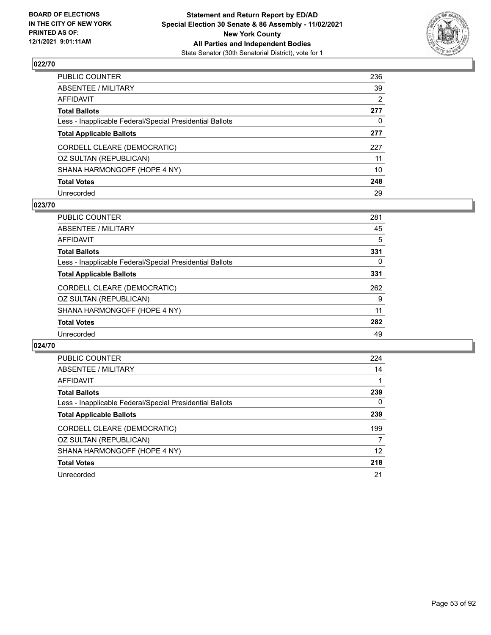

| PUBLIC COUNTER                                           | 236 |
|----------------------------------------------------------|-----|
| ABSENTEE / MILITARY                                      | 39  |
| AFFIDAVIT                                                | 2   |
| Total Ballots                                            | 277 |
| Less - Inapplicable Federal/Special Presidential Ballots | 0   |
| <b>Total Applicable Ballots</b>                          | 277 |
| CORDELL CLEARE (DEMOCRATIC)                              | 227 |
| OZ SULTAN (REPUBLICAN)                                   | 11  |
| SHANA HARMONGOFF (HOPE 4 NY)                             | 10  |
| <b>Total Votes</b>                                       | 248 |
| Unrecorded                                               | 29  |

#### **023/70**

| <b>PUBLIC COUNTER</b>                                    | 281 |
|----------------------------------------------------------|-----|
| ABSENTEE / MILITARY                                      | 45  |
| <b>AFFIDAVIT</b>                                         | 5   |
| <b>Total Ballots</b>                                     | 331 |
| Less - Inapplicable Federal/Special Presidential Ballots | 0   |
| <b>Total Applicable Ballots</b>                          | 331 |
| CORDELL CLEARE (DEMOCRATIC)                              | 262 |
| OZ SULTAN (REPUBLICAN)                                   | 9   |
| SHANA HARMONGOFF (HOPE 4 NY)                             | 11  |
| <b>Total Votes</b>                                       | 282 |
| Unrecorded                                               | 49  |
|                                                          |     |

| <b>PUBLIC COUNTER</b>                                    | 224 |
|----------------------------------------------------------|-----|
| ABSENTEE / MILITARY                                      | 14  |
| AFFIDAVIT                                                |     |
| <b>Total Ballots</b>                                     | 239 |
| Less - Inapplicable Federal/Special Presidential Ballots | 0   |
| <b>Total Applicable Ballots</b>                          | 239 |
| CORDELL CLEARE (DEMOCRATIC)                              | 199 |
| OZ SULTAN (REPUBLICAN)                                   | 7   |
| SHANA HARMONGOFF (HOPE 4 NY)                             | 12  |
| <b>Total Votes</b>                                       | 218 |
| Unrecorded                                               | 21  |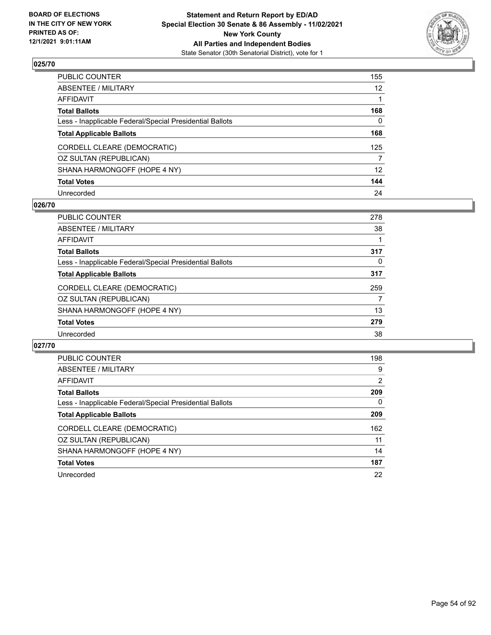

| PUBLIC COUNTER                                           | 155             |
|----------------------------------------------------------|-----------------|
| ABSENTEE / MILITARY                                      | 12 <sup>2</sup> |
| AFFIDAVIT                                                |                 |
| Total Ballots                                            | 168             |
| Less - Inapplicable Federal/Special Presidential Ballots | $\mathbf{0}$    |
| <b>Total Applicable Ballots</b>                          | 168             |
| CORDELL CLEARE (DEMOCRATIC)                              | 125             |
| OZ SULTAN (REPUBLICAN)                                   | 7               |
| SHANA HARMONGOFF (HOPE 4 NY)                             | 12              |
| <b>Total Votes</b>                                       | 144             |
| Unrecorded                                               | 24              |

#### **026/70**

| <b>PUBLIC COUNTER</b>                                    | 278 |
|----------------------------------------------------------|-----|
| ABSENTEE / MILITARY                                      | 38  |
| AFFIDAVIT                                                |     |
| <b>Total Ballots</b>                                     | 317 |
| Less - Inapplicable Federal/Special Presidential Ballots | 0   |
| <b>Total Applicable Ballots</b>                          | 317 |
| CORDELL CLEARE (DEMOCRATIC)                              | 259 |
| OZ SULTAN (REPUBLICAN)                                   | 7   |
| SHANA HARMONGOFF (HOPE 4 NY)                             | 13  |
| <b>Total Votes</b>                                       | 279 |
| Unrecorded                                               | 38  |
|                                                          |     |

| <b>PUBLIC COUNTER</b>                                    | 198 |
|----------------------------------------------------------|-----|
| ABSENTEE / MILITARY                                      | 9   |
| <b>AFFIDAVIT</b>                                         | 2   |
| <b>Total Ballots</b>                                     | 209 |
| Less - Inapplicable Federal/Special Presidential Ballots | 0   |
| <b>Total Applicable Ballots</b>                          | 209 |
| CORDELL CLEARE (DEMOCRATIC)                              | 162 |
| OZ SULTAN (REPUBLICAN)                                   | 11  |
| SHANA HARMONGOFF (HOPE 4 NY)                             | 14  |
| <b>Total Votes</b>                                       | 187 |
| Unrecorded                                               | 22  |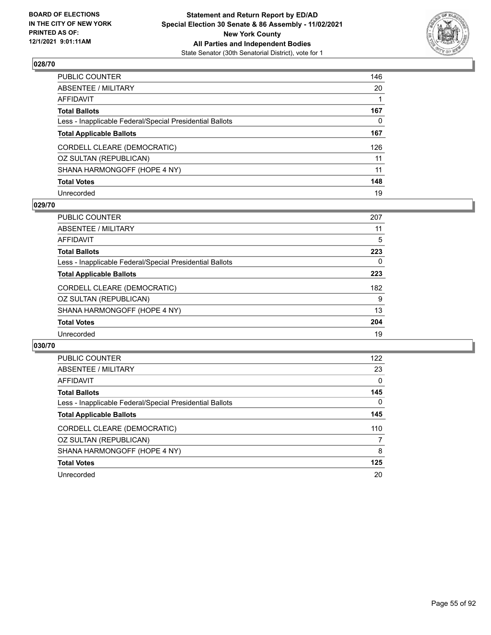

| PUBLIC COUNTER                                           | 146 |
|----------------------------------------------------------|-----|
| ABSENTEE / MILITARY                                      | 20  |
| AFFIDAVIT                                                |     |
| Total Ballots                                            | 167 |
| Less - Inapplicable Federal/Special Presidential Ballots | 0   |
| <b>Total Applicable Ballots</b>                          | 167 |
| CORDELL CLEARE (DEMOCRATIC)                              | 126 |
| OZ SULTAN (REPUBLICAN)                                   | 11  |
| SHANA HARMONGOFF (HOPE 4 NY)                             | 11  |
| <b>Total Votes</b>                                       | 148 |
| Unrecorded                                               | 19  |

#### **029/70**

| <b>PUBLIC COUNTER</b>                                    | 207 |
|----------------------------------------------------------|-----|
| ABSENTEE / MILITARY                                      | 11  |
| AFFIDAVIT                                                | 5   |
| <b>Total Ballots</b>                                     | 223 |
| Less - Inapplicable Federal/Special Presidential Ballots | 0   |
| <b>Total Applicable Ballots</b>                          | 223 |
| CORDELL CLEARE (DEMOCRATIC)                              | 182 |
| OZ SULTAN (REPUBLICAN)                                   | 9   |
| SHANA HARMONGOFF (HOPE 4 NY)                             | 13  |
| <b>Total Votes</b>                                       | 204 |
| Unrecorded                                               | 19  |

| <b>PUBLIC COUNTER</b>                                    | 122      |
|----------------------------------------------------------|----------|
| ABSENTEE / MILITARY                                      | 23       |
| AFFIDAVIT                                                | $\Omega$ |
| <b>Total Ballots</b>                                     | 145      |
| Less - Inapplicable Federal/Special Presidential Ballots | $\Omega$ |
| <b>Total Applicable Ballots</b>                          | 145      |
| CORDELL CLEARE (DEMOCRATIC)                              | 110      |
| OZ SULTAN (REPUBLICAN)                                   | 7        |
| SHANA HARMONGOFF (HOPE 4 NY)                             | 8        |
| <b>Total Votes</b>                                       | 125      |
| Unrecorded                                               | 20       |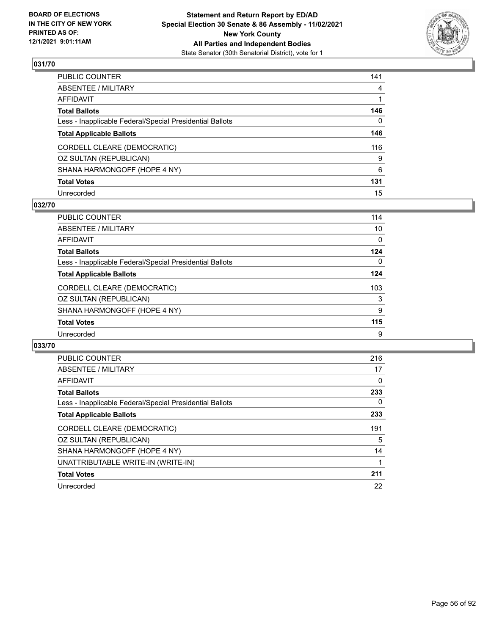

| PUBLIC COUNTER                                           | 141 |
|----------------------------------------------------------|-----|
| ABSENTEE / MILITARY                                      | 4   |
| AFFIDAVIT                                                | 1   |
| Total Ballots                                            | 146 |
| Less - Inapplicable Federal/Special Presidential Ballots | 0   |
| <b>Total Applicable Ballots</b>                          | 146 |
| CORDELL CLEARE (DEMOCRATIC)                              | 116 |
| OZ SULTAN (REPUBLICAN)                                   | 9   |
| SHANA HARMONGOFF (HOPE 4 NY)                             | 6   |
| <b>Total Votes</b>                                       | 131 |
| Unrecorded                                               | 15  |

### **032/70**

| <b>PUBLIC COUNTER</b>                                    | 114      |
|----------------------------------------------------------|----------|
| ABSENTEE / MILITARY                                      | 10       |
| AFFIDAVIT                                                | 0        |
| <b>Total Ballots</b>                                     | 124      |
| Less - Inapplicable Federal/Special Presidential Ballots | $\Omega$ |
| <b>Total Applicable Ballots</b>                          | 124      |
| CORDELL CLEARE (DEMOCRATIC)                              | 103      |
| OZ SULTAN (REPUBLICAN)                                   | 3        |
| SHANA HARMONGOFF (HOPE 4 NY)                             | 9        |
| <b>Total Votes</b>                                       | 115      |
| Unrecorded                                               | 9        |
|                                                          |          |

| <b>PUBLIC COUNTER</b>                                    | 216 |
|----------------------------------------------------------|-----|
| ABSENTEE / MILITARY                                      | 17  |
| <b>AFFIDAVIT</b>                                         | 0   |
| <b>Total Ballots</b>                                     | 233 |
| Less - Inapplicable Federal/Special Presidential Ballots | 0   |
| <b>Total Applicable Ballots</b>                          | 233 |
| CORDELL CLEARE (DEMOCRATIC)                              | 191 |
| OZ SULTAN (REPUBLICAN)                                   | 5   |
| SHANA HARMONGOFF (HOPE 4 NY)                             | 14  |
| UNATTRIBUTABLE WRITE-IN (WRITE-IN)                       |     |
| <b>Total Votes</b>                                       | 211 |
|                                                          |     |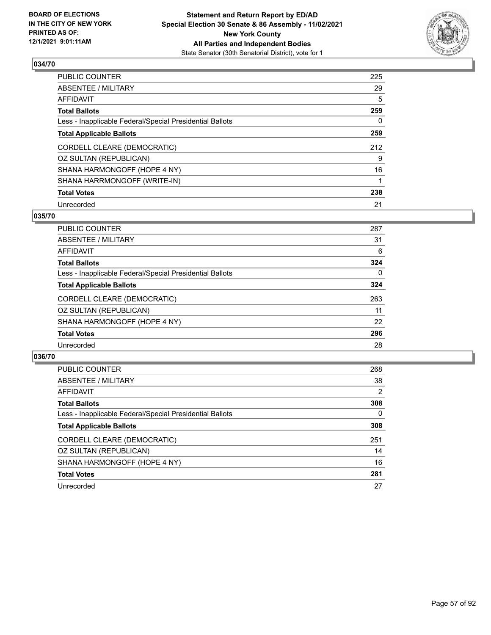

| PUBLIC COUNTER                                           | 225 |
|----------------------------------------------------------|-----|
| ABSENTEE / MILITARY                                      | 29  |
| AFFIDAVIT                                                | 5   |
| Total Ballots                                            | 259 |
| Less - Inapplicable Federal/Special Presidential Ballots | 0   |
| <b>Total Applicable Ballots</b>                          | 259 |
| CORDELL CLEARE (DEMOCRATIC)                              | 212 |
| OZ SULTAN (REPUBLICAN)                                   | 9   |
| SHANA HARMONGOFF (HOPE 4 NY)                             | 16  |
| SHANA HARRMONGOFF (WRITE-IN)                             |     |
| <b>Total Votes</b>                                       | 238 |
| Unrecorded                                               | 21  |

#### **035/70**

| <b>PUBLIC COUNTER</b>                                    | 287 |
|----------------------------------------------------------|-----|
| ABSENTEE / MILITARY                                      | 31  |
| AFFIDAVIT                                                | 6   |
| <b>Total Ballots</b>                                     | 324 |
| Less - Inapplicable Federal/Special Presidential Ballots | 0   |
| <b>Total Applicable Ballots</b>                          | 324 |
| CORDELL CLEARE (DEMOCRATIC)                              | 263 |
| OZ SULTAN (REPUBLICAN)                                   | 11  |
| SHANA HARMONGOFF (HOPE 4 NY)                             | 22  |
| <b>Total Votes</b>                                       | 296 |
| Unrecorded                                               | 28  |

| <b>PUBLIC COUNTER</b>                                    | 268 |
|----------------------------------------------------------|-----|
| ABSENTEE / MILITARY                                      | 38  |
| AFFIDAVIT                                                | 2   |
| <b>Total Ballots</b>                                     | 308 |
| Less - Inapplicable Federal/Special Presidential Ballots | 0   |
| <b>Total Applicable Ballots</b>                          | 308 |
| CORDELL CLEARE (DEMOCRATIC)                              | 251 |
| OZ SULTAN (REPUBLICAN)                                   | 14  |
| SHANA HARMONGOFF (HOPE 4 NY)                             | 16  |
| <b>Total Votes</b>                                       | 281 |
| Unrecorded                                               | 27  |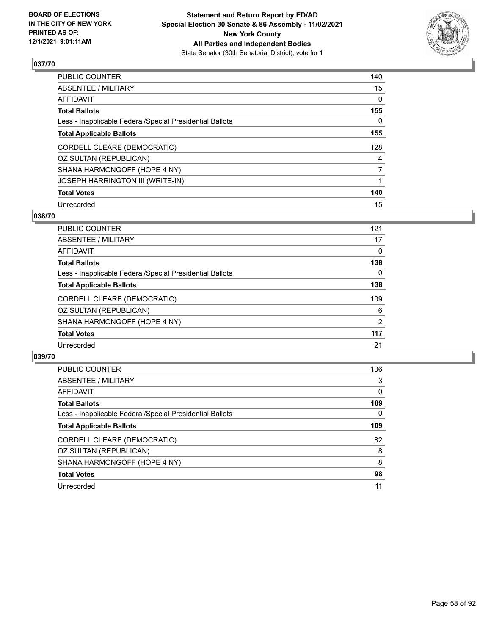

| PUBLIC COUNTER                                           | 140            |
|----------------------------------------------------------|----------------|
| ABSENTEE / MILITARY                                      | 15             |
| AFFIDAVIT                                                | 0              |
| Total Ballots                                            | 155            |
| Less - Inapplicable Federal/Special Presidential Ballots | 0              |
| <b>Total Applicable Ballots</b>                          | 155            |
| CORDELL CLEARE (DEMOCRATIC)                              | 128            |
| OZ SULTAN (REPUBLICAN)                                   | 4              |
| SHANA HARMONGOFF (HOPE 4 NY)                             | $\overline{7}$ |
| JOSEPH HARRINGTON III (WRITE-IN)                         |                |
| <b>Total Votes</b>                                       | 140            |
| Unrecorded                                               | 15             |

#### **038/70**

| <b>PUBLIC COUNTER</b>                                    | 121      |
|----------------------------------------------------------|----------|
| ABSENTEE / MILITARY                                      | 17       |
| AFFIDAVIT                                                | $\Omega$ |
| <b>Total Ballots</b>                                     | 138      |
| Less - Inapplicable Federal/Special Presidential Ballots | 0        |
| <b>Total Applicable Ballots</b>                          | 138      |
| CORDELL CLEARE (DEMOCRATIC)                              | 109      |
| OZ SULTAN (REPUBLICAN)                                   | 6        |
| SHANA HARMONGOFF (HOPE 4 NY)                             | 2        |
| <b>Total Votes</b>                                       | 117      |
| Unrecorded                                               | 21       |
|                                                          |          |

| <b>PUBLIC COUNTER</b>                                    | 106      |
|----------------------------------------------------------|----------|
| ABSENTEE / MILITARY                                      | 3        |
| AFFIDAVIT                                                | $\Omega$ |
| <b>Total Ballots</b>                                     | 109      |
| Less - Inapplicable Federal/Special Presidential Ballots | 0        |
| <b>Total Applicable Ballots</b>                          | 109      |
| CORDELL CLEARE (DEMOCRATIC)                              | 82       |
| OZ SULTAN (REPUBLICAN)                                   | 8        |
| SHANA HARMONGOFF (HOPE 4 NY)                             | 8        |
| <b>Total Votes</b>                                       | 98       |
| Unrecorded                                               | 11       |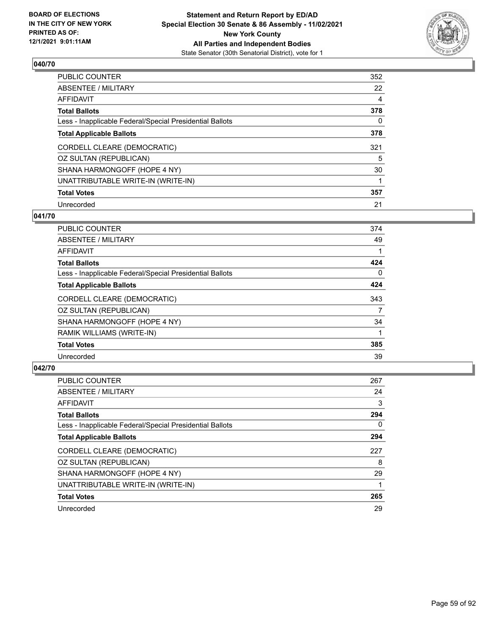

| PUBLIC COUNTER                                           | 352 |
|----------------------------------------------------------|-----|
| ABSENTEE / MILITARY                                      | 22  |
| AFFIDAVIT                                                | 4   |
| Total Ballots                                            | 378 |
| Less - Inapplicable Federal/Special Presidential Ballots | 0   |
| <b>Total Applicable Ballots</b>                          | 378 |
| CORDELL CLEARE (DEMOCRATIC)                              | 321 |
| OZ SULTAN (REPUBLICAN)                                   | 5   |
| SHANA HARMONGOFF (HOPE 4 NY)                             | 30  |
| UNATTRIBUTABLE WRITE-IN (WRITE-IN)                       |     |
| <b>Total Votes</b>                                       | 357 |
| Unrecorded                                               | 21  |

#### **041/70**

| <b>PUBLIC COUNTER</b>                                    | 374      |
|----------------------------------------------------------|----------|
| ABSENTEE / MILITARY                                      | 49       |
| <b>AFFIDAVIT</b>                                         |          |
| <b>Total Ballots</b>                                     | 424      |
| Less - Inapplicable Federal/Special Presidential Ballots | $\Omega$ |
| <b>Total Applicable Ballots</b>                          | 424      |
| CORDELL CLEARE (DEMOCRATIC)                              | 343      |
| OZ SULTAN (REPUBLICAN)                                   | 7        |
| SHANA HARMONGOFF (HOPE 4 NY)                             | 34       |
| RAMIK WILLIAMS (WRITE-IN)                                |          |
| <b>Total Votes</b>                                       | 385      |
| Unrecorded                                               | 39       |

| PUBLIC COUNTER                                           | 267 |
|----------------------------------------------------------|-----|
| ABSENTEE / MILITARY                                      | 24  |
| AFFIDAVIT                                                | 3   |
| <b>Total Ballots</b>                                     | 294 |
| Less - Inapplicable Federal/Special Presidential Ballots | 0   |
| <b>Total Applicable Ballots</b>                          | 294 |
| CORDELL CLEARE (DEMOCRATIC)                              | 227 |
| OZ SULTAN (REPUBLICAN)                                   | 8   |
| SHANA HARMONGOFF (HOPE 4 NY)                             | 29  |
| UNATTRIBUTABLE WRITE-IN (WRITE-IN)                       |     |
| <b>Total Votes</b>                                       | 265 |
| Unrecorded                                               | 29  |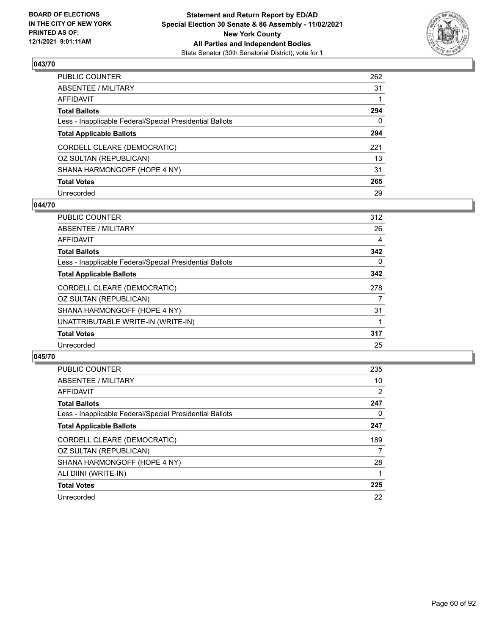

| PUBLIC COUNTER                                           | 262 |
|----------------------------------------------------------|-----|
| ABSENTEE / MILITARY                                      | 31  |
| AFFIDAVIT                                                |     |
| Total Ballots                                            | 294 |
| Less - Inapplicable Federal/Special Presidential Ballots | 0   |
| <b>Total Applicable Ballots</b>                          | 294 |
| CORDELL CLEARE (DEMOCRATIC)                              | 221 |
| OZ SULTAN (REPUBLICAN)                                   | 13  |
| SHANA HARMONGOFF (HOPE 4 NY)                             | 31  |
| <b>Total Votes</b>                                       | 265 |
| Unrecorded                                               | 29  |

#### **044/70**

| <b>PUBLIC COUNTER</b>                                    | 312 |
|----------------------------------------------------------|-----|
| ABSENTEE / MILITARY                                      | 26  |
| AFFIDAVIT                                                | 4   |
| <b>Total Ballots</b>                                     | 342 |
| Less - Inapplicable Federal/Special Presidential Ballots | 0   |
| <b>Total Applicable Ballots</b>                          | 342 |
| CORDELL CLEARE (DEMOCRATIC)                              | 278 |
| OZ SULTAN (REPUBLICAN)                                   |     |
| SHANA HARMONGOFF (HOPE 4 NY)                             | 31  |
| UNATTRIBUTABLE WRITE-IN (WRITE-IN)                       |     |
| <b>Total Votes</b>                                       | 317 |
| Unrecorded                                               | 25  |
|                                                          |     |

| PUBLIC COUNTER                                           | 235            |
|----------------------------------------------------------|----------------|
| ABSENTEE / MILITARY                                      | 10             |
| <b>AFFIDAVIT</b>                                         | $\overline{2}$ |
| <b>Total Ballots</b>                                     | 247            |
| Less - Inapplicable Federal/Special Presidential Ballots | 0              |
| <b>Total Applicable Ballots</b>                          | 247            |
| CORDELL CLEARE (DEMOCRATIC)                              |                |
|                                                          | 189            |
| OZ SULTAN (REPUBLICAN)                                   | 7              |
| SHANA HARMONGOFF (HOPE 4 NY)                             | 28             |
| ALI DIINI (WRITE-IN)                                     |                |
| <b>Total Votes</b>                                       | 225            |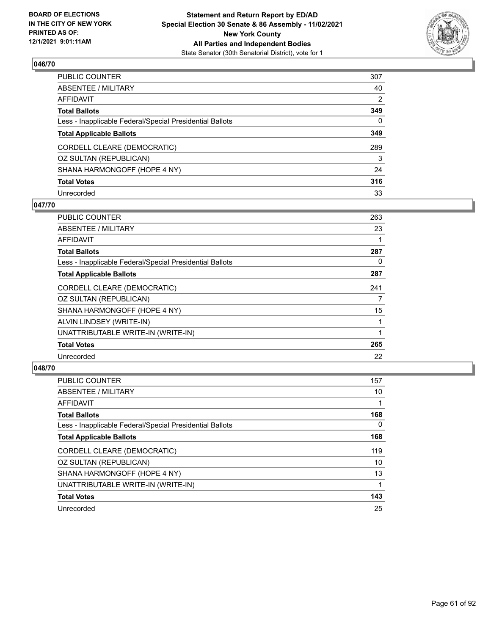

| PUBLIC COUNTER                                           | 307 |
|----------------------------------------------------------|-----|
| ABSENTEE / MILITARY                                      | 40  |
| AFFIDAVIT                                                | 2   |
| Total Ballots                                            | 349 |
| Less - Inapplicable Federal/Special Presidential Ballots | 0   |
| <b>Total Applicable Ballots</b>                          | 349 |
| CORDELL CLEARE (DEMOCRATIC)                              | 289 |
| OZ SULTAN (REPUBLICAN)                                   | 3   |
| SHANA HARMONGOFF (HOPE 4 NY)                             | 24  |
| <b>Total Votes</b>                                       | 316 |
| Unrecorded                                               | 33  |

#### **047/70**

| <b>PUBLIC COUNTER</b>                                    | 263 |
|----------------------------------------------------------|-----|
| ABSENTEE / MILITARY                                      | 23  |
| AFFIDAVIT                                                |     |
| <b>Total Ballots</b>                                     | 287 |
| Less - Inapplicable Federal/Special Presidential Ballots | 0   |
| <b>Total Applicable Ballots</b>                          | 287 |
| CORDELL CLEARE (DEMOCRATIC)                              | 241 |
| OZ SULTAN (REPUBLICAN)                                   | 7   |
| SHANA HARMONGOFF (HOPE 4 NY)                             | 15  |
| ALVIN LINDSEY (WRITE-IN)                                 |     |
| UNATTRIBUTABLE WRITE-IN (WRITE-IN)                       |     |
| <b>Total Votes</b>                                       | 265 |
| Unrecorded                                               | 22  |
|                                                          |     |

| <b>PUBLIC COUNTER</b>                                    | 157 |
|----------------------------------------------------------|-----|
| ABSENTEE / MILITARY                                      | 10  |
| AFFIDAVIT                                                |     |
| <b>Total Ballots</b>                                     | 168 |
| Less - Inapplicable Federal/Special Presidential Ballots | 0   |
| <b>Total Applicable Ballots</b>                          | 168 |
| CORDELL CLEARE (DEMOCRATIC)                              | 119 |
| OZ SULTAN (REPUBLICAN)                                   | 10  |
| SHANA HARMONGOFF (HOPE 4 NY)                             | 13  |
| UNATTRIBUTABLE WRITE-IN (WRITE-IN)                       |     |
| <b>Total Votes</b>                                       | 143 |
| Unrecorded                                               | 25  |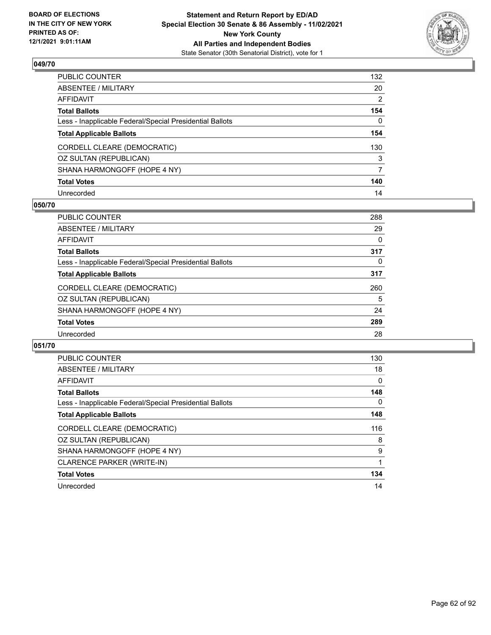

| PUBLIC COUNTER                                           | 132 |
|----------------------------------------------------------|-----|
| ABSENTEE / MILITARY                                      | 20  |
| AFFIDAVIT                                                | 2   |
| Total Ballots                                            | 154 |
| Less - Inapplicable Federal/Special Presidential Ballots | 0   |
| <b>Total Applicable Ballots</b>                          | 154 |
| CORDELL CLEARE (DEMOCRATIC)                              | 130 |
| OZ SULTAN (REPUBLICAN)                                   | 3   |
| SHANA HARMONGOFF (HOPE 4 NY)                             | 7   |
| <b>Total Votes</b>                                       | 140 |
| Unrecorded                                               | 14  |

#### **050/70**

| PUBLIC COUNTER                                           | 288 |
|----------------------------------------------------------|-----|
| ABSENTEE / MILITARY                                      | 29  |
| <b>AFFIDAVIT</b>                                         | 0   |
| <b>Total Ballots</b>                                     | 317 |
| Less - Inapplicable Federal/Special Presidential Ballots | 0   |
| <b>Total Applicable Ballots</b>                          | 317 |
| CORDELL CLEARE (DEMOCRATIC)                              | 260 |
| OZ SULTAN (REPUBLICAN)                                   | 5   |
| SHANA HARMONGOFF (HOPE 4 NY)                             | 24  |
| <b>Total Votes</b>                                       | 289 |
| Unrecorded                                               | 28  |
|                                                          |     |

| <b>PUBLIC COUNTER</b>                                    | 130 |
|----------------------------------------------------------|-----|
| <b>ABSENTEE / MILITARY</b>                               | 18  |
| <b>AFFIDAVIT</b>                                         | 0   |
| <b>Total Ballots</b>                                     | 148 |
| Less - Inapplicable Federal/Special Presidential Ballots | 0   |
| <b>Total Applicable Ballots</b>                          | 148 |
| CORDELL CLEARE (DEMOCRATIC)                              | 116 |
| OZ SULTAN (REPUBLICAN)                                   | 8   |
| SHANA HARMONGOFF (HOPE 4 NY)                             | 9   |
| CLARENCE PARKER (WRITE-IN)                               |     |
| <b>Total Votes</b>                                       | 134 |
| Unrecorded                                               | 14  |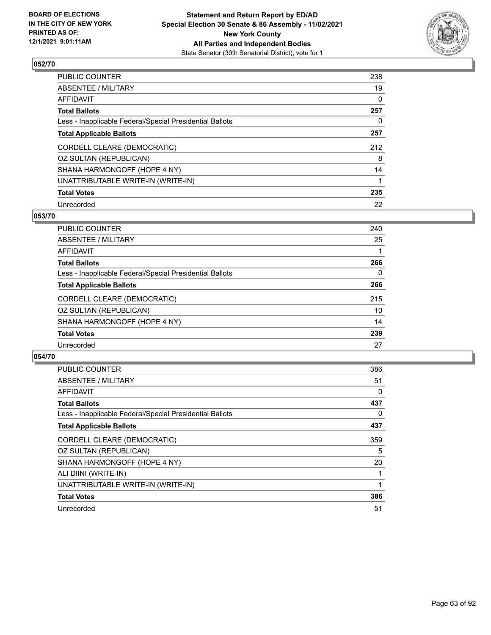

| PUBLIC COUNTER                                           | 238 |
|----------------------------------------------------------|-----|
| ABSENTEE / MILITARY                                      | 19  |
| AFFIDAVIT                                                | 0   |
| Total Ballots                                            | 257 |
| Less - Inapplicable Federal/Special Presidential Ballots | 0   |
| <b>Total Applicable Ballots</b>                          | 257 |
| CORDELL CLEARE (DEMOCRATIC)                              | 212 |
| OZ SULTAN (REPUBLICAN)                                   | 8   |
| SHANA HARMONGOFF (HOPE 4 NY)                             | 14  |
| UNATTRIBUTABLE WRITE-IN (WRITE-IN)                       |     |
| <b>Total Votes</b>                                       | 235 |
| Unrecorded                                               | 22  |

#### **053/70**

| PUBLIC COUNTER                                           | 240 |
|----------------------------------------------------------|-----|
| ABSENTEE / MILITARY                                      | 25  |
| AFFIDAVIT                                                |     |
| <b>Total Ballots</b>                                     | 266 |
| Less - Inapplicable Federal/Special Presidential Ballots | 0   |
| <b>Total Applicable Ballots</b>                          | 266 |
| CORDELL CLEARE (DEMOCRATIC)                              | 215 |
| OZ SULTAN (REPUBLICAN)                                   | 10  |
| SHANA HARMONGOFF (HOPE 4 NY)                             | 14  |
| <b>Total Votes</b>                                       | 239 |
| Unrecorded                                               | 27  |

| <b>PUBLIC COUNTER</b>                                    | 386 |
|----------------------------------------------------------|-----|
| ABSENTEE / MILITARY                                      | 51  |
| AFFIDAVIT                                                | 0   |
| <b>Total Ballots</b>                                     | 437 |
| Less - Inapplicable Federal/Special Presidential Ballots | 0   |
| <b>Total Applicable Ballots</b>                          | 437 |
| CORDELL CLEARE (DEMOCRATIC)                              | 359 |
| OZ SULTAN (REPUBLICAN)                                   | 5   |
| SHANA HARMONGOFF (HOPE 4 NY)                             | 20  |
| ALI DIINI (WRITE-IN)                                     |     |
| UNATTRIBUTABLE WRITE-IN (WRITE-IN)                       |     |
| <b>Total Votes</b>                                       | 386 |
| Unrecorded                                               | 51  |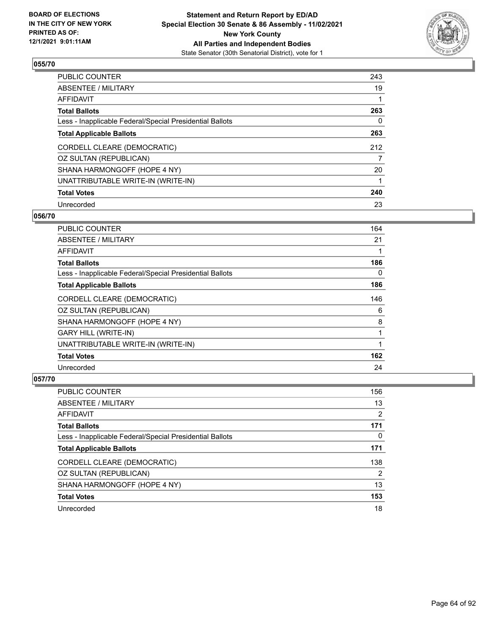

| PUBLIC COUNTER                                           | 243 |
|----------------------------------------------------------|-----|
| ABSENTEE / MILITARY                                      | 19  |
| AFFIDAVIT                                                |     |
| Total Ballots                                            | 263 |
| Less - Inapplicable Federal/Special Presidential Ballots | 0   |
| <b>Total Applicable Ballots</b>                          | 263 |
| CORDELL CLEARE (DEMOCRATIC)                              | 212 |
| OZ SULTAN (REPUBLICAN)                                   | 7   |
| SHANA HARMONGOFF (HOPE 4 NY)                             | 20  |
| UNATTRIBUTABLE WRITE-IN (WRITE-IN)                       |     |
| <b>Total Votes</b>                                       | 240 |
| Unrecorded                                               | 23  |

### **056/70**

| <b>PUBLIC COUNTER</b>                                    | 164 |
|----------------------------------------------------------|-----|
| ABSENTEE / MILITARY                                      | 21  |
| <b>AFFIDAVIT</b>                                         |     |
| <b>Total Ballots</b>                                     | 186 |
| Less - Inapplicable Federal/Special Presidential Ballots | 0   |
| <b>Total Applicable Ballots</b>                          | 186 |
| CORDELL CLEARE (DEMOCRATIC)                              | 146 |
| OZ SULTAN (REPUBLICAN)                                   | 6   |
| SHANA HARMONGOFF (HOPE 4 NY)                             | 8   |
| <b>GARY HILL (WRITE-IN)</b>                              |     |
| UNATTRIBUTABLE WRITE-IN (WRITE-IN)                       |     |
| <b>Total Votes</b>                                       | 162 |
| Unrecorded                                               | 24  |

| PUBLIC COUNTER                                           | 156 |
|----------------------------------------------------------|-----|
| ABSENTEE / MILITARY                                      | 13  |
| AFFIDAVIT                                                | 2   |
| <b>Total Ballots</b>                                     | 171 |
| Less - Inapplicable Federal/Special Presidential Ballots | 0   |
| <b>Total Applicable Ballots</b>                          | 171 |
| CORDELL CLEARE (DEMOCRATIC)                              | 138 |
| OZ SULTAN (REPUBLICAN)                                   | 2   |
| SHANA HARMONGOFF (HOPE 4 NY)                             | 13  |
| <b>Total Votes</b>                                       | 153 |
| Unrecorded                                               | 18  |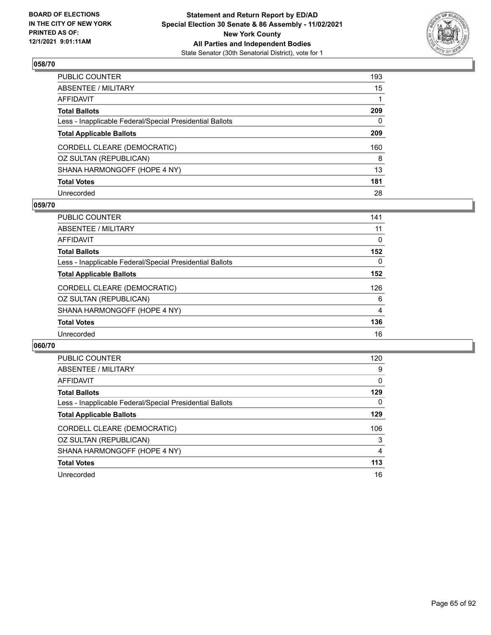

| PUBLIC COUNTER                                           | 193          |
|----------------------------------------------------------|--------------|
| ABSENTEE / MILITARY                                      | 15           |
| AFFIDAVIT                                                |              |
| Total Ballots                                            | 209          |
| Less - Inapplicable Federal/Special Presidential Ballots | $\mathbf{0}$ |
| <b>Total Applicable Ballots</b>                          | 209          |
| CORDELL CLEARE (DEMOCRATIC)                              | 160          |
| OZ SULTAN (REPUBLICAN)                                   | 8            |
| SHANA HARMONGOFF (HOPE 4 NY)                             | 13           |
| <b>Total Votes</b>                                       | 181          |
| Unrecorded                                               | 28           |

#### **059/70**

| <b>PUBLIC COUNTER</b>                                    | 141      |
|----------------------------------------------------------|----------|
| ABSENTEE / MILITARY                                      | 11       |
| AFFIDAVIT                                                | 0        |
| <b>Total Ballots</b>                                     | 152      |
| Less - Inapplicable Federal/Special Presidential Ballots | $\Omega$ |
| <b>Total Applicable Ballots</b>                          | 152      |
| CORDELL CLEARE (DEMOCRATIC)                              | 126      |
| OZ SULTAN (REPUBLICAN)                                   | 6        |
| SHANA HARMONGOFF (HOPE 4 NY)                             | 4        |
| <b>Total Votes</b>                                       | 136      |
| Unrecorded                                               | 16       |
|                                                          |          |

| <b>PUBLIC COUNTER</b>                                    | 120 |
|----------------------------------------------------------|-----|
| ABSENTEE / MILITARY                                      | 9   |
| AFFIDAVIT                                                | 0   |
| <b>Total Ballots</b>                                     | 129 |
| Less - Inapplicable Federal/Special Presidential Ballots | 0   |
| <b>Total Applicable Ballots</b>                          | 129 |
| CORDELL CLEARE (DEMOCRATIC)                              | 106 |
| OZ SULTAN (REPUBLICAN)                                   | 3   |
| SHANA HARMONGOFF (HOPE 4 NY)                             | 4   |
| <b>Total Votes</b>                                       | 113 |
| Unrecorded                                               | 16  |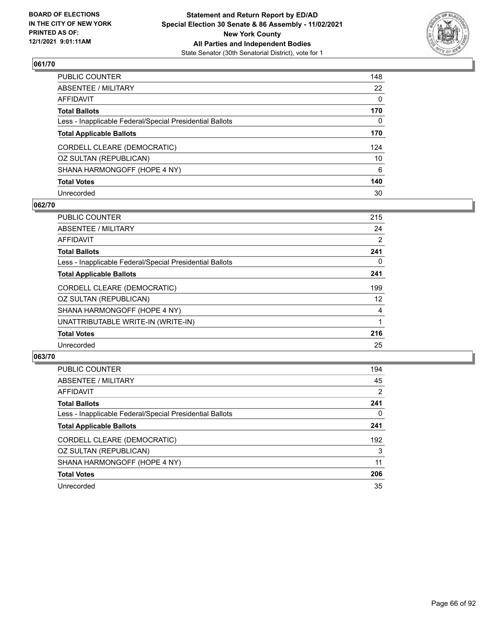

| PUBLIC COUNTER                                           | 148 |
|----------------------------------------------------------|-----|
| ABSENTEE / MILITARY                                      | 22  |
| AFFIDAVIT                                                | 0   |
| Total Ballots                                            | 170 |
| Less - Inapplicable Federal/Special Presidential Ballots | 0   |
| <b>Total Applicable Ballots</b>                          | 170 |
| CORDELL CLEARE (DEMOCRATIC)                              | 124 |
| OZ SULTAN (REPUBLICAN)                                   | 10  |
| SHANA HARMONGOFF (HOPE 4 NY)                             | 6   |
| <b>Total Votes</b>                                       | 140 |
| Unrecorded                                               | 30  |

#### **062/70**

| <b>PUBLIC COUNTER</b>                                    | 215 |
|----------------------------------------------------------|-----|
| ABSENTEE / MILITARY                                      | 24  |
| AFFIDAVIT                                                | 2   |
| <b>Total Ballots</b>                                     | 241 |
| Less - Inapplicable Federal/Special Presidential Ballots | 0   |
| <b>Total Applicable Ballots</b>                          | 241 |
| CORDELL CLEARE (DEMOCRATIC)                              | 199 |
| OZ SULTAN (REPUBLICAN)                                   | 12  |
| SHANA HARMONGOFF (HOPE 4 NY)                             | 4   |
| UNATTRIBUTABLE WRITE-IN (WRITE-IN)                       |     |
| <b>Total Votes</b>                                       | 216 |
| Unrecorded                                               | 25  |
|                                                          |     |

| <b>PUBLIC COUNTER</b>                                    | 194 |
|----------------------------------------------------------|-----|
| ABSENTEE / MILITARY                                      | 45  |
| AFFIDAVIT                                                | 2   |
| <b>Total Ballots</b>                                     | 241 |
| Less - Inapplicable Federal/Special Presidential Ballots | 0   |
| <b>Total Applicable Ballots</b>                          | 241 |
| CORDELL CLEARE (DEMOCRATIC)                              | 192 |
| OZ SULTAN (REPUBLICAN)                                   | 3   |
| SHANA HARMONGOFF (HOPE 4 NY)                             | 11  |
| <b>Total Votes</b>                                       | 206 |
| Unrecorded                                               | 35  |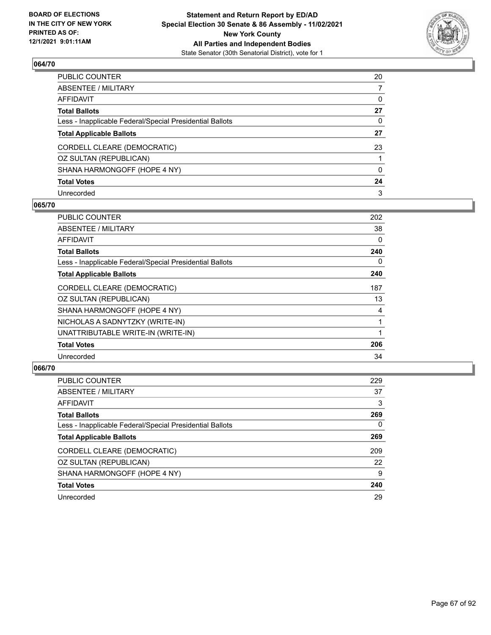

| PUBLIC COUNTER                                           | 20 |
|----------------------------------------------------------|----|
| ABSENTEE / MILITARY                                      | 7  |
| AFFIDAVIT                                                | 0  |
| Total Ballots                                            | 27 |
| Less - Inapplicable Federal/Special Presidential Ballots | 0  |
| <b>Total Applicable Ballots</b>                          | 27 |
| CORDELL CLEARE (DEMOCRATIC)                              | 23 |
| OZ SULTAN (REPUBLICAN)                                   |    |
| SHANA HARMONGOFF (HOPE 4 NY)                             | 0  |
| <b>Total Votes</b>                                       | 24 |
| Unrecorded                                               | 3  |

#### **065/70**

| PUBLIC COUNTER                                           | 202 |
|----------------------------------------------------------|-----|
| <b>ABSENTEE / MILITARY</b>                               | 38  |
| <b>AFFIDAVIT</b>                                         | 0   |
| <b>Total Ballots</b>                                     | 240 |
| Less - Inapplicable Federal/Special Presidential Ballots | 0   |
| <b>Total Applicable Ballots</b>                          | 240 |
| CORDELL CLEARE (DEMOCRATIC)                              | 187 |
| OZ SULTAN (REPUBLICAN)                                   | 13  |
| SHANA HARMONGOFF (HOPE 4 NY)                             | 4   |
| NICHOLAS A SADNYTZKY (WRITE-IN)                          | 1   |
| UNATTRIBUTABLE WRITE-IN (WRITE-IN)                       |     |
| <b>Total Votes</b>                                       | 206 |
| Unrecorded                                               | 34  |
|                                                          |     |

| <b>PUBLIC COUNTER</b>                                    | 229      |
|----------------------------------------------------------|----------|
| ABSENTEE / MILITARY                                      | 37       |
| AFFIDAVIT                                                | 3        |
| <b>Total Ballots</b>                                     | 269      |
| Less - Inapplicable Federal/Special Presidential Ballots | $\Omega$ |
| <b>Total Applicable Ballots</b>                          | 269      |
| CORDELL CLEARE (DEMOCRATIC)                              | 209      |
| OZ SULTAN (REPUBLICAN)                                   | 22       |
| SHANA HARMONGOFF (HOPE 4 NY)                             | 9        |
| <b>Total Votes</b>                                       | 240      |
| Unrecorded                                               | 29       |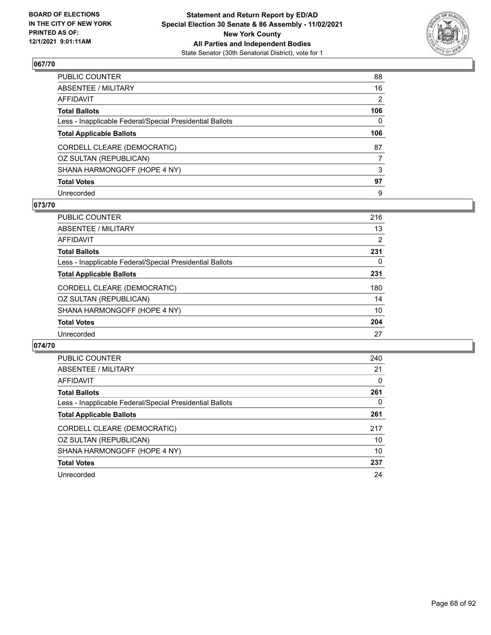

| PUBLIC COUNTER                                           | 88           |
|----------------------------------------------------------|--------------|
| ABSENTEE / MILITARY                                      | 16           |
| AFFIDAVIT                                                | 2            |
| Total Ballots                                            | 106          |
| Less - Inapplicable Federal/Special Presidential Ballots | $\mathbf{0}$ |
| <b>Total Applicable Ballots</b>                          | 106          |
| CORDELL CLEARE (DEMOCRATIC)                              | 87           |
| OZ SULTAN (REPUBLICAN)                                   | 7            |
| SHANA HARMONGOFF (HOPE 4 NY)                             | 3            |
| <b>Total Votes</b>                                       | 97           |
| Unrecorded                                               | 9            |

## **073/70**

| <b>PUBLIC COUNTER</b>                                    | 216            |
|----------------------------------------------------------|----------------|
| ABSENTEE / MILITARY                                      | 13             |
| AFFIDAVIT                                                | $\overline{2}$ |
| <b>Total Ballots</b>                                     | 231            |
| Less - Inapplicable Federal/Special Presidential Ballots | 0              |
| <b>Total Applicable Ballots</b>                          | 231            |
| CORDELL CLEARE (DEMOCRATIC)                              | 180            |
| OZ SULTAN (REPUBLICAN)                                   | 14             |
| SHANA HARMONGOFF (HOPE 4 NY)                             | 10             |
| <b>Total Votes</b>                                       | 204            |
| Unrecorded                                               | 27             |

| <b>PUBLIC COUNTER</b>                                    | 240 |
|----------------------------------------------------------|-----|
| ABSENTEE / MILITARY                                      | 21  |
| AFFIDAVIT                                                | 0   |
| <b>Total Ballots</b>                                     | 261 |
| Less - Inapplicable Federal/Special Presidential Ballots | 0   |
| <b>Total Applicable Ballots</b>                          | 261 |
| CORDELL CLEARE (DEMOCRATIC)                              | 217 |
| OZ SULTAN (REPUBLICAN)                                   | 10  |
| SHANA HARMONGOFF (HOPE 4 NY)                             | 10  |
| <b>Total Votes</b>                                       | 237 |
| Unrecorded                                               | 24  |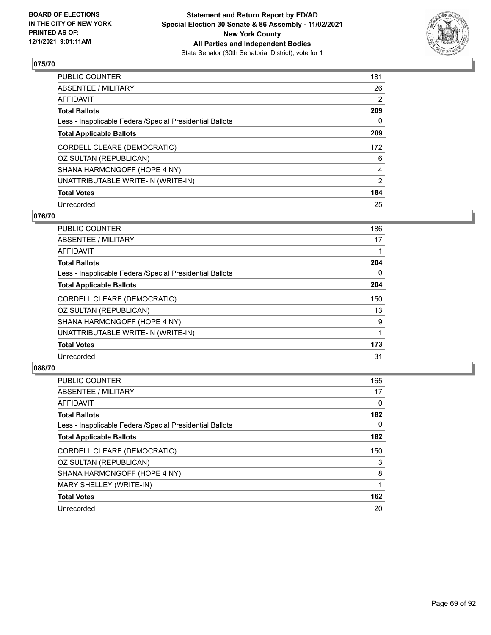

| PUBLIC COUNTER                                           | 181 |
|----------------------------------------------------------|-----|
| ABSENTEE / MILITARY                                      | 26  |
| AFFIDAVIT                                                | 2   |
| Total Ballots                                            | 209 |
| Less - Inapplicable Federal/Special Presidential Ballots | 0   |
| <b>Total Applicable Ballots</b>                          | 209 |
| CORDELL CLEARE (DEMOCRATIC)                              | 172 |
| OZ SULTAN (REPUBLICAN)                                   | 6   |
| SHANA HARMONGOFF (HOPE 4 NY)                             | 4   |
| UNATTRIBUTABLE WRITE-IN (WRITE-IN)                       | 2   |
| <b>Total Votes</b>                                       | 184 |
| Unrecorded                                               | 25  |

#### **076/70**

| <b>PUBLIC COUNTER</b>                                    | 186 |
|----------------------------------------------------------|-----|
| ABSENTEE / MILITARY                                      | 17  |
| <b>AFFIDAVIT</b>                                         |     |
| <b>Total Ballots</b>                                     | 204 |
| Less - Inapplicable Federal/Special Presidential Ballots | 0   |
| <b>Total Applicable Ballots</b>                          | 204 |
| CORDELL CLEARE (DEMOCRATIC)                              | 150 |
| OZ SULTAN (REPUBLICAN)                                   | 13  |
| SHANA HARMONGOFF (HOPE 4 NY)                             | 9   |
| UNATTRIBUTABLE WRITE-IN (WRITE-IN)                       |     |
| <b>Total Votes</b>                                       | 173 |
| Unrecorded                                               | 31  |

| <b>PUBLIC COUNTER</b>                                    | 165 |
|----------------------------------------------------------|-----|
| ABSENTEE / MILITARY                                      | 17  |
| AFFIDAVIT                                                | 0   |
| <b>Total Ballots</b>                                     | 182 |
| Less - Inapplicable Federal/Special Presidential Ballots | 0   |
| <b>Total Applicable Ballots</b>                          | 182 |
| CORDELL CLEARE (DEMOCRATIC)                              | 150 |
| OZ SULTAN (REPUBLICAN)                                   | 3   |
| SHANA HARMONGOFF (HOPE 4 NY)                             | 8   |
| MARY SHELLEY (WRITE-IN)                                  |     |
| <b>Total Votes</b>                                       | 162 |
| Unrecorded                                               | 20  |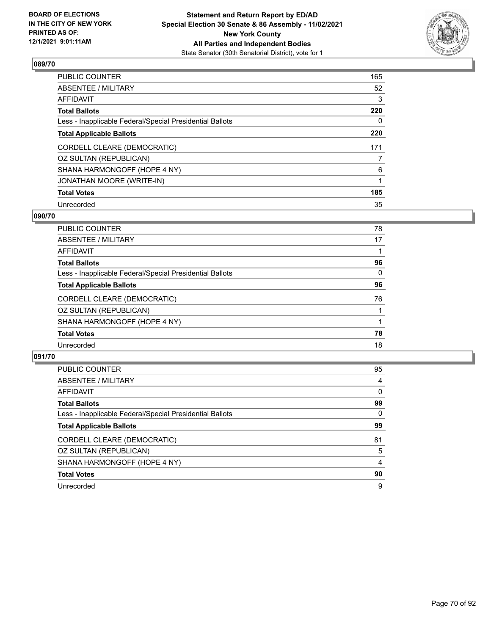

| PUBLIC COUNTER                                           | 165 |
|----------------------------------------------------------|-----|
| ABSENTEE / MILITARY                                      | 52  |
| AFFIDAVIT                                                | 3   |
| Total Ballots                                            | 220 |
| Less - Inapplicable Federal/Special Presidential Ballots | 0   |
| <b>Total Applicable Ballots</b>                          | 220 |
| CORDELL CLEARE (DEMOCRATIC)                              | 171 |
| OZ SULTAN (REPUBLICAN)                                   | 7   |
| SHANA HARMONGOFF (HOPE 4 NY)                             | 6   |
| JONATHAN MOORE (WRITE-IN)                                |     |
| <b>Total Votes</b>                                       | 185 |
| Unrecorded                                               | 35  |

#### **090/70**

| <b>PUBLIC COUNTER</b>                                    | 78 |
|----------------------------------------------------------|----|
| ABSENTEE / MILITARY                                      | 17 |
| AFFIDAVIT                                                |    |
| <b>Total Ballots</b>                                     | 96 |
| Less - Inapplicable Federal/Special Presidential Ballots | 0  |
| <b>Total Applicable Ballots</b>                          | 96 |
| CORDELL CLEARE (DEMOCRATIC)                              | 76 |
| OZ SULTAN (REPUBLICAN)                                   |    |
| SHANA HARMONGOFF (HOPE 4 NY)                             |    |
| <b>Total Votes</b>                                       | 78 |
| Unrecorded                                               | 18 |
|                                                          |    |

| PUBLIC COUNTER                                           | 95       |
|----------------------------------------------------------|----------|
| ABSENTEE / MILITARY                                      | 4        |
| AFFIDAVIT                                                | $\Omega$ |
| <b>Total Ballots</b>                                     | 99       |
| Less - Inapplicable Federal/Special Presidential Ballots | 0        |
| <b>Total Applicable Ballots</b>                          | 99       |
| CORDELL CLEARE (DEMOCRATIC)                              | 81       |
| OZ SULTAN (REPUBLICAN)                                   | 5        |
| SHANA HARMONGOFF (HOPE 4 NY)                             | 4        |
| <b>Total Votes</b>                                       | 90       |
| Unrecorded                                               | 9        |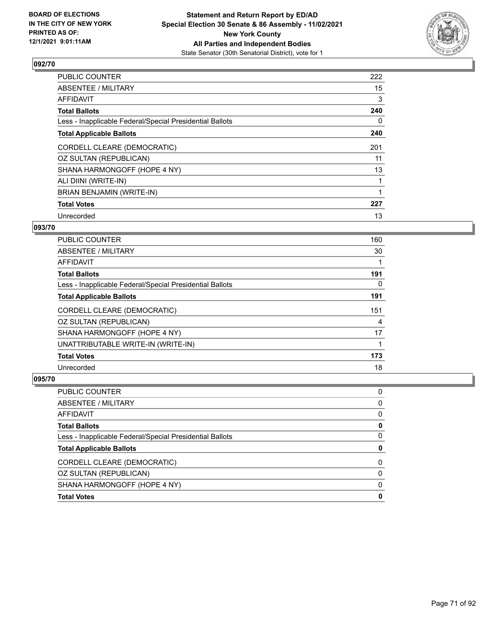

| <b>PUBLIC COUNTER</b>                                    | 222 |
|----------------------------------------------------------|-----|
| <b>ABSENTEE / MILITARY</b>                               | 15  |
| <b>AFFIDAVIT</b>                                         | 3   |
| <b>Total Ballots</b>                                     | 240 |
| Less - Inapplicable Federal/Special Presidential Ballots | 0   |
| <b>Total Applicable Ballots</b>                          | 240 |
| CORDELL CLEARE (DEMOCRATIC)                              | 201 |
| OZ SULTAN (REPUBLICAN)                                   | 11  |
| SHANA HARMONGOFF (HOPE 4 NY)                             | 13  |
| ALI DIINI (WRITE-IN)                                     |     |
| BRIAN BENJAMIN (WRITE-IN)                                |     |
| <b>Total Votes</b>                                       | 227 |
| Unrecorded                                               | 13  |

### **093/70**

| <b>PUBLIC COUNTER</b>                                    | 160 |
|----------------------------------------------------------|-----|
| ABSENTEE / MILITARY                                      | 30  |
| AFFIDAVIT                                                |     |
| <b>Total Ballots</b>                                     | 191 |
| Less - Inapplicable Federal/Special Presidential Ballots | 0   |
| <b>Total Applicable Ballots</b>                          | 191 |
| CORDELL CLEARE (DEMOCRATIC)                              | 151 |
| OZ SULTAN (REPUBLICAN)                                   | 4   |
| SHANA HARMONGOFF (HOPE 4 NY)                             | 17  |
| UNATTRIBUTABLE WRITE-IN (WRITE-IN)                       |     |
| <b>Total Votes</b>                                       | 173 |
| Unrecorded                                               | 18  |

| <b>Total Votes</b>                                       | 0        |
|----------------------------------------------------------|----------|
| SHANA HARMONGOFF (HOPE 4 NY)                             | $\Omega$ |
| OZ SULTAN (REPUBLICAN)                                   | 0        |
| CORDELL CLEARE (DEMOCRATIC)                              | 0        |
| <b>Total Applicable Ballots</b>                          | 0        |
| Less - Inapplicable Federal/Special Presidential Ballots | 0        |
| <b>Total Ballots</b>                                     | 0        |
| <b>AFFIDAVIT</b>                                         | 0        |
| ABSENTEE / MILITARY                                      | 0        |
| PUBLIC COUNTER                                           | 0        |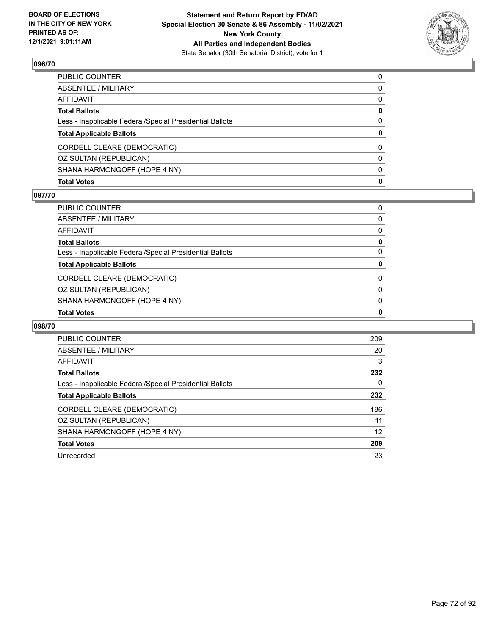

| <b>Total Votes</b>                                       | $\mathbf{0}$ |
|----------------------------------------------------------|--------------|
| SHANA HARMONGOFF (HOPE 4 NY)                             | $\mathbf{0}$ |
| OZ SULTAN (REPUBLICAN)                                   | $\mathbf{0}$ |
| CORDELL CLEARE (DEMOCRATIC)                              | 0            |
| <b>Total Applicable Ballots</b>                          | $\bf{0}$     |
| Less - Inapplicable Federal/Special Presidential Ballots | $\Omega$     |
| <b>Total Ballots</b>                                     | $\mathbf 0$  |
| AFFIDAVIT                                                | $\mathbf{0}$ |
| ABSENTEE / MILITARY                                      | 0            |
| PUBLIC COUNTER                                           | $\Omega$     |

#### **097/70**

| PUBLIC COUNTER                                           | 0            |
|----------------------------------------------------------|--------------|
| ABSENTEE / MILITARY                                      | $\Omega$     |
| AFFIDAVIT                                                | $\mathbf{0}$ |
| Total Ballots                                            | 0            |
| Less - Inapplicable Federal/Special Presidential Ballots | 0            |
| <b>Total Applicable Ballots</b>                          | 0            |
| CORDELL CLEARE (DEMOCRATIC)                              | 0            |
| OZ SULTAN (REPUBLICAN)                                   |              |
|                                                          | $\mathbf{0}$ |
| SHANA HARMONGOFF (HOPE 4 NY)                             | $\Omega$     |
| <b>Total Votes</b>                                       | 0            |

| <b>PUBLIC COUNTER</b>                                    | 209 |
|----------------------------------------------------------|-----|
| <b>ABSENTEE / MILITARY</b>                               | 20  |
| AFFIDAVIT                                                | 3   |
| <b>Total Ballots</b>                                     | 232 |
| Less - Inapplicable Federal/Special Presidential Ballots | 0   |
| <b>Total Applicable Ballots</b>                          | 232 |
| CORDELL CLEARE (DEMOCRATIC)                              | 186 |
| OZ SULTAN (REPUBLICAN)                                   | 11  |
| SHANA HARMONGOFF (HOPE 4 NY)                             | 12  |
| <b>Total Votes</b>                                       | 209 |
| Unrecorded                                               | 23  |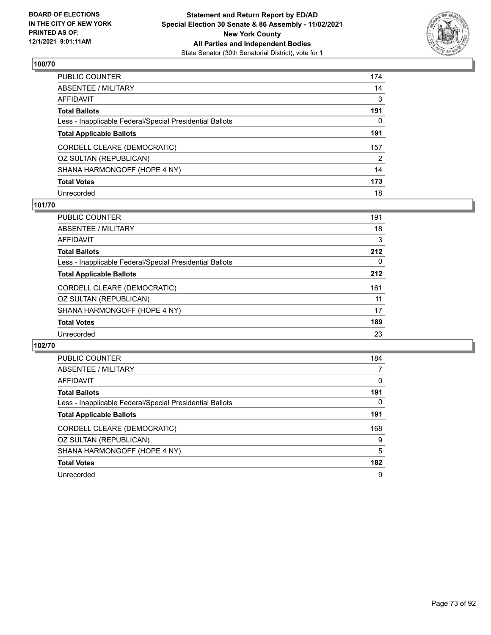

| PUBLIC COUNTER                                           | 174 |
|----------------------------------------------------------|-----|
| ABSENTEE / MILITARY                                      | 14  |
| AFFIDAVIT                                                | 3   |
| Total Ballots                                            | 191 |
| Less - Inapplicable Federal/Special Presidential Ballots | 0   |
| <b>Total Applicable Ballots</b>                          | 191 |
| CORDELL CLEARE (DEMOCRATIC)                              | 157 |
| OZ SULTAN (REPUBLICAN)                                   | 2   |
| SHANA HARMONGOFF (HOPE 4 NY)                             | 14  |
| <b>Total Votes</b>                                       | 173 |
| Unrecorded                                               | 18  |

#### **101/70**

| <b>PUBLIC COUNTER</b>                                    | 191 |
|----------------------------------------------------------|-----|
| ABSENTEE / MILITARY                                      | 18  |
| AFFIDAVIT                                                | 3   |
| <b>Total Ballots</b>                                     | 212 |
| Less - Inapplicable Federal/Special Presidential Ballots | 0   |
| <b>Total Applicable Ballots</b>                          | 212 |
| CORDELL CLEARE (DEMOCRATIC)                              | 161 |
| OZ SULTAN (REPUBLICAN)                                   | 11  |
| SHANA HARMONGOFF (HOPE 4 NY)                             | 17  |
| <b>Total Votes</b>                                       | 189 |
| Unrecorded                                               | 23  |
|                                                          |     |

| <b>PUBLIC COUNTER</b>                                    | 184 |
|----------------------------------------------------------|-----|
| ABSENTEE / MILITARY                                      |     |
| AFFIDAVIT                                                | 0   |
| <b>Total Ballots</b>                                     | 191 |
| Less - Inapplicable Federal/Special Presidential Ballots | 0   |
| <b>Total Applicable Ballots</b>                          | 191 |
| CORDELL CLEARE (DEMOCRATIC)                              | 168 |
| OZ SULTAN (REPUBLICAN)                                   | 9   |
| SHANA HARMONGOFF (HOPE 4 NY)                             | 5   |
| <b>Total Votes</b>                                       | 182 |
| Unrecorded                                               | 9   |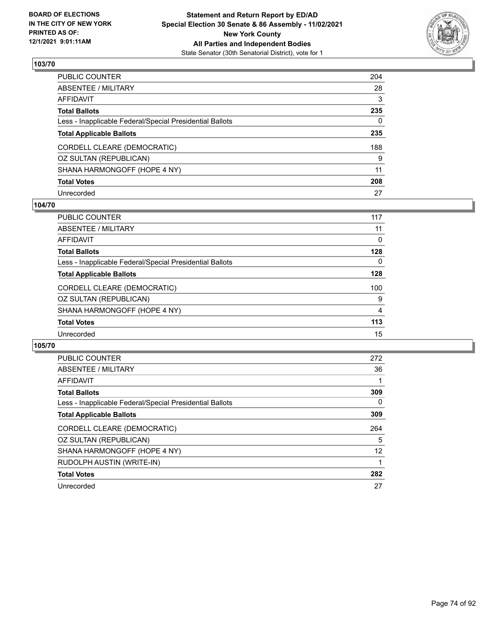

| PUBLIC COUNTER                                           | 204 |
|----------------------------------------------------------|-----|
| ABSENTEE / MILITARY                                      | 28  |
| AFFIDAVIT                                                | 3   |
| Total Ballots                                            | 235 |
| Less - Inapplicable Federal/Special Presidential Ballots | 0   |
| <b>Total Applicable Ballots</b>                          | 235 |
| CORDELL CLEARE (DEMOCRATIC)                              | 188 |
| OZ SULTAN (REPUBLICAN)                                   | 9   |
| SHANA HARMONGOFF (HOPE 4 NY)                             | 11  |
| <b>Total Votes</b>                                       | 208 |
| Unrecorded                                               | 27  |

#### **104/70**

| <b>PUBLIC COUNTER</b>                                    | 117 |
|----------------------------------------------------------|-----|
| ABSENTEE / MILITARY                                      | 11  |
| AFFIDAVIT                                                | 0   |
| <b>Total Ballots</b>                                     | 128 |
| Less - Inapplicable Federal/Special Presidential Ballots | 0   |
| <b>Total Applicable Ballots</b>                          | 128 |
| CORDELL CLEARE (DEMOCRATIC)                              | 100 |
| OZ SULTAN (REPUBLICAN)                                   | 9   |
| SHANA HARMONGOFF (HOPE 4 NY)                             | 4   |
| <b>Total Votes</b>                                       | 113 |
| Unrecorded                                               | 15  |
|                                                          |     |

| <b>PUBLIC COUNTER</b>                                    | 272 |
|----------------------------------------------------------|-----|
| ABSENTEE / MILITARY                                      | 36  |
| <b>AFFIDAVIT</b>                                         |     |
| <b>Total Ballots</b>                                     | 309 |
| Less - Inapplicable Federal/Special Presidential Ballots | 0   |
| <b>Total Applicable Ballots</b>                          | 309 |
| CORDELL CLEARE (DEMOCRATIC)                              | 264 |
| OZ SULTAN (REPUBLICAN)                                   | 5   |
| SHANA HARMONGOFF (HOPE 4 NY)                             | 12  |
| RUDOLPH AUSTIN (WRITE-IN)                                |     |
| <b>Total Votes</b>                                       | 282 |
| Unrecorded                                               | 27  |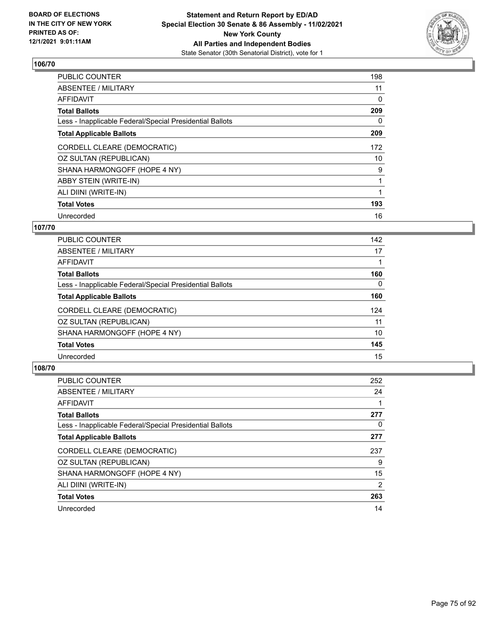

| PUBLIC COUNTER                                           | 198 |
|----------------------------------------------------------|-----|
| <b>ABSENTEE / MILITARY</b>                               | 11  |
| <b>AFFIDAVIT</b>                                         | 0   |
| <b>Total Ballots</b>                                     | 209 |
| Less - Inapplicable Federal/Special Presidential Ballots | 0   |
| <b>Total Applicable Ballots</b>                          | 209 |
| CORDELL CLEARE (DEMOCRATIC)                              | 172 |
| OZ SULTAN (REPUBLICAN)                                   | 10  |
| SHANA HARMONGOFF (HOPE 4 NY)                             | 9   |
| ABBY STEIN (WRITE-IN)                                    | 1   |
| ALI DIINI (WRITE-IN)                                     |     |
| <b>Total Votes</b>                                       | 193 |
| Unrecorded                                               | 16  |

### **107/70**

| <b>PUBLIC COUNTER</b>                                    | 142      |
|----------------------------------------------------------|----------|
| ABSENTEE / MILITARY                                      | 17       |
| AFFIDAVIT                                                |          |
| <b>Total Ballots</b>                                     | 160      |
| Less - Inapplicable Federal/Special Presidential Ballots | $\Omega$ |
| <b>Total Applicable Ballots</b>                          | 160      |
| CORDELL CLEARE (DEMOCRATIC)                              | 124      |
| OZ SULTAN (REPUBLICAN)                                   | 11       |
| SHANA HARMONGOFF (HOPE 4 NY)                             | 10       |
| <b>Total Votes</b>                                       | 145      |
| Unrecorded                                               | 15       |

| <b>PUBLIC COUNTER</b>                                    | 252 |
|----------------------------------------------------------|-----|
| ABSENTEE / MILITARY                                      | 24  |
| <b>AFFIDAVIT</b>                                         |     |
| <b>Total Ballots</b>                                     | 277 |
| Less - Inapplicable Federal/Special Presidential Ballots | 0   |
| <b>Total Applicable Ballots</b>                          | 277 |
| CORDELL CLEARE (DEMOCRATIC)                              | 237 |
| OZ SULTAN (REPUBLICAN)                                   | 9   |
| SHANA HARMONGOFF (HOPE 4 NY)                             | 15  |
| ALI DIINI (WRITE-IN)                                     | 2   |
| <b>Total Votes</b>                                       | 263 |
| Unrecorded                                               | 14  |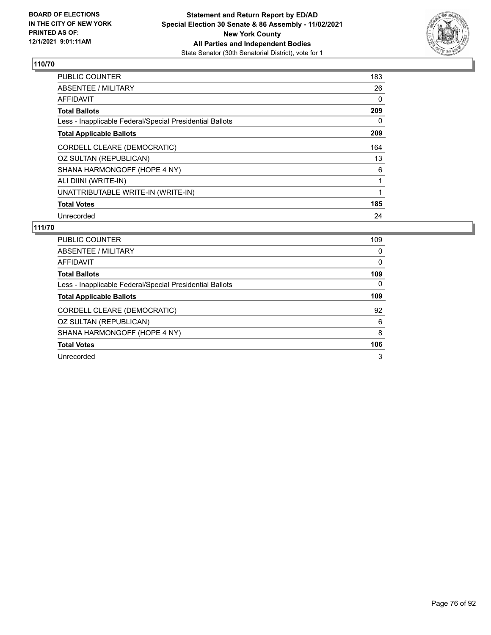

| PUBLIC COUNTER                                           | 183      |
|----------------------------------------------------------|----------|
| ABSENTEE / MILITARY                                      | 26       |
| AFFIDAVIT                                                | 0        |
| <b>Total Ballots</b>                                     | 209      |
| Less - Inapplicable Federal/Special Presidential Ballots | $\Omega$ |
| <b>Total Applicable Ballots</b>                          | 209      |
| CORDELL CLEARE (DEMOCRATIC)                              | 164      |
| OZ SULTAN (REPUBLICAN)                                   | 13       |
| SHANA HARMONGOFF (HOPE 4 NY)                             | 6        |
| ALI DIINI (WRITE-IN)                                     |          |
| UNATTRIBUTABLE WRITE-IN (WRITE-IN)                       |          |
| <b>Total Votes</b>                                       | 185      |
| Unrecorded                                               | 24       |

| <b>PUBLIC COUNTER</b>                                    | 109      |
|----------------------------------------------------------|----------|
| ABSENTEE / MILITARY                                      | $\Omega$ |
| AFFIDAVIT                                                | $\Omega$ |
| <b>Total Ballots</b>                                     | 109      |
| Less - Inapplicable Federal/Special Presidential Ballots | $\Omega$ |
| <b>Total Applicable Ballots</b>                          | 109      |
| CORDELL CLEARE (DEMOCRATIC)                              | 92       |
| OZ SULTAN (REPUBLICAN)                                   | 6        |
| SHANA HARMONGOFF (HOPE 4 NY)                             | 8        |
| <b>Total Votes</b>                                       | 106      |
| Unrecorded                                               | 3        |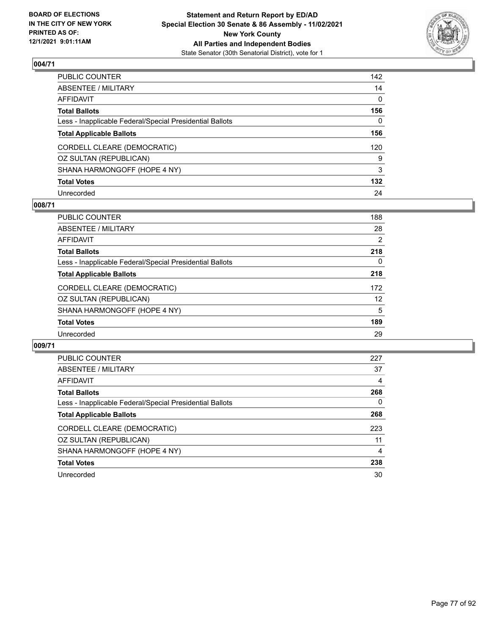

| PUBLIC COUNTER                                           | 142          |
|----------------------------------------------------------|--------------|
| ABSENTEE / MILITARY                                      | 14           |
| AFFIDAVIT                                                | 0            |
| <b>Total Ballots</b>                                     | 156          |
| Less - Inapplicable Federal/Special Presidential Ballots | $\mathbf{0}$ |
| <b>Total Applicable Ballots</b>                          | 156          |
| CORDELL CLEARE (DEMOCRATIC)                              | 120          |
| OZ SULTAN (REPUBLICAN)                                   | 9            |
| SHANA HARMONGOFF (HOPE 4 NY)                             | 3            |
| <b>Total Votes</b>                                       | 132          |
| Unrecorded                                               | 24           |

#### **008/71**

| <b>PUBLIC COUNTER</b>                                    | 188      |
|----------------------------------------------------------|----------|
| ABSENTEE / MILITARY                                      | 28       |
| AFFIDAVIT                                                | 2        |
| <b>Total Ballots</b>                                     | 218      |
| Less - Inapplicable Federal/Special Presidential Ballots | $\Omega$ |
| <b>Total Applicable Ballots</b>                          | 218      |
| CORDELL CLEARE (DEMOCRATIC)                              | 172      |
| OZ SULTAN (REPUBLICAN)                                   | 12       |
| SHANA HARMONGOFF (HOPE 4 NY)                             | 5        |
| <b>Total Votes</b>                                       | 189      |
| Unrecorded                                               | 29       |
|                                                          |          |

| <b>PUBLIC COUNTER</b>                                    | 227 |
|----------------------------------------------------------|-----|
| ABSENTEE / MILITARY                                      | 37  |
| AFFIDAVIT                                                | 4   |
| <b>Total Ballots</b>                                     | 268 |
| Less - Inapplicable Federal/Special Presidential Ballots | 0   |
| <b>Total Applicable Ballots</b>                          | 268 |
| CORDELL CLEARE (DEMOCRATIC)                              | 223 |
| OZ SULTAN (REPUBLICAN)                                   | 11  |
| SHANA HARMONGOFF (HOPE 4 NY)                             | 4   |
| <b>Total Votes</b>                                       | 238 |
| Unrecorded                                               | 30  |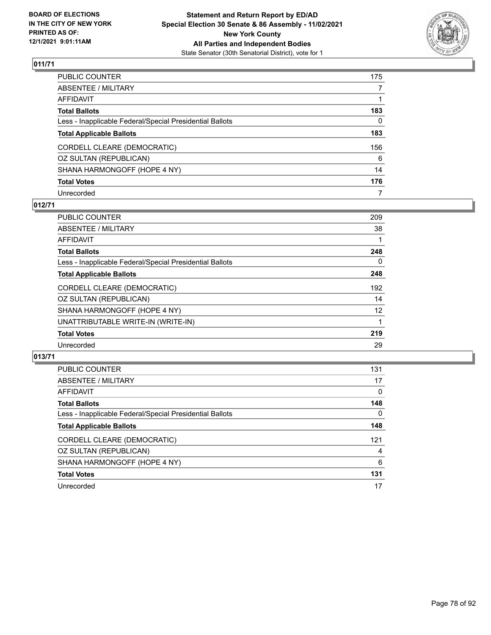

| PUBLIC COUNTER                                           | 175          |
|----------------------------------------------------------|--------------|
| ABSENTEE / MILITARY                                      | 7            |
| AFFIDAVIT                                                |              |
| Total Ballots                                            | 183          |
| Less - Inapplicable Federal/Special Presidential Ballots | $\mathbf{0}$ |
| <b>Total Applicable Ballots</b>                          | 183          |
| CORDELL CLEARE (DEMOCRATIC)                              | 156          |
| OZ SULTAN (REPUBLICAN)                                   | 6            |
| SHANA HARMONGOFF (HOPE 4 NY)                             | 14           |
| <b>Total Votes</b>                                       | 176          |
| Unrecorded                                               | 7            |

### **012/71**

| <b>PUBLIC COUNTER</b>                                    | 209      |
|----------------------------------------------------------|----------|
| ABSENTEE / MILITARY                                      | 38       |
| AFFIDAVIT                                                |          |
| <b>Total Ballots</b>                                     | 248      |
| Less - Inapplicable Federal/Special Presidential Ballots | $\Omega$ |
| <b>Total Applicable Ballots</b>                          | 248      |
| CORDELL CLEARE (DEMOCRATIC)                              | 192      |
| OZ SULTAN (REPUBLICAN)                                   | 14       |
| SHANA HARMONGOFF (HOPE 4 NY)                             | 12       |
| UNATTRIBUTABLE WRITE-IN (WRITE-IN)                       |          |
| <b>Total Votes</b>                                       | 219      |
| Unrecorded                                               | 29       |

| <b>PUBLIC COUNTER</b>                                    | 131      |
|----------------------------------------------------------|----------|
| ABSENTEE / MILITARY                                      | 17       |
| AFFIDAVIT                                                | $\Omega$ |
| <b>Total Ballots</b>                                     | 148      |
| Less - Inapplicable Federal/Special Presidential Ballots | 0        |
| <b>Total Applicable Ballots</b>                          | 148      |
| CORDELL CLEARE (DEMOCRATIC)                              | 121      |
| OZ SULTAN (REPUBLICAN)                                   | 4        |
| SHANA HARMONGOFF (HOPE 4 NY)                             | 6        |
| <b>Total Votes</b>                                       | 131      |
| Unrecorded                                               | 17       |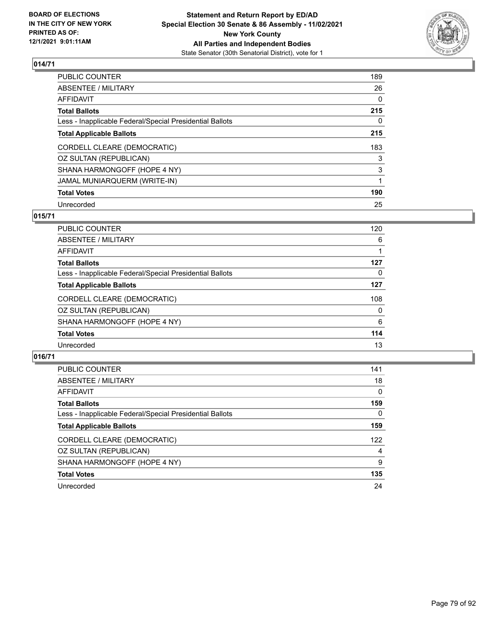

| PUBLIC COUNTER                                           | 189 |
|----------------------------------------------------------|-----|
| ABSENTEE / MILITARY                                      | 26  |
| AFFIDAVIT                                                | 0   |
| Total Ballots                                            | 215 |
| Less - Inapplicable Federal/Special Presidential Ballots | 0   |
| <b>Total Applicable Ballots</b>                          | 215 |
| CORDELL CLEARE (DEMOCRATIC)                              | 183 |
| OZ SULTAN (REPUBLICAN)                                   | 3   |
| SHANA HARMONGOFF (HOPE 4 NY)                             | 3   |
| JAMAL MUNIARQUERM (WRITE-IN)                             | 1   |
| <b>Total Votes</b>                                       | 190 |
| Unrecorded                                               | 25  |

#### **015/71**

| <b>PUBLIC COUNTER</b>                                    | 120      |
|----------------------------------------------------------|----------|
| ABSENTEE / MILITARY                                      | 6        |
| AFFIDAVIT                                                |          |
| <b>Total Ballots</b>                                     | 127      |
| Less - Inapplicable Federal/Special Presidential Ballots | 0        |
| <b>Total Applicable Ballots</b>                          | 127      |
| CORDELL CLEARE (DEMOCRATIC)                              | 108      |
| OZ SULTAN (REPUBLICAN)                                   | $\Omega$ |
| SHANA HARMONGOFF (HOPE 4 NY)                             | 6        |
| <b>Total Votes</b>                                       | 114      |
| Unrecorded                                               | 13       |
|                                                          |          |

| <b>PUBLIC COUNTER</b>                                    | 141      |
|----------------------------------------------------------|----------|
| ABSENTEE / MILITARY                                      | 18       |
| AFFIDAVIT                                                | $\Omega$ |
| <b>Total Ballots</b>                                     | 159      |
| Less - Inapplicable Federal/Special Presidential Ballots | 0        |
| <b>Total Applicable Ballots</b>                          | 159      |
| CORDELL CLEARE (DEMOCRATIC)                              | 122      |
| OZ SULTAN (REPUBLICAN)                                   | 4        |
| SHANA HARMONGOFF (HOPE 4 NY)                             | 9        |
| <b>Total Votes</b>                                       | 135      |
| Unrecorded                                               | 24       |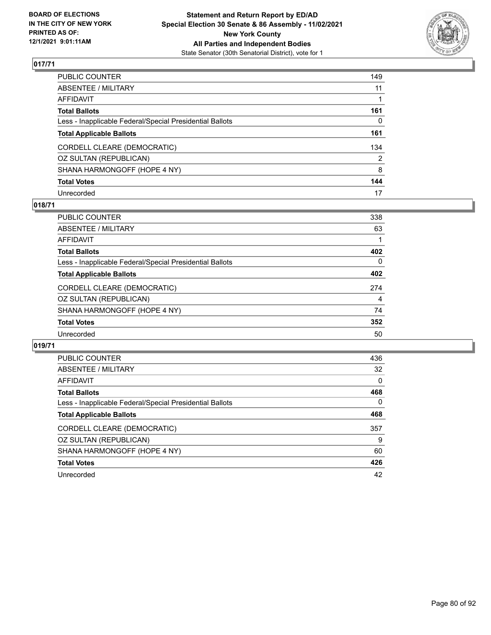

| PUBLIC COUNTER                                           | 149 |
|----------------------------------------------------------|-----|
| ABSENTEE / MILITARY                                      | 11  |
| AFFIDAVIT                                                | 1   |
| Total Ballots                                            | 161 |
| Less - Inapplicable Federal/Special Presidential Ballots | 0   |
| <b>Total Applicable Ballots</b>                          | 161 |
| CORDELL CLEARE (DEMOCRATIC)                              | 134 |
| OZ SULTAN (REPUBLICAN)                                   | 2   |
| SHANA HARMONGOFF (HOPE 4 NY)                             | 8   |
| <b>Total Votes</b>                                       | 144 |
| Unrecorded                                               | 17  |

### **018/71**

| <b>PUBLIC COUNTER</b>                                    | 338 |
|----------------------------------------------------------|-----|
| ABSENTEE / MILITARY                                      | 63  |
| AFFIDAVIT                                                |     |
| <b>Total Ballots</b>                                     | 402 |
| Less - Inapplicable Federal/Special Presidential Ballots | 0   |
| <b>Total Applicable Ballots</b>                          | 402 |
| CORDELL CLEARE (DEMOCRATIC)                              | 274 |
| OZ SULTAN (REPUBLICAN)                                   | 4   |
| SHANA HARMONGOFF (HOPE 4 NY)                             | 74  |
| <b>Total Votes</b>                                       | 352 |
| Unrecorded                                               | 50  |
|                                                          |     |

| <b>PUBLIC COUNTER</b>                                    | 436 |
|----------------------------------------------------------|-----|
| ABSENTEE / MILITARY                                      | 32  |
| AFFIDAVIT                                                | 0   |
| <b>Total Ballots</b>                                     | 468 |
| Less - Inapplicable Federal/Special Presidential Ballots | 0   |
| <b>Total Applicable Ballots</b>                          | 468 |
| CORDELL CLEARE (DEMOCRATIC)                              | 357 |
| OZ SULTAN (REPUBLICAN)                                   | 9   |
| SHANA HARMONGOFF (HOPE 4 NY)                             | 60  |
| <b>Total Votes</b>                                       | 426 |
| Unrecorded                                               | 42  |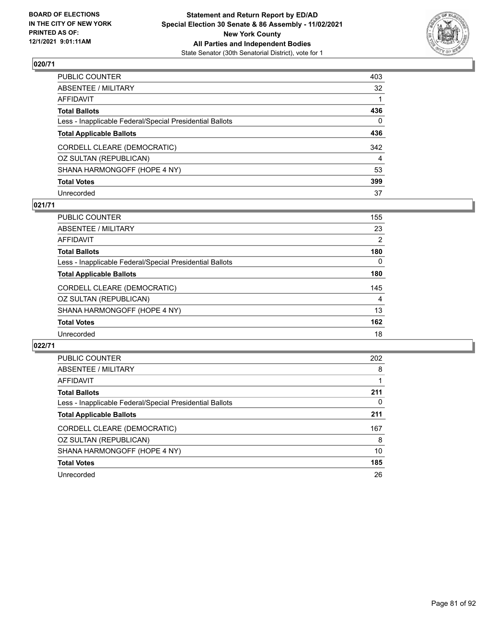

| PUBLIC COUNTER                                           | 403            |
|----------------------------------------------------------|----------------|
| ABSENTEE / MILITARY                                      | 32             |
| AFFIDAVIT                                                |                |
| Total Ballots                                            | 436            |
| Less - Inapplicable Federal/Special Presidential Ballots | 0              |
| <b>Total Applicable Ballots</b>                          | 436            |
| CORDELL CLEARE (DEMOCRATIC)                              | 342            |
| OZ SULTAN (REPUBLICAN)                                   | $\overline{4}$ |
| SHANA HARMONGOFF (HOPE 4 NY)                             | 53             |
| <b>Total Votes</b>                                       | 399            |
| Unrecorded                                               | 37             |

### **021/71**

| <b>PUBLIC COUNTER</b>                                    | 155 |
|----------------------------------------------------------|-----|
| ABSENTEE / MILITARY                                      | 23  |
| AFFIDAVIT                                                | 2   |
| <b>Total Ballots</b>                                     | 180 |
| Less - Inapplicable Federal/Special Presidential Ballots | 0   |
| <b>Total Applicable Ballots</b>                          | 180 |
| CORDELL CLEARE (DEMOCRATIC)                              | 145 |
| OZ SULTAN (REPUBLICAN)                                   | 4   |
| SHANA HARMONGOFF (HOPE 4 NY)                             | 13  |
| <b>Total Votes</b>                                       | 162 |
| Unrecorded                                               | 18  |
|                                                          |     |

| <b>PUBLIC COUNTER</b>                                    | 202 |
|----------------------------------------------------------|-----|
| ABSENTEE / MILITARY                                      | 8   |
| AFFIDAVIT                                                |     |
| <b>Total Ballots</b>                                     | 211 |
| Less - Inapplicable Federal/Special Presidential Ballots | 0   |
| <b>Total Applicable Ballots</b>                          | 211 |
| CORDELL CLEARE (DEMOCRATIC)                              | 167 |
| OZ SULTAN (REPUBLICAN)                                   | 8   |
| SHANA HARMONGOFF (HOPE 4 NY)                             | 10  |
| <b>Total Votes</b>                                       | 185 |
| Unrecorded                                               | 26  |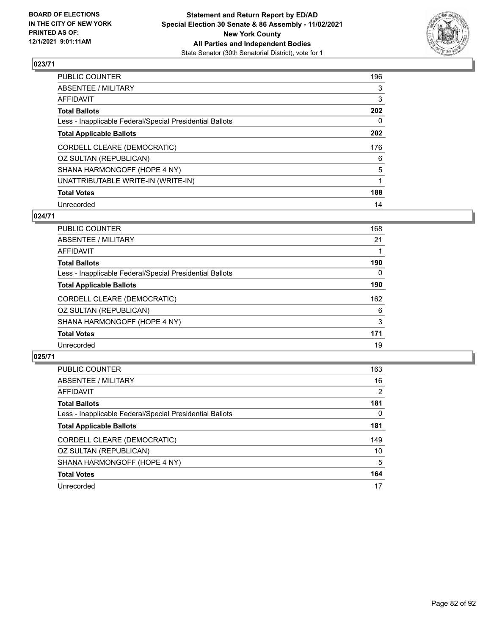

| PUBLIC COUNTER                                           | 196 |
|----------------------------------------------------------|-----|
| ABSENTEE / MILITARY                                      | 3   |
| AFFIDAVIT                                                | 3   |
| Total Ballots                                            | 202 |
| Less - Inapplicable Federal/Special Presidential Ballots | 0   |
| <b>Total Applicable Ballots</b>                          | 202 |
| CORDELL CLEARE (DEMOCRATIC)                              | 176 |
| OZ SULTAN (REPUBLICAN)                                   | 6   |
| SHANA HARMONGOFF (HOPE 4 NY)                             | 5   |
| UNATTRIBUTABLE WRITE-IN (WRITE-IN)                       |     |
| <b>Total Votes</b>                                       | 188 |
| Unrecorded                                               | 14  |

#### **024/71**

| <b>PUBLIC COUNTER</b>                                    | 168 |
|----------------------------------------------------------|-----|
| ABSENTEE / MILITARY                                      | 21  |
| AFFIDAVIT                                                |     |
| <b>Total Ballots</b>                                     | 190 |
| Less - Inapplicable Federal/Special Presidential Ballots | 0   |
| <b>Total Applicable Ballots</b>                          | 190 |
| CORDELL CLEARE (DEMOCRATIC)                              | 162 |
| OZ SULTAN (REPUBLICAN)                                   | 6   |
| SHANA HARMONGOFF (HOPE 4 NY)                             | 3   |
| <b>Total Votes</b>                                       | 171 |
| Unrecorded                                               | 19  |

| <b>PUBLIC COUNTER</b>                                    | 163 |
|----------------------------------------------------------|-----|
| ABSENTEE / MILITARY                                      | 16  |
| AFFIDAVIT                                                | 2   |
| <b>Total Ballots</b>                                     | 181 |
| Less - Inapplicable Federal/Special Presidential Ballots | 0   |
| <b>Total Applicable Ballots</b>                          | 181 |
| CORDELL CLEARE (DEMOCRATIC)                              | 149 |
| OZ SULTAN (REPUBLICAN)                                   | 10  |
| SHANA HARMONGOFF (HOPE 4 NY)                             | 5   |
| <b>Total Votes</b>                                       | 164 |
| Unrecorded                                               | 17  |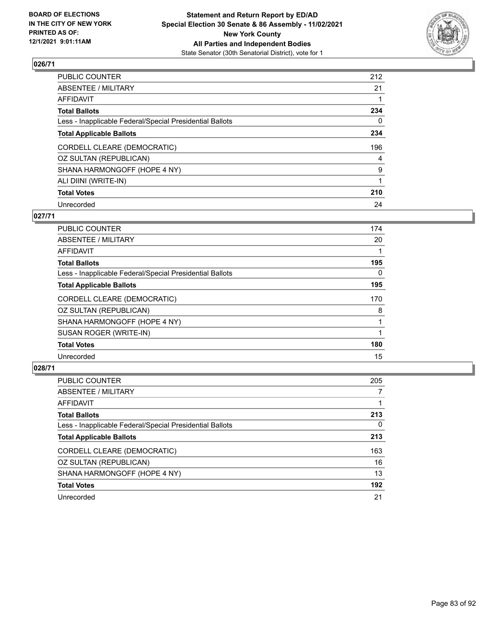

| PUBLIC COUNTER                                           | 212            |
|----------------------------------------------------------|----------------|
| ABSENTEE / MILITARY                                      | 21             |
| AFFIDAVIT                                                |                |
| Total Ballots                                            | 234            |
| Less - Inapplicable Federal/Special Presidential Ballots | 0              |
| <b>Total Applicable Ballots</b>                          | 234            |
| CORDELL CLEARE (DEMOCRATIC)                              | 196            |
| OZ SULTAN (REPUBLICAN)                                   | $\overline{4}$ |
| SHANA HARMONGOFF (HOPE 4 NY)                             | 9              |
| ALI DIINI (WRITE-IN)                                     | 1              |
| <b>Total Votes</b>                                       | 210            |
| Unrecorded                                               | 24             |

#### **027/71**

| PUBLIC COUNTER                                           | 174      |
|----------------------------------------------------------|----------|
| ABSENTEE / MILITARY                                      | 20       |
| AFFIDAVIT                                                |          |
| <b>Total Ballots</b>                                     | 195      |
| Less - Inapplicable Federal/Special Presidential Ballots | $\Omega$ |
| <b>Total Applicable Ballots</b>                          | 195      |
| CORDELL CLEARE (DEMOCRATIC)                              | 170      |
| OZ SULTAN (REPUBLICAN)                                   | 8        |
| SHANA HARMONGOFF (HOPE 4 NY)                             |          |
| SUSAN ROGER (WRITE-IN)                                   |          |
| <b>Total Votes</b>                                       | 180      |
| Unrecorded                                               | 15       |

| PUBLIC COUNTER                                           | 205      |
|----------------------------------------------------------|----------|
| ABSENTEE / MILITARY                                      | 7        |
| AFFIDAVIT                                                |          |
| <b>Total Ballots</b>                                     | 213      |
| Less - Inapplicable Federal/Special Presidential Ballots | $\Omega$ |
| <b>Total Applicable Ballots</b>                          | 213      |
| CORDELL CLEARE (DEMOCRATIC)                              | 163      |
| OZ SULTAN (REPUBLICAN)                                   | 16       |
| SHANA HARMONGOFF (HOPE 4 NY)                             | 13       |
| <b>Total Votes</b>                                       | 192      |
| Unrecorded                                               | 21       |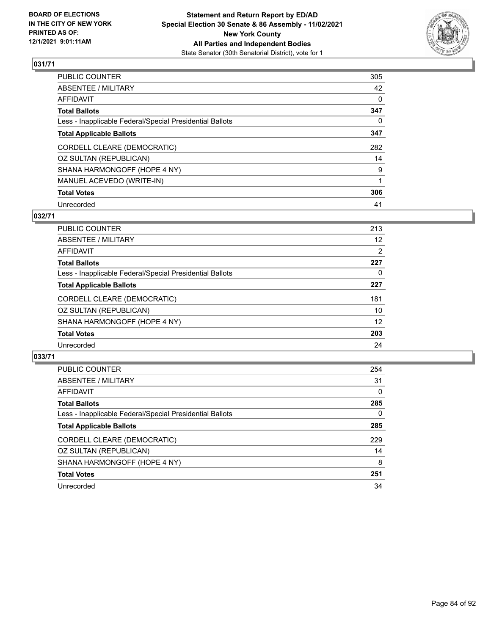

| PUBLIC COUNTER                                           | 305          |
|----------------------------------------------------------|--------------|
| ABSENTEE / MILITARY                                      | 42           |
| AFFIDAVIT                                                | 0            |
| Total Ballots                                            | 347          |
| Less - Inapplicable Federal/Special Presidential Ballots | $\mathbf{0}$ |
| <b>Total Applicable Ballots</b>                          | 347          |
| CORDELL CLEARE (DEMOCRATIC)                              | 282          |
| OZ SULTAN (REPUBLICAN)                                   | 14           |
| SHANA HARMONGOFF (HOPE 4 NY)                             | 9            |
| MANUEL ACEVEDO (WRITE-IN)                                | 1            |
| <b>Total Votes</b>                                       | 306          |
| Unrecorded                                               | 41           |

#### **032/71**

| 213 |
|-----|
|     |
| 12  |
| 2   |
| 227 |
| 0   |
| 227 |
| 181 |
| 10  |
| 12  |
| 203 |
| 24  |
|     |

| <b>PUBLIC COUNTER</b>                                    | 254      |
|----------------------------------------------------------|----------|
| ABSENTEE / MILITARY                                      | 31       |
| AFFIDAVIT                                                | $\Omega$ |
| <b>Total Ballots</b>                                     | 285      |
| Less - Inapplicable Federal/Special Presidential Ballots | 0        |
| <b>Total Applicable Ballots</b>                          | 285      |
| CORDELL CLEARE (DEMOCRATIC)                              | 229      |
| OZ SULTAN (REPUBLICAN)                                   | 14       |
| SHANA HARMONGOFF (HOPE 4 NY)                             | 8        |
| <b>Total Votes</b>                                       | 251      |
| Unrecorded                                               | 34       |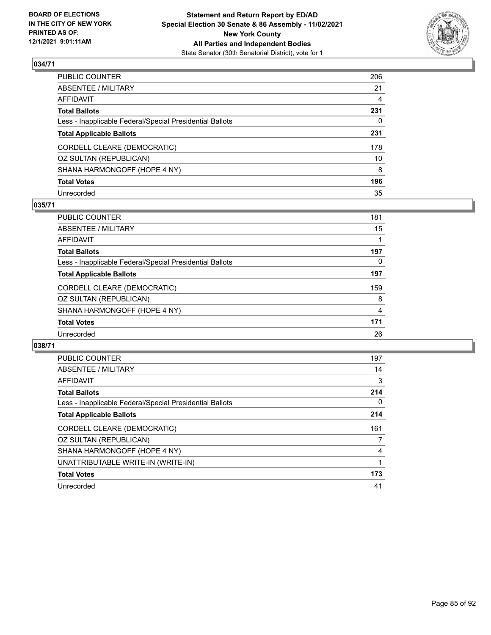

| PUBLIC COUNTER                                           | 206 |
|----------------------------------------------------------|-----|
| ABSENTEE / MILITARY                                      | 21  |
| AFFIDAVIT                                                | 4   |
| Total Ballots                                            | 231 |
| Less - Inapplicable Federal/Special Presidential Ballots | 0   |
| <b>Total Applicable Ballots</b>                          | 231 |
| CORDELL CLEARE (DEMOCRATIC)                              | 178 |
| OZ SULTAN (REPUBLICAN)                                   | 10  |
| SHANA HARMONGOFF (HOPE 4 NY)                             | 8   |
| <b>Total Votes</b>                                       | 196 |
| Unrecorded                                               | 35  |

#### **035/71**

| PUBLIC COUNTER                                           | 181      |
|----------------------------------------------------------|----------|
| ABSENTEE / MILITARY                                      | 15       |
| AFFIDAVIT                                                |          |
| <b>Total Ballots</b>                                     | 197      |
| Less - Inapplicable Federal/Special Presidential Ballots | $\Omega$ |
| <b>Total Applicable Ballots</b>                          | 197      |
| CORDELL CLEARE (DEMOCRATIC)                              | 159      |
| OZ SULTAN (REPUBLICAN)                                   | 8        |
| SHANA HARMONGOFF (HOPE 4 NY)                             | 4        |
| <b>Total Votes</b>                                       | 171      |
| Unrecorded                                               | 26       |
|                                                          |          |

| <b>PUBLIC COUNTER</b>                                    | 197 |
|----------------------------------------------------------|-----|
| ABSENTEE / MILITARY                                      | 14  |
| <b>AFFIDAVIT</b>                                         | 3   |
| <b>Total Ballots</b>                                     | 214 |
| Less - Inapplicable Federal/Special Presidential Ballots | 0   |
| <b>Total Applicable Ballots</b>                          | 214 |
| CORDELL CLEARE (DEMOCRATIC)                              | 161 |
| OZ SULTAN (REPUBLICAN)                                   |     |
| SHANA HARMONGOFF (HOPE 4 NY)                             | 4   |
| UNATTRIBUTABLE WRITE-IN (WRITE-IN)                       |     |
| <b>Total Votes</b>                                       | 173 |
| Unrecorded                                               | 41  |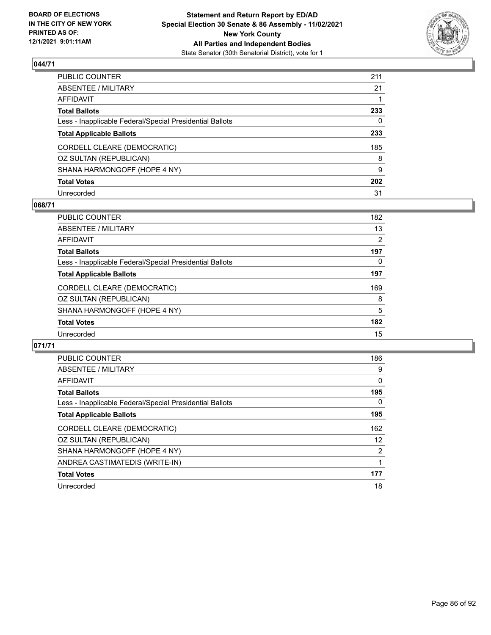

| PUBLIC COUNTER                                           | 211 |
|----------------------------------------------------------|-----|
| ABSENTEE / MILITARY                                      | 21  |
| AFFIDAVIT                                                |     |
| Total Ballots                                            | 233 |
| Less - Inapplicable Federal/Special Presidential Ballots | 0   |
| <b>Total Applicable Ballots</b>                          | 233 |
| CORDELL CLEARE (DEMOCRATIC)                              | 185 |
| OZ SULTAN (REPUBLICAN)                                   | 8   |
| SHANA HARMONGOFF (HOPE 4 NY)                             | 9   |
| <b>Total Votes</b>                                       | 202 |
| Unrecorded                                               | 31  |

#### **068/71**

| <b>PUBLIC COUNTER</b>                                    | 182            |
|----------------------------------------------------------|----------------|
| ABSENTEE / MILITARY                                      | 13             |
| AFFIDAVIT                                                | $\overline{2}$ |
| <b>Total Ballots</b>                                     | 197            |
| Less - Inapplicable Federal/Special Presidential Ballots | 0              |
| <b>Total Applicable Ballots</b>                          | 197            |
| CORDELL CLEARE (DEMOCRATIC)                              | 169            |
| OZ SULTAN (REPUBLICAN)                                   | 8              |
| SHANA HARMONGOFF (HOPE 4 NY)                             | 5              |
| <b>Total Votes</b>                                       | 182            |
| Unrecorded                                               | 15             |

| <b>PUBLIC COUNTER</b>                                    | 186      |
|----------------------------------------------------------|----------|
| <b>ABSENTEE / MILITARY</b>                               | 9        |
| <b>AFFIDAVIT</b>                                         | $\Omega$ |
| <b>Total Ballots</b>                                     | 195      |
| Less - Inapplicable Federal/Special Presidential Ballots | 0        |
| <b>Total Applicable Ballots</b>                          | 195      |
| CORDELL CLEARE (DEMOCRATIC)                              | 162      |
| OZ SULTAN (REPUBLICAN)                                   | 12       |
| SHANA HARMONGOFF (HOPE 4 NY)                             | 2        |
| ANDREA CASTIMATEDIS (WRITE-IN)                           |          |
| <b>Total Votes</b>                                       | 177      |
| Unrecorded                                               | 18       |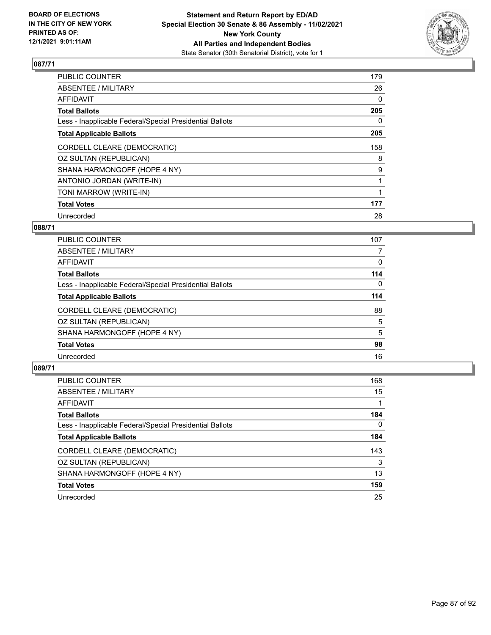

| <b>PUBLIC COUNTER</b>                                    | 179          |
|----------------------------------------------------------|--------------|
| <b>ABSENTEE / MILITARY</b>                               | 26           |
| <b>AFFIDAVIT</b>                                         | 0            |
| <b>Total Ballots</b>                                     | 205          |
| Less - Inapplicable Federal/Special Presidential Ballots | $\mathbf{0}$ |
| <b>Total Applicable Ballots</b>                          | 205          |
| CORDELL CLEARE (DEMOCRATIC)                              | 158          |
| OZ SULTAN (REPUBLICAN)                                   | 8            |
| SHANA HARMONGOFF (HOPE 4 NY)                             | 9            |
| ANTONIO JORDAN (WRITE-IN)                                |              |
| TONI MARROW (WRITE-IN)                                   |              |
| <b>Total Votes</b>                                       | 177          |
| Unrecorded                                               | 28           |

#### **088/71**

| <b>PUBLIC COUNTER</b>                                    | 107      |
|----------------------------------------------------------|----------|
| <b>ABSENTEE / MILITARY</b>                               | 7        |
| AFFIDAVIT                                                | 0        |
| <b>Total Ballots</b>                                     | 114      |
| Less - Inapplicable Federal/Special Presidential Ballots | $\Omega$ |
| <b>Total Applicable Ballots</b>                          | 114      |
| CORDELL CLEARE (DEMOCRATIC)                              | 88       |
| OZ SULTAN (REPUBLICAN)                                   | 5        |
| SHANA HARMONGOFF (HOPE 4 NY)                             | 5        |
| <b>Total Votes</b>                                       | 98       |
| Unrecorded                                               | 16       |

| PUBLIC COUNTER                                           | 168      |
|----------------------------------------------------------|----------|
| ABSENTEE / MILITARY                                      | 15       |
| AFFIDAVIT                                                |          |
| <b>Total Ballots</b>                                     | 184      |
| Less - Inapplicable Federal/Special Presidential Ballots | $\Omega$ |
| <b>Total Applicable Ballots</b>                          | 184      |
| CORDELL CLEARE (DEMOCRATIC)                              | 143      |
| OZ SULTAN (REPUBLICAN)                                   | 3        |
| SHANA HARMONGOFF (HOPE 4 NY)                             | 13       |
| <b>Total Votes</b>                                       | 159      |
| Unrecorded                                               | 25       |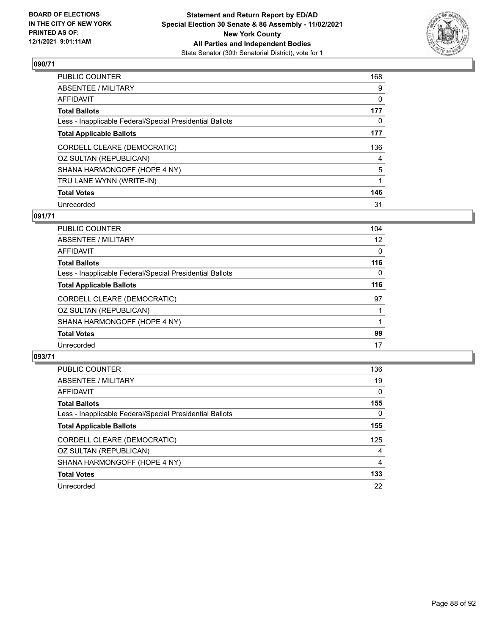

| PUBLIC COUNTER                                           | 168 |
|----------------------------------------------------------|-----|
| ABSENTEE / MILITARY                                      | 9   |
| AFFIDAVIT                                                | 0   |
| Total Ballots                                            | 177 |
| Less - Inapplicable Federal/Special Presidential Ballots | 0   |
| <b>Total Applicable Ballots</b>                          | 177 |
| CORDELL CLEARE (DEMOCRATIC)                              | 136 |
| OZ SULTAN (REPUBLICAN)                                   | 4   |
| SHANA HARMONGOFF (HOPE 4 NY)                             | 5   |
| TRU LANE WYNN (WRITE-IN)                                 |     |
| <b>Total Votes</b>                                       | 146 |
| Unrecorded                                               | 31  |

#### **091/71**

| <b>PUBLIC COUNTER</b>                                    | 104 |
|----------------------------------------------------------|-----|
| ABSENTEE / MILITARY                                      | 12  |
| AFFIDAVIT                                                | 0   |
| <b>Total Ballots</b>                                     | 116 |
| Less - Inapplicable Federal/Special Presidential Ballots | 0   |
| <b>Total Applicable Ballots</b>                          | 116 |
| CORDELL CLEARE (DEMOCRATIC)                              | 97  |
| OZ SULTAN (REPUBLICAN)                                   |     |
| SHANA HARMONGOFF (HOPE 4 NY)                             |     |
| <b>Total Votes</b>                                       | 99  |
| Unrecorded                                               | 17  |
|                                                          |     |

| PUBLIC COUNTER                                           | 136 |
|----------------------------------------------------------|-----|
| ABSENTEE / MILITARY                                      | 19  |
| AFFIDAVIT                                                | 0   |
| <b>Total Ballots</b>                                     | 155 |
| Less - Inapplicable Federal/Special Presidential Ballots | 0   |
| <b>Total Applicable Ballots</b>                          | 155 |
| CORDELL CLEARE (DEMOCRATIC)                              | 125 |
| OZ SULTAN (REPUBLICAN)                                   | 4   |
| SHANA HARMONGOFF (HOPE 4 NY)                             | 4   |
| <b>Total Votes</b>                                       | 133 |
| Unrecorded                                               | 22  |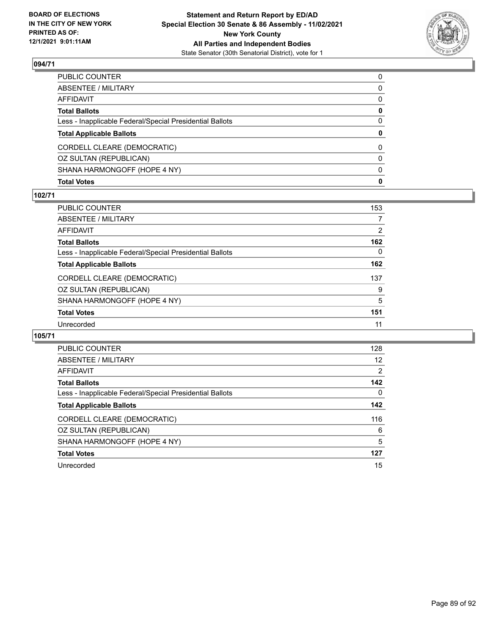

| PUBLIC COUNTER                                           | $\Omega$     |
|----------------------------------------------------------|--------------|
| ABSENTEE / MILITARY                                      | $\mathbf{0}$ |
| AFFIDAVIT                                                | 0            |
| <b>Total Ballots</b>                                     | 0            |
| Less - Inapplicable Federal/Special Presidential Ballots | 0            |
| <b>Total Applicable Ballots</b>                          | $\mathbf{0}$ |
|                                                          | 0            |
| CORDELL CLEARE (DEMOCRATIC)                              |              |
| OZ SULTAN (REPUBLICAN)                                   | $\mathbf{0}$ |
| SHANA HARMONGOFF (HOPE 4 NY)                             | $\mathbf{0}$ |

#### **102/71**

| PUBLIC COUNTER                                           | 153 |
|----------------------------------------------------------|-----|
| <b>ABSENTEE / MILITARY</b>                               |     |
| AFFIDAVIT                                                | 2   |
| Total Ballots                                            | 162 |
| Less - Inapplicable Federal/Special Presidential Ballots | 0   |
| <b>Total Applicable Ballots</b>                          | 162 |
| CORDELL CLEARE (DEMOCRATIC)                              | 137 |
| OZ SULTAN (REPUBLICAN)                                   | 9   |
| SHANA HARMONGOFF (HOPE 4 NY)                             | 5   |
| <b>Total Votes</b>                                       | 151 |
| Unrecorded                                               | 11  |
|                                                          |     |

| PUBLIC COUNTER                                           | 128 |
|----------------------------------------------------------|-----|
| ABSENTEE / MILITARY                                      | 12  |
| AFFIDAVIT                                                | 2   |
| <b>Total Ballots</b>                                     | 142 |
| Less - Inapplicable Federal/Special Presidential Ballots | 0   |
| <b>Total Applicable Ballots</b>                          | 142 |
| CORDELL CLEARE (DEMOCRATIC)                              | 116 |
| OZ SULTAN (REPUBLICAN)                                   | 6   |
| SHANA HARMONGOFF (HOPE 4 NY)                             | 5   |
| <b>Total Votes</b>                                       | 127 |
| Unrecorded                                               | 15  |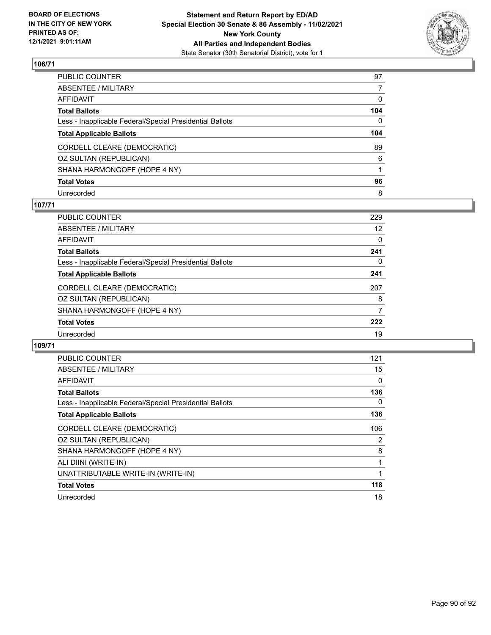

| PUBLIC COUNTER                                           | 97           |
|----------------------------------------------------------|--------------|
| ABSENTEE / MILITARY                                      |              |
| AFFIDAVIT                                                | $\Omega$     |
| Total Ballots                                            | 104          |
| Less - Inapplicable Federal/Special Presidential Ballots | $\mathbf{0}$ |
| <b>Total Applicable Ballots</b>                          | 104          |
| CORDELL CLEARE (DEMOCRATIC)                              | 89           |
| OZ SULTAN (REPUBLICAN)                                   | 6            |
| SHANA HARMONGOFF (HOPE 4 NY)                             |              |
| <b>Total Votes</b>                                       | 96           |
| Unrecorded                                               | 8            |

### **107/71**

| <b>PUBLIC COUNTER</b>                                    | 229 |
|----------------------------------------------------------|-----|
| ABSENTEE / MILITARY                                      | 12  |
| AFFIDAVIT                                                | 0   |
| <b>Total Ballots</b>                                     | 241 |
| Less - Inapplicable Federal/Special Presidential Ballots | 0   |
| <b>Total Applicable Ballots</b>                          | 241 |
| CORDELL CLEARE (DEMOCRATIC)                              | 207 |
| OZ SULTAN (REPUBLICAN)                                   | 8   |
| SHANA HARMONGOFF (HOPE 4 NY)                             | 7   |
| <b>Total Votes</b>                                       | 222 |
| Unrecorded                                               | 19  |
|                                                          |     |

| <b>PUBLIC COUNTER</b>                                    | 121 |
|----------------------------------------------------------|-----|
| ABSENTEE / MILITARY                                      | 15  |
| AFFIDAVIT                                                | 0   |
| <b>Total Ballots</b>                                     | 136 |
| Less - Inapplicable Federal/Special Presidential Ballots | 0   |
| <b>Total Applicable Ballots</b>                          | 136 |
| CORDELL CLEARE (DEMOCRATIC)                              | 106 |
| OZ SULTAN (REPUBLICAN)                                   | 2   |
| SHANA HARMONGOFF (HOPE 4 NY)                             | 8   |
| ALI DIINI (WRITE-IN)                                     | 1   |
| UNATTRIBUTABLE WRITE-IN (WRITE-IN)                       | 1   |
| <b>Total Votes</b>                                       | 118 |
| Unrecorded                                               | 18  |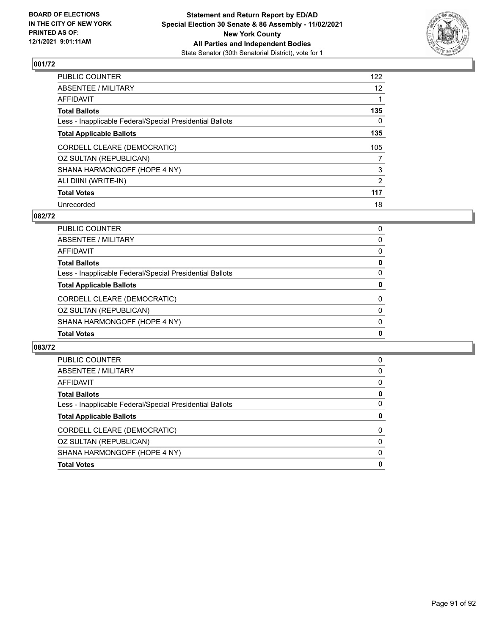

| PUBLIC COUNTER                                           | 122               |
|----------------------------------------------------------|-------------------|
| ABSENTEE / MILITARY                                      | $12 \overline{ }$ |
| AFFIDAVIT                                                |                   |
| Total Ballots                                            | 135               |
| Less - Inapplicable Federal/Special Presidential Ballots | 0                 |
| <b>Total Applicable Ballots</b>                          | 135               |
| CORDELL CLEARE (DEMOCRATIC)                              | 105               |
| OZ SULTAN (REPUBLICAN)                                   | 7                 |
| SHANA HARMONGOFF (HOPE 4 NY)                             | 3                 |
| ALI DIINI (WRITE-IN)                                     | 2                 |
| <b>Total Votes</b>                                       | 117               |
| Unrecorded                                               | 18                |

#### **082/72**

| PUBLIC COUNTER                                           | 0           |
|----------------------------------------------------------|-------------|
| ABSENTEE / MILITARY                                      | 0           |
| AFFIDAVIT                                                | $\Omega$    |
| <b>Total Ballots</b>                                     | 0           |
| Less - Inapplicable Federal/Special Presidential Ballots | 0           |
| <b>Total Applicable Ballots</b>                          | 0           |
| CORDELL CLEARE (DEMOCRATIC)                              | 0           |
| OZ SULTAN (REPUBLICAN)                                   | $\Omega$    |
| SHANA HARMONGOFF (HOPE 4 NY)                             | 0           |
| <b>Total Votes</b>                                       | $\mathbf 0$ |

| <b>PUBLIC COUNTER</b>                                    | 0        |
|----------------------------------------------------------|----------|
| <b>ABSENTEE / MILITARY</b>                               | 0        |
| AFFIDAVIT                                                | 0        |
| <b>Total Ballots</b>                                     | 0        |
| Less - Inapplicable Federal/Special Presidential Ballots | $\Omega$ |
| <b>Total Applicable Ballots</b>                          | 0        |
|                                                          |          |
| CORDELL CLEARE (DEMOCRATIC)                              | 0        |
| OZ SULTAN (REPUBLICAN)                                   | $\Omega$ |
| SHANA HARMONGOFF (HOPE 4 NY)                             | $\Omega$ |